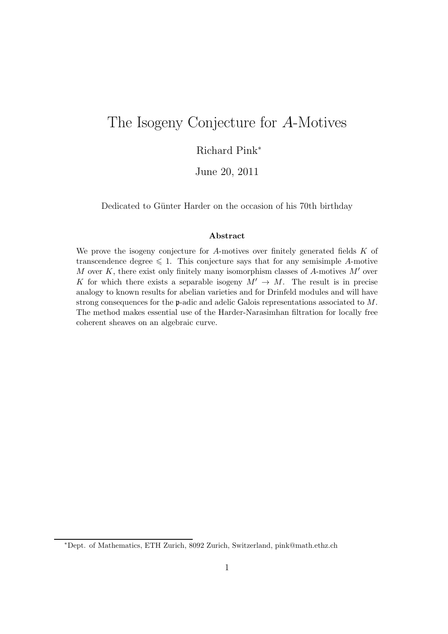# The Isogeny Conjecture for A-Motives

#### Richard Pink<sup>∗</sup>

June 20, 2011

Dedicated to Günter Harder on the occasion of his 70th birthday

#### Abstract

We prove the isogeny conjecture for A-motives over finitely generated fields  $K$  of transcendence degree  $\leq 1$ . This conjecture says that for any semisimple A-motive M over K, there exist only finitely many isomorphism classes of A-motives  $M'$  over K for which there exists a separable isogeny  $M' \to M$ . The result is in precise analogy to known results for abelian varieties and for Drinfeld modules and will have strong consequences for the p-adic and adelic Galois representations associated to M. The method makes essential use of the Harder-Narasimhan filtration for locally free coherent sheaves on an algebraic curve.

<sup>∗</sup>Dept. of Mathematics, ETH Zurich, 8092 Zurich, Switzerland, pink@math.ethz.ch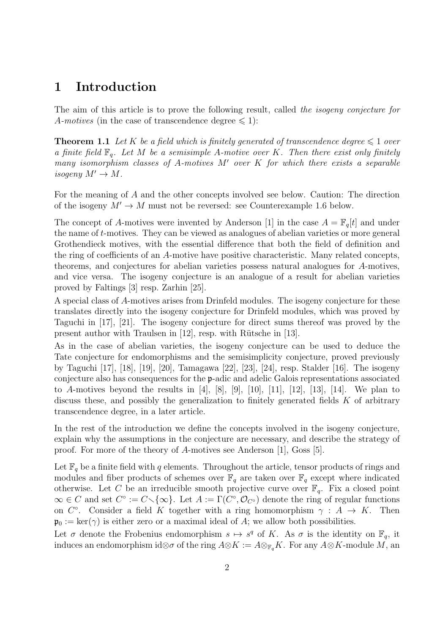### 1 Introduction

The aim of this article is to prove the following result, called the isogeny conjecture for A-motives (in the case of transcendence degree  $\leq 1$ ):

**Theorem 1.1** Let K be a field which is finitely generated of transcendence degree  $\leq 1$  over a finite field  $\mathbb{F}_q$ . Let M be a semisimple A-motive over K. Then there exist only finitely many isomorphism classes of A-motives  $M'$  over  $K$  for which there exists a separable isogeny  $M' \to M$ .

For the meaning of A and the other concepts involved see below. Caution: The direction of the isogeny  $M' \to M$  must not be reversed: see Counterexample 1.6 below.

The concept of A-motives were invented by Anderson [1] in the case  $A = \mathbb{F}_q[t]$  and under the name of t-motives. They can be viewed as analogues of abelian varieties or more general Grothendieck motives, with the essential difference that both the field of definition and the ring of coefficients of an A-motive have positive characteristic. Many related concepts, theorems, and conjectures for abelian varieties possess natural analogues for A-motives, and vice versa. The isogeny conjecture is an analogue of a result for abelian varieties proved by Faltings [3] resp. Zarhin [25].

A special class of A-motives arises from Drinfeld modules. The isogeny conjecture for these translates directly into the isogeny conjecture for Drinfeld modules, which was proved by Taguchi in [17], [21]. The isogeny conjecture for direct sums thereof was proved by the present author with Traulsen in  $[12]$ , resp. with Rütsche in  $[13]$ .

As in the case of abelian varieties, the isogeny conjecture can be used to deduce the Tate conjecture for endomorphisms and the semisimplicity conjecture, proved previously by Taguchi [17], [18], [19], [20], Tamagawa [22], [23], [24], resp. Stalder [16]. The isogeny conjecture also has consequences for the p-adic and adelic Galois representations associated to A-motives beyond the results in  $[4]$ ,  $[8]$ ,  $[9]$ ,  $[10]$ ,  $[11]$ ,  $[12]$ ,  $[13]$ ,  $[14]$ . We plan to discuss these, and possibly the generalization to finitely generated fields  $K$  of arbitrary transcendence degree, in a later article.

In the rest of the introduction we define the concepts involved in the isogeny conjecture, explain why the assumptions in the conjecture are necessary, and describe the strategy of proof. For more of the theory of A-motives see Anderson [1], Goss [5].

Let  $\mathbb{F}_q$  be a finite field with q elements. Throughout the article, tensor products of rings and modules and fiber products of schemes over  $\mathbb{F}_q$  are taken over  $\mathbb{F}_q$  except where indicated otherwise. Let C be an irreducible smooth projective curve over  $\mathbb{F}_q$ . Fix a closed point  $\infty \in C$  and set  $C^{\circ} := C \setminus {\infty}$ . Let  $A := \Gamma(C^{\circ}, \mathcal{O}_{C^{\circ}})$  denote the ring of regular functions on  $C^{\circ}$ . Consider a field K together with a ring homomorphism  $\gamma : A \to K$ . Then  $\mathfrak{p}_0 := \ker(\gamma)$  is either zero or a maximal ideal of A; we allow both possibilities.

Let  $\sigma$  denote the Frobenius endomorphism  $s \mapsto s^q$  of K. As  $\sigma$  is the identity on  $\mathbb{F}_q$ , it induces an endomorphism id⊗σ of the ring  $A \otimes K := A \otimes_{\mathbb{F}_q} K$ . For any  $A \otimes K$ -module M, an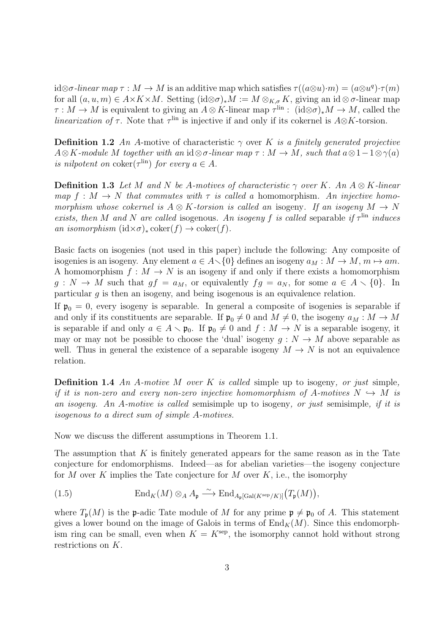id⊗σ-linear map  $\tau : M \to M$  is an additive map which satisfies  $\tau((a\otimes u)\cdot m) = (a\otimes u^q)\cdot \tau(m)$ for all  $(a, u, m) \in A \times K \times M$ . Setting  $(id \otimes \sigma)_*M := M \otimes_{K,\sigma} K$ , giving an  $id \otimes \sigma$ -linear map  $\tau : M \to M$  is equivalent to giving an  $A \otimes K$ -linear map  $\tau^{\text{lin}}$  :  $(\text{id} \otimes \sigma)_* M \to M$ , called the *linearization of*  $\tau$ . Note that  $\tau^{\text{lin}}$  is injective if and only if its cokernel is  $A \otimes K$ -torsion.

**Definition 1.2** An A-motive of characteristic  $\gamma$  over K is a finitely generated projective  $A\otimes K$ -module M together with an id⊗σ-linear map  $\tau : M \to M$ , such that  $a\otimes 1-1\otimes \gamma(a)$ is nilpotent on  $\operatorname{coker}(\tau^{\text{lin}})$  for every  $a \in A$ .

**Definition 1.3** Let M and N be A-motives of characteristic  $\gamma$  over K. An  $A \otimes K$ -linear map  $f : M \to N$  that commutes with  $\tau$  is called a homomorphism. An injective homomorphism whose cokernel is  $A \otimes K$ -torsion is called an isogeny. If an isogeny  $M \to N$ exists, then M and N are called isogenous. An isogeny f is called separable if  $\tau^{\text{lin}}$  induces an isomorphism  $(id \times \sigma)_* \text{coker}(f) \to \text{coker}(f)$ .

Basic facts on isogenies (not used in this paper) include the following: Any composite of isogenies is an isogeny. Any element  $a \in A \setminus \{0\}$  defines an isogeny  $a_M : M \to M$ ,  $m \mapsto am$ . A homomorphism  $f : M \to N$  is an isogeny if and only if there exists a homomorphism  $g: N \to M$  such that  $gf = a_M$ , or equivalently  $fg = a_N$ , for some  $a \in A \setminus \{0\}$ . In particular g is then an isogeny, and being isogenous is an equivalence relation.

If  $\mathfrak{p}_0 = 0$ , every isogeny is separable. In general a composite of isogenies is separable if and only if its constituents are separable. If  $\mathfrak{p}_0 \neq 0$  and  $M \neq 0$ , the isogeny  $a_M : M \to M$ is separable if and only  $a \in A \setminus \mathfrak{p}_0$ . If  $\mathfrak{p}_0 \neq 0$  and  $f : M \to N$  is a separable isogeny, it may or may not be possible to choose the 'dual' isogeny  $q: N \to M$  above separable as well. Thus in general the existence of a separable isogeny  $M \to N$  is not an equivalence relation.

**Definition 1.4** An A-motive M over K is called simple up to isogeny, or just simple, if it is non-zero and every non-zero injective homomorphism of A-motives  $N \hookrightarrow M$  is an isogeny. An A-motive is called semisimple up to isogeny, or just semisimple, if it is isogenous to a direct sum of simple A-motives.

Now we discuss the different assumptions in Theorem 1.1.

The assumption that  $K$  is finitely generated appears for the same reason as in the Tate conjecture for endomorphisms. Indeed—as for abelian varieties—the isogeny conjecture for M over K implies the Tate conjecture for M over K, i.e., the isomorphy

(1.5) 
$$
\text{End}_K(M) \otimes_A A_{\mathfrak{p}} \xrightarrow{\sim} \text{End}_{A_{\mathfrak{p}}[\text{Gal}(K^{\text{sep}}/K)]}(T_{\mathfrak{p}}(M)),
$$

where  $T_{\mathfrak{p}}(M)$  is the **p**-adic Tate module of M for any prime  $\mathfrak{p} \neq \mathfrak{p}_0$  of A. This statement gives a lower bound on the image of Galois in terms of  $\text{End}_K(M)$ . Since this endomorphism ring can be small, even when  $K = K^{\text{sep}}$ , the isomorphy cannot hold without strong restrictions on K.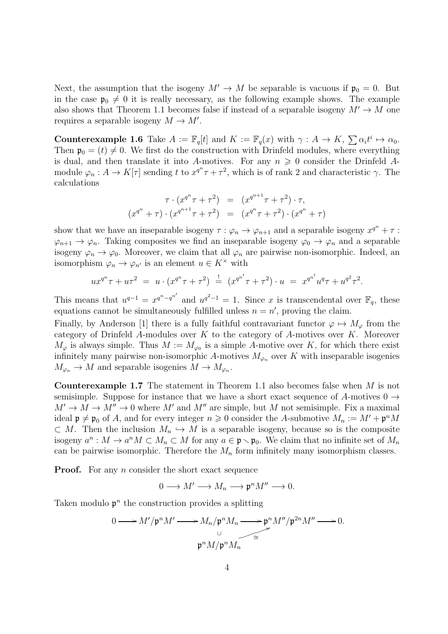Next, the assumption that the isogeny  $M' \to M$  be separable is vacuous if  $\mathfrak{p}_0 = 0$ . But in the case  $\mathfrak{p}_0 \neq 0$  it is really necessary, as the following example shows. The example also shows that Theorem 1.1 becomes false if instead of a separable isogeny  $M' \to M$  one requires a separable isogeny  $M \to M'$ .

**Counterexample 1.6** Take  $A := \mathbb{F}_q[t]$  and  $K := \mathbb{F}_q(x)$  with  $\gamma : A \to K$ ,  $\sum \alpha_i t^i \mapsto \alpha_0$ . Then  $\mathfrak{p}_0 = (t) \neq 0$ . We first do the construction with Drinfeld modules, where everything is dual, and then translate it into A-motives. For any  $n \geq 0$  consider the Drinfeld Amodule  $\varphi_n: A \to K[\tau]$  sending t to  $x^{q^n}\tau + \tau^2$ , which is of rank 2 and characteristic  $\gamma$ . The calculations

$$
\tau \cdot (x^{q^n} \tau + \tau^2) = (x^{q^{n+1}} \tau + \tau^2) \cdot \tau,
$$
  

$$
(x^{q^n} + \tau) \cdot (x^{q^{n+1}} \tau + \tau^2) = (x^{q^n} \tau + \tau^2) \cdot (x^{q^n} + \tau)
$$

show that we have an inseparable isogeny  $\tau : \varphi_n \to \varphi_{n+1}$  and a separable isogeny  $x^{q^n} + \tau$ :  $\varphi_{n+1} \to \varphi_n$ . Taking composites we find an inseparable isogeny  $\varphi_0 \to \varphi_n$  and a separable isogeny  $\varphi_n \to \varphi_0$ . Moreover, we claim that all  $\varphi_n$  are pairwise non-isomorphic. Indeed, an isomorphism  $\varphi_n \to \varphi_{n'}$  is an element  $u \in K^\times$  with

$$
ux^{q^n}\tau + u\tau^2 = u \cdot (x^{q^n}\tau + \tau^2) = (x^{q^{n'}}\tau + \tau^2) \cdot u = x^{q^{n'}}u^q\tau + u^{q^2}\tau^2.
$$

This means that  $u^{q-1} = x^{q^n - q^{n'}}$  and  $u^{q^2 - 1} = 1$ . Since x is transcendental over  $\mathbb{F}_q$ , these equations cannot be simultaneously fulfilled unless  $n = n'$ , proving the claim.

Finally, by Anderson [1] there is a fully faithful contravariant functor  $\varphi \mapsto M_{\varphi}$  from the category of Drinfeld A-modules over  $K$  to the category of A-motives over  $K$ . Moreover  $M_{\varphi}$  is always simple. Thus  $M := M_{\varphi_0}$  is a simple A-motive over K, for which there exist infinitely many pairwise non-isomorphic A-motives  $M_{\varphi_n}$  over K with inseparable isogenies  $M_{\varphi_n} \to M$  and separable isogenies  $M \to M_{\varphi_n}$ .

**Counterexample 1.7** The statement in Theorem 1.1 also becomes false when  $M$  is not semisimple. Suppose for instance that we have a short exact sequence of A-motives  $0 \rightarrow$  $M' \to M \to M'' \to 0$  where M' and M'' are simple, but M not semisimple. Fix a maximal ideal  $\mathfrak{p} \neq \mathfrak{p}_0$  of A, and for every integer  $n \geq 0$  consider the A-submotive  $M_n := M' + \mathfrak{p}^n M$  $\subset M$ . Then the inclusion  $M_n \hookrightarrow M$  is a separable isogeny, because so is the composite isogeny  $a^n : M \to a^n M \subset M_n \subset M$  for any  $a \in \mathfrak{p} \setminus \mathfrak{p}_0$ . We claim that no infinite set of  $M_n$ can be pairwise isomorphic. Therefore the  $M_n$  form infinitely many isomorphism classes.

**Proof.** For any *n* consider the short exact sequence

 $0 \longrightarrow M' \longrightarrow M_n \longrightarrow \mathfrak{p}^n M'' \longrightarrow 0.$ 

Taken modulo  $p<sup>n</sup>$  the construction provides a splitting

$$
0 \longrightarrow M'/\mathfrak{p}^n M' \longrightarrow M_n/\mathfrak{p}^n M_n \longrightarrow \mathfrak{p}^n M''/\mathfrak{p}^{2n} M'' \longrightarrow 0.
$$
  

$$
\mathfrak{p}^n M/\mathfrak{p}^n M_n \longrightarrow
$$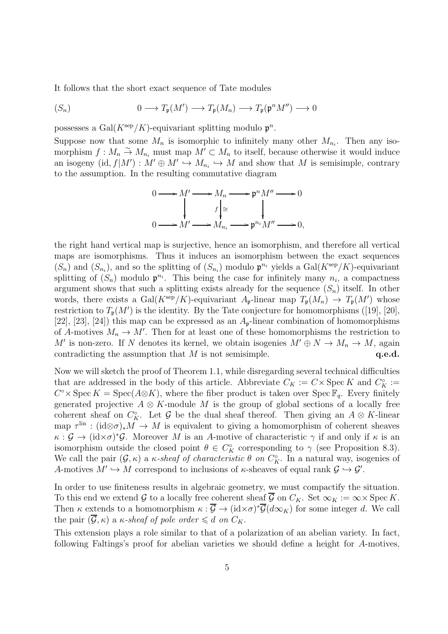It follows that the short exact sequence of Tate modules

$$
(S_n) \qquad \qquad 0 \longrightarrow T_{\mathfrak{p}}(M') \longrightarrow T_{\mathfrak{p}}(M_n) \longrightarrow T_{\mathfrak{p}}(\mathfrak{p}^n M'') \longrightarrow 0
$$

possesses a Gal $(K^{\text{sep}}/K)$ -equivariant splitting modulo  $\mathfrak{p}^n$ .

Suppose now that some  $M_n$  is isomorphic to infinitely many other  $M_{n_i}$ . Then any isomorphism  $f: M_n \to M_{n_i}$  must map  $M' \subset M_n$  to itself, because otherwise it would induce an isogeny  $(id, f|M') : M' \oplus M' \hookrightarrow M_{n_i} \hookrightarrow M$  and show that M is semisimple, contrary to the assumption. In the resulting commutative diagram

$$
0 \longrightarrow M' \longrightarrow M_n \longrightarrow \mathfrak{p}^n M'' \longrightarrow 0
$$
  

$$
\downarrow \qquad f \downarrow \cong \qquad \qquad f \downarrow
$$
  

$$
0 \longrightarrow M' \longrightarrow M_{n_i} \longrightarrow \mathfrak{p}^{n_i} M'' \longrightarrow 0,
$$

the right hand vertical map is surjective, hence an isomorphism, and therefore all vertical maps are isomorphisms. Thus it induces an isomorphism between the exact sequences  $(S_n)$  and  $(S_{n_i})$ , and so the splitting of  $(S_{n_i})$  modulo  $\mathfrak{p}^{n_i}$  yields a Gal $(K^{\text{sep}}/K)$ -equivariant splitting of  $(S_n)$  modulo  $\mathfrak{p}^{n_i}$ . This being the case for infinitely many  $n_i$ , a compactness argument shows that such a splitting exists already for the sequence  $(S_n)$  itself. In other words, there exists a Gal( $K^{\rm sep}/K$ )-equivariant  $A_{\mathfrak{p}}$ -linear map  $T_{\mathfrak{p}}(M_n) \to T_{\mathfrak{p}}(M')$  whose restriction to  $T_{\mathfrak{p}}(M')$  is the identity. By the Tate conjecture for homomorphisms ([19], [20], [22], [23], [24]) this map can be expressed as an  $A_{p}$ -linear combination of homomorphisms of A-motives  $M_n \to M'$ . Then for at least one of these homomorphisms the restriction to M' is non-zero. If N denotes its kernel, we obtain isogenies  $M' \oplus N \to M_n \to M$ , again contradicting the assumption that  $M$  is not semisimple.  $q.e.d.$ 

Now we will sketch the proof of Theorem 1.1, while disregarding several technical difficulties that are addressed in the body of this article. Abbreviate  $C_K := C \times \text{Spec } K$  and  $C_K^{\circ} :=$  $C^{\circ} \times \operatorname{Spec} K = \operatorname{Spec}(A \otimes K)$ , where the fiber product is taken over  $\operatorname{Spec} \mathbb{F}_q$ . Every finitely generated projective  $A \otimes K$ -module M is the group of global sections of a locally free coherent sheaf on  $C_K^{\circ}$ . Let G be the dual sheaf thereof. Then giving an  $A \otimes K$ -linear map  $\tau^{\text{lin}}$  : (id⊗ $\sigma$ )\* $M \to M$  is equivalent to giving a homomorphism of coherent sheaves  $\kappa$ :  $\mathcal{G} \to (\mathrm{id} \times \sigma)^* \mathcal{G}$ . Moreover M is an A-motive of characteristic  $\gamma$  if and only if  $\kappa$  is an isomorphism outside the closed point  $\theta \in C_K^{\circ}$  corresponding to  $\gamma$  (see Proposition 8.3). We call the pair  $(G, \kappa)$  a  $\kappa$ -sheaf of characteristic  $\theta$  on  $C_K^{\circ}$ . In a natural way, isogenies of A-motives  $M' \hookrightarrow M$  correspond to inclusions of  $\kappa$ -sheaves of equal rank  $\mathcal{G} \hookrightarrow \mathcal{G}'$ .

In order to use finiteness results in algebraic geometry, we must compactify the situation. To this end we extend G to a locally free coherent sheaf  $\overline{\mathcal{G}}$  on  $C_K$ . Set  $\infty_K := \infty \times \operatorname{Spec} K$ . Then  $\kappa$  extends to a homomorphism  $\kappa : \overline{\mathcal{G}} \to (\mathrm{id} \times \sigma)^* \overline{\mathcal{G}}(d \infty_K)$  for some integer d. We call the pair  $(\overline{\mathcal{G}}, \kappa)$  a  $\kappa$ -sheaf of pole order  $\leq d$  on  $C_K$ .

This extension plays a role similar to that of a polarization of an abelian variety. In fact, following Faltings's proof for abelian varieties we should define a height for A-motives,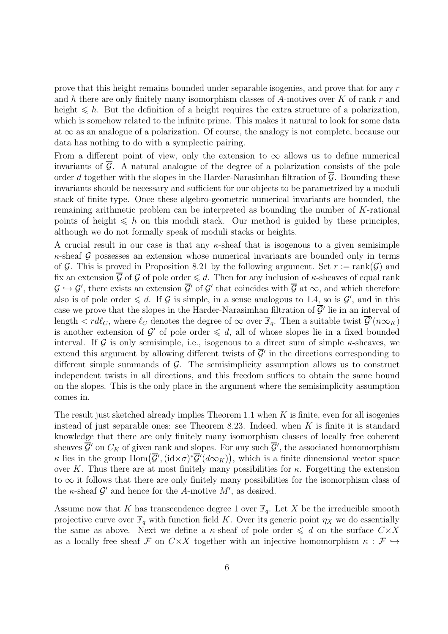prove that this height remains bounded under separable isogenies, and prove that for any r and h there are only finitely many isomorphism classes of A-motives over K of rank r and height  $\leq h$ . But the definition of a height requires the extra structure of a polarization, which is somehow related to the infinite prime. This makes it natural to look for some data at  $\infty$  as an analogue of a polarization. Of course, the analogy is not complete, because our data has nothing to do with a symplectic pairing.

From a different point of view, only the extension to  $\infty$  allows us to define numerical invariants of  $\overline{G}$ . A natural analogue of the degree of a polarization consists of the pole order d together with the slopes in the Harder-Narasimhan filtration of  $\overline{G}$ . Bounding these invariants should be necessary and sufficient for our objects to be parametrized by a moduli stack of finite type. Once these algebro-geometric numerical invariants are bounded, the remaining arithmetic problem can be interpreted as bounding the number of K-rational points of height  $\leq h$  on this moduli stack. Our method is guided by these principles, although we do not formally speak of moduli stacks or heights.

A crucial result in our case is that any  $\kappa$ -sheaf that is isogenous to a given semisimple  $\kappa$ -sheaf G possesses an extension whose numerical invariants are bounded only in terms of G. This is proved in Proposition 8.21 by the following argument. Set  $r := \text{rank}(\mathcal{G})$  and fix an extension  $\overline{G}$  of G of pole order  $\leq d$ . Then for any inclusion of  $\kappa$ -sheaves of equal rank  $\mathcal{G} \hookrightarrow \mathcal{G}'$ , there exists an extension  $\overline{\mathcal{G}}'$  of  $\mathcal{G}'$  that coincides with  $\overline{\mathcal{G}}$  at  $\infty$ , and which therefore also is of pole order  $\leq d$ . If G is simple, in a sense analogous to 1.4, so is  $\mathcal{G}'$ , and in this case we prove that the slopes in the Harder-Narasimhan filtration of  $\overline{\mathcal{G}}'$  lie in an interval of length  $\lt r d\ell_C$ , where  $\ell_C$  denotes the degree of  $\infty$  over  $\mathbb{F}_q$ . Then a suitable twist  $\overline{\mathcal{G}}'(n\infty_K)$ is another extension of G' of pole order  $\leq d$ , all of whose slopes lie in a fixed bounded interval. If G is only semisimple, i.e., isogenous to a direct sum of simple  $\kappa$ -sheaves, we extend this argument by allowing different twists of  $\overline{\mathcal{G}}'$  in the directions corresponding to different simple summands of  $\mathcal{G}$ . The semisimplicity assumption allows us to construct independent twists in all directions, and this freedom suffices to obtain the same bound on the slopes. This is the only place in the argument where the semisimplicity assumption comes in.

The result just sketched already implies Theorem 1.1 when  $K$  is finite, even for all isogenies instead of just separable ones: see Theorem 8.23. Indeed, when  $K$  is finite it is standard knowledge that there are only finitely many isomorphism classes of locally free coherent sheaves  $\overline{\mathcal{G}}'$  on  $C_K$  of given rank and slopes. For any such  $\overline{\mathcal{G}}'$ , the associated homomorphism  $\kappa$  lies in the group  $\text{Hom}\big(\overline{\mathcal{G}}', (\text{id} \times \sigma)^* \overline{\mathcal{G}}'(\text{d}\infty_K)\big)$ , which is a finite dimensional vector space over K. Thus there are at most finitely many possibilities for  $\kappa$ . Forgetting the extension to  $\infty$  it follows that there are only finitely many possibilities for the isomorphism class of the  $\kappa$ -sheaf  $\mathcal{G}'$  and hence for the A-motive  $M'$ , as desired.

Assume now that K has transcendence degree 1 over  $\mathbb{F}_q$ . Let X be the irreducible smooth projective curve over  $\mathbb{F}_q$  with function field K. Over its generic point  $\eta_X$  we do essentially the same as above. Next we define a  $\kappa$ -sheaf of pole order  $\leq d$  on the surface  $C\times X$ as a locally free sheaf F on  $C \times X$  together with an injective homomorphism  $\kappa : \mathcal{F} \hookrightarrow$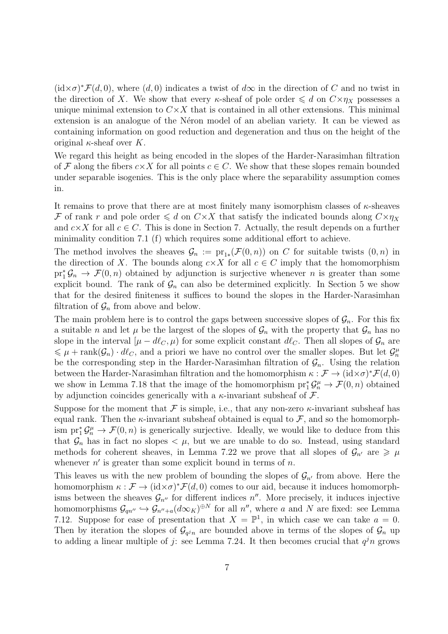$(id \times \sigma)^* \mathcal{F}(d, 0)$ , where  $(d, 0)$  indicates a twist of  $d\infty$  in the direction of C and no twist in the direction of X. We show that every  $\kappa$ -sheaf of pole order  $\leq d$  on  $C\times \eta_X$  possesses a unique minimal extension to  $C \times X$  that is contained in all other extensions. This minimal extension is an analogue of the Néron model of an abelian variety. It can be viewed as containing information on good reduction and degeneration and thus on the height of the original  $\kappa$ -sheaf over K.

We regard this height as being encoded in the slopes of the Harder-Narasimhan filtration of F along the fibers  $c \times X$  for all points  $c \in C$ . We show that these slopes remain bounded under separable isogenies. This is the only place where the separability assumption comes in.

It remains to prove that there are at most finitely many isomorphism classes of  $\kappa$ -sheaves F of rank r and pole order  $\leq d$  on  $C \times X$  that satisfy the indicated bounds along  $C \times \eta_X$ and  $c \times X$  for all  $c \in C$ . This is done in Section 7. Actually, the result depends on a further minimality condition 7.1 (f) which requires some additional effort to achieve.

The method involves the sheaves  $\mathcal{G}_n := \text{pr}_{1*}(\mathcal{F}(0,n))$  on C for suitable twists  $(0,n)$  in the direction of X. The bounds along  $c \times X$  for all  $c \in C$  imply that the homomorphism  $pr_1^* \mathcal{G}_n \to \mathcal{F}(0,n)$  obtained by adjunction is surjective whenever n is greater than some explicit bound. The rank of  $\mathcal{G}_n$  can also be determined explicitly. In Section 5 we show that for the desired finiteness it suffices to bound the slopes in the Harder-Narasimhan filtration of  $\mathcal{G}_n$  from above and below.

The main problem here is to control the gaps between successive slopes of  $\mathcal{G}_n$ . For this fix a suitable *n* and let  $\mu$  be the largest of the slopes of  $\mathcal{G}_n$  with the property that  $\mathcal{G}_n$  has no slope in the interval  $[\mu - d\ell_C, \mu]$  for some explicit constant  $d\ell_C$ . Then all slopes of  $\mathcal{G}_n$  are  $\leq \mu + \text{rank}(\mathcal{G}_n) \cdot d\ell_{\mathcal{C}}$ , and a priori we have no control over the smaller slopes. But let  $\mathcal{G}_n^{\mu}$ be the corresponding step in the Harder-Narasimhan filtration of  $\mathcal{G}_n$ . Using the relation between the Harder-Narasimhan filtration and the homomorphism  $\kappa : \mathcal{F} \to (\mathrm{id} \times \sigma)^* \mathcal{F}(d, 0)$ we show in Lemma 7.18 that the image of the homomorphism  $\text{pr}_1^* \mathcal{G}_n^{\mu} \to \mathcal{F}(0, n)$  obtained by adjunction coincides generically with a  $\kappa$ -invariant subsheaf of  $\mathcal{F}$ .

Suppose for the moment that F is simple, i.e., that any non-zero  $\kappa$ -invariant subsheaf has equal rank. Then the  $\kappa$ -invariant subsheaf obtained is equal to  $\mathcal{F}$ , and so the homomorphism  $\text{pr}_1^* \mathcal{G}_n^{\mu} \to \mathcal{F}(0,n)$  is generically surjective. Ideally, we would like to deduce from this that  $\mathcal{G}_n$  has in fact no slopes  $\lt \mu$ , but we are unable to do so. Instead, using standard methods for coherent sheaves, in Lemma 7.22 we prove that all slopes of  $\mathcal{G}_{n'}$  are  $\geq \mu$ whenever  $n'$  is greater than some explicit bound in terms of  $n$ .

This leaves us with the new problem of bounding the slopes of  $\mathcal{G}_{n'}$  from above. Here the homomorphism  $\kappa : \mathcal{F} \to (\mathrm{id} \times \sigma)^* \mathcal{F}(d, 0)$  comes to our aid, because it induces homomorphisms between the sheaves  $\mathcal{G}_{n''}$  for different indices  $n''$ . More precisely, it induces injective homomorphisms  $\mathcal{G}_{qn''} \hookrightarrow \mathcal{G}_{n''+a}(d\infty_K)^{\oplus N}$  for all  $n''$ , where a and N are fixed: see Lemma 7.12. Suppose for ease of presentation that  $X = \mathbb{P}^1$ , in which case we can take  $a = 0$ . Then by iteration the slopes of  $\mathcal{G}_{q^j n}$  are bounded above in terms of the slopes of  $\mathcal{G}_n$  up to adding a linear multiple of j: see Lemma 7.24. It then becomes crucial that  $q^{j}n$  grows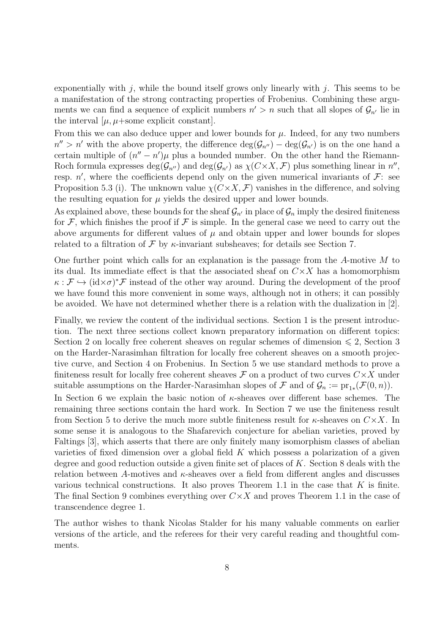exponentially with j, while the bound itself grows only linearly with j. This seems to be a manifestation of the strong contracting properties of Frobenius. Combining these arguments we can find a sequence of explicit numbers  $n' > n$  such that all slopes of  $\mathcal{G}_{n'}$  lie in the interval  $[\mu, \mu + \text{some explicit constant}]$ .

From this we can also deduce upper and lower bounds for  $\mu$ . Indeed, for any two numbers  $n'' > n'$  with the above property, the difference  $\deg(\mathcal{G}_{n''}) - \deg(\mathcal{G}_{n'})$  is on the one hand a certain multiple of  $(n'' - n')\mu$  plus a bounded number. On the other hand the Riemann-Roch formula expresses  $deg(\mathcal{G}_{n'})$  and  $deg(\mathcal{G}_{n'})$  as  $\chi(C\times X, \mathcal{F})$  plus something linear in  $n'',$ resp.  $n'$ , where the coefficients depend only on the given numerical invariants of  $\mathcal{F}$ : see Proposition 5.3 (i). The unknown value  $\chi(C \times X, \mathcal{F})$  vanishes in the difference, and solving the resulting equation for  $\mu$  yields the desired upper and lower bounds.

As explained above, these bounds for the sheaf  $\mathcal{G}_{n'}$  in place of  $\mathcal{G}_n$  imply the desired finiteness for  $\mathcal F$ , which finishes the proof if  $\mathcal F$  is simple. In the general case we need to carry out the above arguments for different values of  $\mu$  and obtain upper and lower bounds for slopes related to a filtration of  $\mathcal F$  by  $\kappa$ -invariant subsheaves; for details see Section 7.

One further point which calls for an explanation is the passage from the A-motive M to its dual. Its immediate effect is that the associated sheaf on  $C \times X$  has a homomorphism  $\kappa : \mathcal{F} \hookrightarrow (\mathrm{id} \times \sigma)^* \mathcal{F}$  instead of the other way around. During the development of the proof we have found this more convenient in some ways, although not in others; it can possibly be avoided. We have not determined whether there is a relation with the dualization in [2].

Finally, we review the content of the individual sections. Section 1 is the present introduction. The next three sections collect known preparatory information on different topics: Section 2 on locally free coherent sheaves on regular schemes of dimension  $\leq 2$ , Section 3 on the Harder-Narasimhan filtration for locally free coherent sheaves on a smooth projective curve, and Section 4 on Frobenius. In Section 5 we use standard methods to prove a finiteness result for locally free coherent sheaves  $\mathcal F$  on a product of two curves  $C\times X$  under suitable assumptions on the Harder-Narasimhan slopes of  $\mathcal F$  and of  $\mathcal G_n := \text{pr}_{1*}(\mathcal F(0,n)).$ 

In Section 6 we explain the basic notion of  $\kappa$ -sheaves over different base schemes. The remaining three sections contain the hard work. In Section 7 we use the finiteness result from Section 5 to derive the much more subtle finiteness result for  $\kappa$ -sheaves on  $C \times X$ . In some sense it is analogous to the Shafarevich conjecture for abelian varieties, proved by Faltings [3], which asserts that there are only finitely many isomorphism classes of abelian varieties of fixed dimension over a global field  $K$  which possess a polarization of a given degree and good reduction outside a given finite set of places of K. Section 8 deals with the relation between A-motives and  $\kappa$ -sheaves over a field from different angles and discusses various technical constructions. It also proves Theorem 1.1 in the case that  $K$  is finite. The final Section 9 combines everything over  $C \times X$  and proves Theorem 1.1 in the case of transcendence degree 1.

The author wishes to thank Nicolas Stalder for his many valuable comments on earlier versions of the article, and the referees for their very careful reading and thoughtful comments.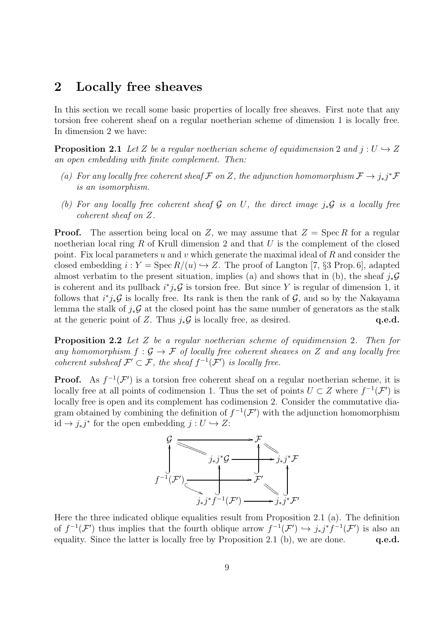#### 2 Locally free sheaves

In this section we recall some basic properties of locally free sheaves. First note that any torsion free coherent sheaf on a regular noetherian scheme of dimension 1 is locally free. In dimension 2 we have:

**Proposition 2.1** Let Z be a regular noetherian scheme of equidimension 2 and  $j: U \hookrightarrow Z$ an open embedding with finite complement. Then:

- (a) For any locally free coherent sheaf F on Z, the adjunction homomorphism  $\mathcal{F} \to j_*j^* \mathcal{F}$ is an isomorphism.
- (b) For any locally free coherent sheaf G on U, the direct image  $j_*\mathcal{G}$  is a locally free coherent sheaf on Z.

**Proof.** The assertion being local on Z, we may assume that  $Z = \text{Spec } R$  for a regular noetherian local ring  $R$  of Krull dimension 2 and that  $U$  is the complement of the closed point. Fix local parameters u and v which generate the maximal ideal of  $R$  and consider the closed embedding  $i: Y = \text{Spec } R/(u) \hookrightarrow Z$ . The proof of Langton [7, §3 Prop. 6], adapted almost verbatim to the present situation, implies (a) and shows that in (b), the sheaf  $i_*\mathcal{G}$ is coherent and its pullback  $i^*j_*\mathcal{G}$  is torsion free. But since Y is regular of dimension 1, it follows that  $i^*j_*\mathcal{G}$  is locally free. Its rank is then the rank of  $\mathcal{G}$ , and so by the Nakayama lemma the stalk of  $j_*\mathcal{G}$  at the closed point has the same number of generators as the stalk at the generic point of Z. Thus  $j_*\mathcal{G}$  is locally free, as desired.  $q.e.d.$ 

Proposition 2.2 Let Z be a regular noetherian scheme of equidimension 2. Then for any homomorphism  $f : \mathcal{G} \to \mathcal{F}$  of locally free coherent sheaves on Z and any locally free coherent subsheaf  $\mathcal{F}' \subset \mathcal{F}$ , the sheaf  $f^{-1}(\mathcal{F}')$  is locally free.

**Proof.** As  $f^{-1}(\mathcal{F}')$  is a torsion free coherent sheaf on a regular noetherian scheme, it is locally free at all points of codimension 1. Thus the set of points  $U \subset Z$  where  $f^{-1}(\mathcal{F}')$  is locally free is open and its complement has codimension 2. Consider the commutative diagram obtained by combining the definition of  $f^{-1}(\mathcal{F}')$  with the adjunction homomorphism id  $\rightarrow j_*j^*$  for the open embedding  $j: U \hookrightarrow Z$ :



Here the three indicated oblique equalities result from Proposition 2.1 (a). The definition of  $f^{-1}(\mathcal{F}')$  thus implies that the fourth oblique arrow  $f^{-1}(\mathcal{F}') \hookrightarrow j_*j^*f^{-1}(\mathcal{F}')$  is also an equality. Since the latter is locally free by Proposition 2.1 (b), we are done.  $q.e.d.$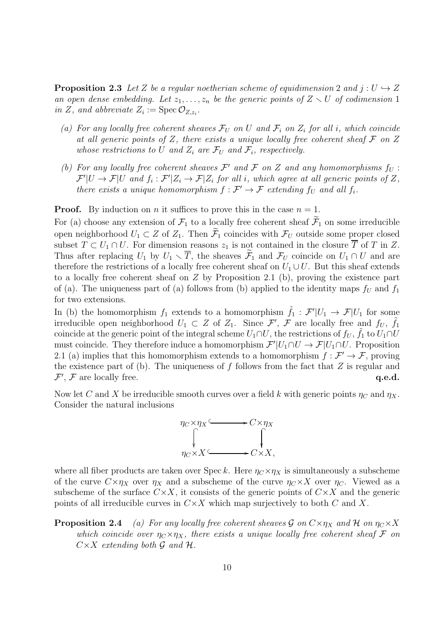**Proposition 2.3** Let Z be a regular noetherian scheme of equidimension 2 and  $j: U \hookrightarrow Z$ an open dense embedding. Let  $z_1, \ldots, z_n$  be the generic points of  $Z \setminus U$  of codimension 1 in Z, and abbreviate  $Z_i := \text{Spec } \mathcal{O}_{Z, z_i}.$ 

- (a) For any locally free coherent sheaves  $\mathcal{F}_U$  on U and  $\mathcal{F}_i$  on  $Z_i$  for all i, which coincide at all generic points of  $Z$ , there exists a unique locally free coherent sheaf  $\mathcal F$  on  $Z$ whose restrictions to U and  $Z_i$  are  $\mathcal{F}_U$  and  $\mathcal{F}_i$ , respectively.
- (b) For any locally free coherent sheaves  $\mathcal{F}'$  and  $\mathcal{F}$  on Z and any homomorphisms  $f_U$ :  $\mathcal{F}'|U \to \mathcal{F}|U$  and  $f_i : \mathcal{F}'|Z_i \to \mathcal{F}|Z_i$  for all *i*, which agree at all generic points of Z, there exists a unique homomorphism  $f: \mathcal{F}' \to \mathcal{F}$  extending  $f_U$  and all  $f_i$ .

**Proof.** By induction on *n* it suffices to prove this in the case  $n = 1$ .

For (a) choose any extension of  $\mathcal{F}_1$  to a locally free coherent sheaf  $\widetilde{\mathcal{F}}_1$  on some irreducible open neighborhood  $U_1 \subset Z$  of  $Z_1$ . Then  $\widetilde{\mathcal{F}}_1$  coincides with  $\mathcal{F}_U$  outside some proper closed subset  $T \subset U_1 \cap U$ . For dimension reasons  $z_1$  is not contained in the closure  $\overline{T}$  of T in Z. Thus after replacing  $U_1$  by  $U_1 \setminus \overline{T}$ , the sheaves  $\mathcal{F}_1$  and  $\mathcal{F}_U$  coincide on  $U_1 \cap U$  and are therefore the restrictions of a locally free coherent sheaf on  $U_1 \cup U$ . But this sheaf extends to a locally free coherent sheaf on Z by Proposition 2.1 (b), proving the existence part of (a). The uniqueness part of (a) follows from (b) applied to the identity maps  $f_U$  and  $f_1$ for two extensions.

In (b) the homomorphism  $f_1$  extends to a homomorphism  $\tilde{f}_1$  :  $\mathcal{F}'|U_1 \to \mathcal{F}|U_1$  for some irreducible open neighborhood  $U_1 \subset Z$  of  $Z_1$ . Since  $\mathcal{F}', \mathcal{F}$  are locally free and  $f_U, \tilde{f}_1$ coincide at the generic point of the integral scheme  $U_1 \cap U$ , the restrictions of  $f_U$ ,  $\tilde{f}_1$  to  $U_1 \cap U$ must coincide. They therefore induce a homomorphism  $\mathcal{F}'|U_1 \cap U \to \mathcal{F}|U_1 \cap U$ . Proposition 2.1 (a) implies that this homomorphism extends to a homomorphism  $f : \mathcal{F}' \to \mathcal{F}$ , proving the existence part of (b). The uniqueness of f follows from the fact that  $Z$  is regular and  $\mathcal{F}', \mathcal{F}$  are locally free.  $q.e.d.$ 

Now let C and X be irreducible smooth curves over a field k with generic points  $\eta_C$  and  $\eta_X$ . Consider the natural inclusions



where all fiber products are taken over Spec k. Here  $\eta_C \times \eta_X$  is simultaneously a subscheme of the curve  $C \times \eta_X$  over  $\eta_X$  and a subscheme of the curve  $\eta_C \times X$  over  $\eta_C$ . Viewed as a subscheme of the surface  $C \times X$ , it consists of the generic points of  $C \times X$  and the generic points of all irreducible curves in  $C \times X$  which map surjectively to both C and X.

**Proposition 2.4** (a) For any locally free coherent sheaves G on  $C \times \eta_X$  and H on  $\eta_C \times X$ which coincide over  $\eta_C \times \eta_X$ , there exists a unique locally free coherent sheaf F on  $C \times X$  extending both  $\mathcal G$  and  $\mathcal H$ .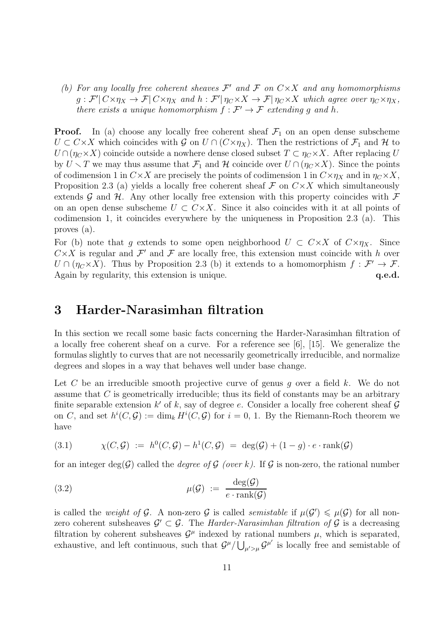(b) For any locally free coherent sheaves  $\mathcal{F}'$  and  $\mathcal{F}$  on  $C\times X$  and any homomorphisms  $g: \mathcal{F}' | C \times \eta_X \to \mathcal{F} | C \times \eta_X$  and  $h: \mathcal{F}' | \eta_C \times X \to \mathcal{F} | \eta_C \times X$  which agree over  $\eta_C \times \eta_X$ , there exists a unique homomorphism  $f : \mathcal{F}' \to \mathcal{F}$  extending g and h.

**Proof.** In (a) choose any locally free coherent sheaf  $\mathcal{F}_1$  on an open dense subscheme  $U \subset C \times X$  which coincides with  $\mathcal{G}$  on  $U \cap (C \times \eta_X)$ . Then the restrictions of  $\mathcal{F}_1$  and  $\mathcal{H}$  to  $U \cap (\eta_C \times X)$  coincide outside a nowhere dense closed subset  $T \subset \eta_C \times X$ . After replacing U by  $U \setminus T$  we may thus assume that  $\mathcal{F}_1$  and  $\mathcal{H}$  coincide over  $U \cap (\eta_C \times X)$ . Since the points of codimension 1 in  $C \times X$  are precisely the points of codimension 1 in  $C \times \eta_X$  and in  $\eta_C \times X$ , Proposition 2.3 (a) yields a locally free coherent sheaf  $\mathcal F$  on  $C \times X$  which simultaneously extends  $\mathcal G$  and  $\mathcal H$ . Any other locally free extension with this property coincides with  $\mathcal F$ on an open dense subscheme  $U \subset C \times X$ . Since it also coincides with it at all points of codimension 1, it coincides everywhere by the uniqueness in Proposition 2.3 (a). This proves (a).

For (b) note that g extends to some open neighborhood  $U \subset C \times X$  of  $C \times \eta_X$ . Since  $C \times X$  is regular and  $\mathcal{F}'$  and  $\mathcal{F}$  are locally free, this extension must coincide with h over  $U \cap (\eta_C \times X)$ . Thus by Proposition 2.3 (b) it extends to a homomorphism  $f : \mathcal{F}' \to \mathcal{F}$ . Again by regularity, this extension is unique.  $q.e.d.$ 

# 3 Harder-Narasimhan filtration

In this section we recall some basic facts concerning the Harder-Narasimhan filtration of a locally free coherent sheaf on a curve. For a reference see [6], [15]. We generalize the formulas slightly to curves that are not necessarily geometrically irreducible, and normalize degrees and slopes in a way that behaves well under base change.

Let C be an irreducible smooth projective curve of genus g over a field  $k$ . We do not assume that C is geometrically irreducible; thus its field of constants may be an arbitrary finite separable extension  $k'$  of k, say of degree e. Consider a locally free coherent sheaf  $\mathcal G$ on C, and set  $h^i(C, \mathcal{G}) := \dim_k H^i(C, \mathcal{G})$  for  $i = 0, 1$ . By the Riemann-Roch theorem we have

$$
(3.1) \quad \chi(C,\mathcal{G}) := h^0(C,\mathcal{G}) - h^1(C,\mathcal{G}) = \deg(\mathcal{G}) + (1-g) \cdot e \cdot \text{rank}(\mathcal{G})
$$

for an integer deg(G) called the *degree of G (over k)*. If G is non-zero, the rational number

(3.2) 
$$
\mu(\mathcal{G}) := \frac{\deg(\mathcal{G})}{e \cdot \text{rank}(\mathcal{G})}
$$

is called the *weight of* G. A non-zero G is called *semistable* if  $\mu(\mathcal{G}') \leq \mu(\mathcal{G})$  for all nonzero coherent subsheaves  $\mathcal{G}' \subset \mathcal{G}$ . The *Harder-Narasimhan filtration of*  $\mathcal{G}$  is a decreasing filtration by coherent subsheaves  $\mathcal{G}^{\mu}$  indexed by rational numbers  $\mu$ , which is separated, exhaustive, and left continuous, such that  $\mathcal{G}^{\mu}/\bigcup_{\mu'>\mu}\mathcal{G}^{\mu'}$  is locally free and semistable of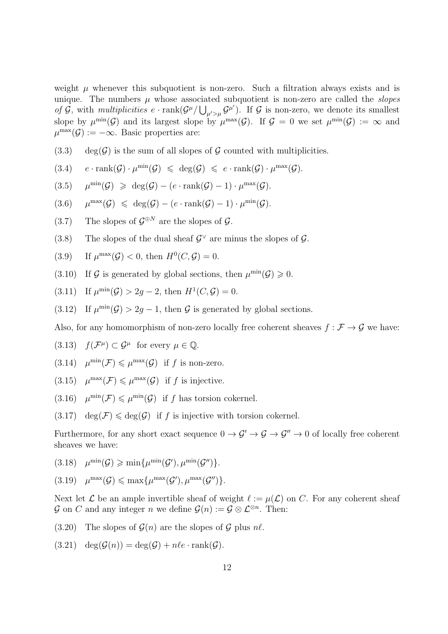weight  $\mu$  whenever this subquotient is non-zero. Such a filtration always exists and is unique. The numbers  $\mu$  whose associated subquotient is non-zero are called the *slopes* of  $\mathcal{G}$ , with multiplicities  $e \cdot \text{rank}(\mathcal{G}^\mu/\bigcup_{\mu' > \mu} \mathcal{G}^{\mu'}).$  If  $\mathcal{G}$  is non-zero, we denote its smallest slope by  $\mu^{\min}(\mathcal{G})$  and its largest slope by  $\mu^{\max}(\mathcal{G})$ . If  $\mathcal{G} = 0$  we set  $\mu^{\min}(\mathcal{G}) := \infty$  and  $\mu^{\max}(\mathcal{G}) := -\infty$ . Basic properties are:

 $(3.3)$  deg(G) is the sum of all slopes of G counted with multiplicities.

$$
(3.4) \quad e \cdot \operatorname{rank}(\mathcal{G}) \cdot \mu^{\min}(\mathcal{G}) \leqslant \deg(\mathcal{G}) \leqslant e \cdot \operatorname{rank}(\mathcal{G}) \cdot \mu^{\max}(\mathcal{G}).
$$

$$
(3.5) \quad \mu^{\min}(\mathcal{G}) \geq \deg(\mathcal{G}) - (e \cdot \text{rank}(\mathcal{G}) - 1) \cdot \mu^{\max}(\mathcal{G}).
$$

- $(3.6)$   $\mu^{\max}(\mathcal{G}) \leq \deg(\mathcal{G}) (e \cdot \text{rank}(\mathcal{G}) 1) \cdot \mu^{\min}(\mathcal{G}).$
- (3.7) The slopes of  $\mathcal{G}^{\oplus N}$  are the slopes of  $\mathcal{G}$ .
- (3.8) The slopes of the dual sheaf  $\mathcal{G}^{\vee}$  are minus the slopes of  $\mathcal{G}$ .

(3.9) If 
$$
\mu^{\max}(\mathcal{G}) < 0
$$
, then  $H^0(C, \mathcal{G}) = 0$ .

(3.10) If G is generated by global sections, then  $\mu^{\min}(\mathcal{G}) \geq 0$ .

(3.11) If 
$$
\mu^{\min}(\mathcal{G}) > 2g - 2
$$
, then  $H^1(C, \mathcal{G}) = 0$ .

(3.12) If  $\mu^{\min}(\mathcal{G}) > 2g - 1$ , then G is generated by global sections.

Also, for any homomorphism of non-zero locally free coherent sheaves  $f : \mathcal{F} \to \mathcal{G}$  we have:

(3.13) 
$$
f(\mathcal{F}^{\mu}) \subset \mathcal{G}^{\mu}
$$
 for every  $\mu \in \mathbb{Q}$ .

- $(3.14)$   $\mu^{\min}(\mathcal{F}) \leq \mu^{\max}(\mathcal{G})$  if f is non-zero.
- (3.15)  $\mu^{\max}(\mathcal{F}) \leq \mu^{\max}(\mathcal{G})$  if f is injective.
- (3.16)  $\mu^{\min}(\mathcal{F}) \leq \mu^{\min}(\mathcal{G})$  if f has torsion cokernel.

 $(3.17) \text{ deg}(\mathcal{F}) \leq \text{deg}(\mathcal{G})$  if f is injective with torsion cokernel.

Furthermore, for any short exact sequence  $0 \to \mathcal{G}' \to \mathcal{G} \to \mathcal{G}'' \to 0$  of locally free coherent sheaves we have:

(3.18)  $\mu^{\min}(\mathcal{G}) \geqslant \min\{\mu^{\min}(\mathcal{G}'), \mu^{\min}(\mathcal{G}'')\}.$ 

 $(3.19)$   $\mu^{\max}(\mathcal{G}) \leq \max\{\mu^{\max}(\mathcal{G}'), \mu^{\max}(\mathcal{G}'')\}.$ 

Next let  $\mathcal L$  be an ample invertible sheaf of weight  $\ell := \mu(\mathcal L)$  on C. For any coherent sheaf G on C and any integer n we define  $\mathcal{G}(n) := \mathcal{G} \otimes \mathcal{L}^{\otimes n}$ . Then:

 $(3.20)$  The slopes of  $\mathcal{G}(n)$  are the slopes of  $\mathcal{G}$  plus  $n\ell$ .

 $(3.21) \quad \deg(\mathcal{G}(n)) = \deg(\mathcal{G}) + n\ell e \cdot \text{rank}(\mathcal{G}).$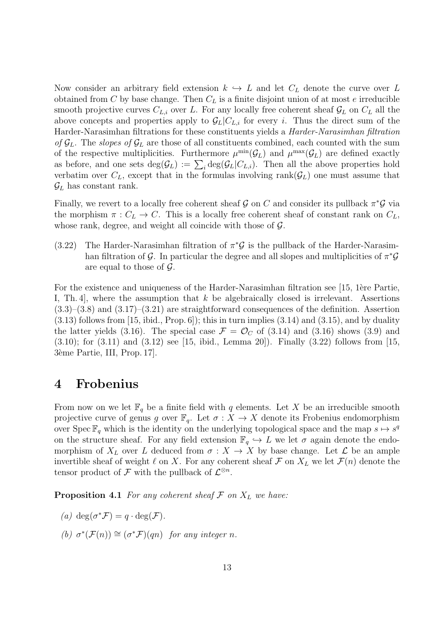Now consider an arbitrary field extension  $k \leftrightarrow L$  and let  $C_L$  denote the curve over L obtained from C by base change. Then  $C<sub>L</sub>$  is a finite disjoint union of at most e irreducible smooth projective curves  $C_{L,i}$  over L. For any locally free coherent sheaf  $\mathcal{G}_L$  on  $C_L$  all the above concepts and properties apply to  $\mathcal{G}_L|C_{L,i}$  for every i. Thus the direct sum of the Harder-Narasimhan filtrations for these constituents yields a Harder-Narasimhan filtration of  $\mathcal{G}_L$ . The slopes of  $\mathcal{G}_L$  are those of all constituents combined, each counted with the sum of the respective multiplicities. Furthermore  $\mu^{\min}(\mathcal{G}_L)$  and  $\mu^{\max}(\mathcal{G}_L)$  are defined exactly as before, and one sets  $\deg(\mathcal{G}_L) := \sum_i \deg(\mathcal{G}_L|C_{L,i})$ . Then all the above properties hold verbatim over  $C_L$ , except that in the formulas involving rank $(\mathcal{G}_L)$  one must assume that  $\mathcal{G}_L$  has constant rank.

Finally, we revert to a locally free coherent sheaf G on C and consider its pullback  $\pi^*\mathcal{G}$  via the morphism  $\pi: C_L \to C$ . This is a locally free coherent sheaf of constant rank on  $C_L$ , whose rank, degree, and weight all coincide with those of  $\mathcal{G}$ .

The Harder-Narasimhan filtration of  $\pi^*\mathcal{G}$  is the pullback of the Harder-Narasimhan filtration of G. In particular the degree and all slopes and multiplicities of  $\pi^*\mathcal{G}$ are equal to those of  $\mathcal{G}$ . (3.22)

For the existence and uniqueness of the Harder-Narasimhan filtration see [15, 1ère Partie, I, Th. 4, where the assumption that  $k$  be algebraically closed is irrelevant. Assertions  $(3.3)$ – $(3.8)$  and  $(3.17)$ – $(3.21)$  are straightforward consequences of the definition. Assertion  $(3.13)$  follows from [15, ibid., Prop. 6]); this in turn implies  $(3.14)$  and  $(3.15)$ , and by duality the latter yields (3.16). The special case  $\mathcal{F} = \mathcal{O}_C$  of (3.14) and (3.16) shows (3.9) and  $(3.10)$ ; for  $(3.11)$  and  $(3.12)$  see [15, ibid., Lemma 20]). Finally  $(3.22)$  follows from [15, 3`eme Partie, III, Prop. 17].

### 4 Frobenius

From now on we let  $\mathbb{F}_q$  be a finite field with q elements. Let X be an irreducible smooth projective curve of genus g over  $\mathbb{F}_q$ . Let  $\sigma : X \to X$  denote its Frobenius endomorphism over Spec  $\mathbb{F}_q$  which is the identity on the underlying topological space and the map  $s \mapsto s^q$ on the structure sheaf. For any field extension  $\mathbb{F}_q \hookrightarrow L$  we let  $\sigma$  again denote the endomorphism of  $X_L$  over L deduced from  $\sigma : X \to X$  by base change. Let L be an ample invertible sheaf of weight  $\ell$  on X. For any coherent sheaf  $\mathcal F$  on  $X_L$  we let  $\mathcal F(n)$  denote the tensor product of  $\mathcal F$  with the pullback of  $\mathcal L^{\otimes n}$ .

**Proposition 4.1** For any coherent sheaf  $\mathcal F$  on  $X_L$  we have:

- (a) deg( $\sigma^* \mathcal{F}$ ) = q · deg( $\mathcal{F}$ ).
- (b)  $\sigma^*(\mathcal{F}(n)) \cong (\sigma^*\mathcal{F})(qn)$  for any integer n.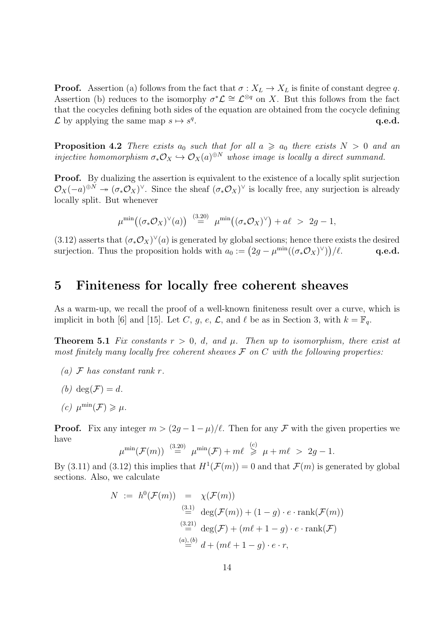**Proof.** Assertion (a) follows from the fact that  $\sigma : X_L \to X_L$  is finite of constant degree q. Assertion (b) reduces to the isomorphy  $\sigma^*\mathcal{L} \cong \mathcal{L}^{\otimes q}$  on X. But this follows from the fact that the cocycles defining both sides of the equation are obtained from the cocycle defining  $\mathcal L$  by applying the same map  $s \mapsto s^q$ . The contraction of  $\mathbf{q.e.d.}$ 

**Proposition 4.2** There exists  $a_0$  such that for all  $a \ge a_0$  there exists  $N > 0$  and an injective homomorphism  $\sigma_*\mathcal{O}_X \hookrightarrow \mathcal{O}_X(a)^{\oplus N}$  whose image is locally a direct summand.

**Proof.** By dualizing the assertion is equivalent to the existence of a locally split surjection  $\mathcal{O}_X(-a)^{\oplus N} \to (\sigma_* \mathcal{O}_X)^\vee$ . Since the sheaf  $(\sigma_* \mathcal{O}_X)^\vee$  is locally free, any surjection is already locally split. But whenever

$$
\mu^{\min}((\sigma_*\mathcal{O}_X)^\vee(a)) \stackrel{(3.20)}{=} \mu^{\min}((\sigma_*\mathcal{O}_X)^\vee) + a\ell > 2g - 1,
$$

(3.12) asserts that  $(\sigma_* \mathcal{O}_X)^\vee(a)$  is generated by global sections; hence there exists the desired surjection. Thus the proposition holds with  $a_0 := (2g - \mu^{\min}((\sigma_* \mathcal{O}_X)^{\vee}))$ q.e.d.

#### 5 Finiteness for locally free coherent sheaves

As a warm-up, we recall the proof of a well-known finiteness result over a curve, which is implicit in both [6] and [15]. Let C, g, e,  $\mathcal{L}$ , and  $\ell$  be as in Section 3, with  $k = \mathbb{F}_q$ .

**Theorem 5.1** Fix constants  $r > 0$ , d, and  $\mu$ . Then up to isomorphism, there exist at most finitely many locally free coherent sheaves  $\mathcal F$  on  $C$  with the following properties:

- (a)  $\mathcal F$  has constant rank r.
- (b) deg( $\mathcal{F}$ ) = d.
- (c)  $\mu^{\min}(\mathcal{F}) \geqslant \mu$ .

**Proof.** Fix any integer  $m > (2g - 1 - \mu)/\ell$ . Then for any F with the given properties we have

$$
\mu^{\min}(\mathcal{F}(m)) \stackrel{(3.20)}{=} \mu^{\min}(\mathcal{F}) + m\ell \stackrel{(c)}{\geq} \mu + m\ell > 2g - 1.
$$

By (3.11) and (3.12) this implies that  $H^1(\mathcal{F}(m)) = 0$  and that  $\mathcal{F}(m)$  is generated by global sections. Also, we calculate

$$
N := h^{0}(\mathcal{F}(m)) = \chi(\mathcal{F}(m))
$$
  
\n
$$
\stackrel{(3.1)}{=} \deg(\mathcal{F}(m)) + (1 - g) \cdot e \cdot \operatorname{rank}(\mathcal{F}(m))
$$
  
\n
$$
\stackrel{(3.21)}{=} \deg(\mathcal{F}) + (m\ell + 1 - g) \cdot e \cdot \operatorname{rank}(\mathcal{F})
$$
  
\n
$$
\stackrel{(a), (b)}{=} d + (m\ell + 1 - g) \cdot e \cdot r,
$$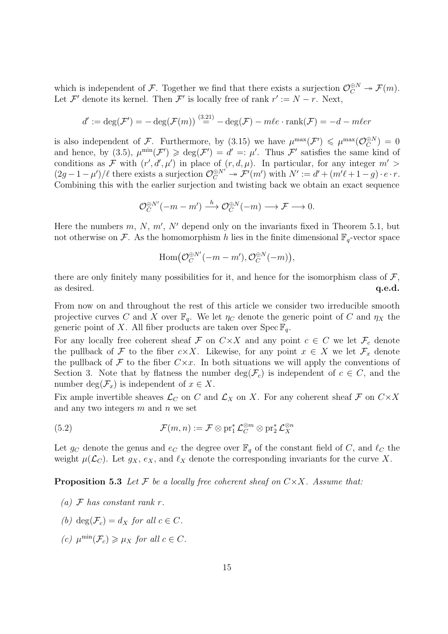which is independent of F. Together we find that there exists a surjection  $\mathcal{O}_C^{\oplus N} \to \mathcal{F}(m)$ . Let  $\mathcal{F}'$  denote its kernel. Then  $\mathcal{F}'$  is locally free of rank  $r' := N - r$ . Next,

$$
d' := \deg(\mathcal{F}') = -\deg(\mathcal{F}(m)) \stackrel{(3.21)}{=} -\deg(\mathcal{F}) - m\ell e \cdot \text{rank}(\mathcal{F}) = -d - m\ell e
$$

is also independent of F. Furthermore, by (3.15) we have  $\mu^{\max}(\mathcal{F}') \leq \mu^{\max}(\mathcal{O}_C^{\oplus N})$  $C^{N}$ ) = 0 and hence, by (3.5),  $\mu^{\min}(\mathcal{F}') \geq \deg(\mathcal{F}') = d' =: \mu'.$  Thus  $\mathcal{F}'$  satisfies the same kind of conditions as F with  $(r', d', \mu')$  in place of  $(r, d, \mu)$ . In particular, for any integer  $m' >$  $(2g-1-\mu')/\ell$  there exists a surjection  $\mathcal{O}_C^{\oplus N'} \twoheadrightarrow \mathcal{F}'(m')$  with  $N' := d' + (m'\ell+1-g) \cdot e \cdot r$ . Combining this with the earlier surjection and twisting back we obtain an exact sequence

$$
\mathcal{O}_C^{\oplus N'}(-m-m') \xrightarrow{h} \mathcal{O}_C^{\oplus N}(-m) \longrightarrow \mathcal{F} \longrightarrow 0.
$$

Here the numbers  $m, N, m', N'$  depend only on the invariants fixed in Theorem 5.1, but not otherwise on F. As the homomorphism h lies in the finite dimensional  $\mathbb{F}_q$ -vector space

$$
\mathrm{Hom}\big(\mathcal{O}_C^{\oplus N'}(-m-m'), \mathcal{O}_C^{\oplus N}(-m)\big),
$$

there are only finitely many possibilities for it, and hence for the isomorphism class of  $\mathcal{F}$ , as desired.  $q.e.d.$ 

From now on and throughout the rest of this article we consider two irreducible smooth projective curves C and X over  $\mathbb{F}_q$ . We let  $\eta_C$  denote the generic point of C and  $\eta_X$  the generic point of X. All fiber products are taken over  $\operatorname{Spec} \mathbb{F}_q$ .

For any locally free coherent sheaf F on  $C \times X$  and any point  $c \in C$  we let  $\mathcal{F}_c$  denote the pullback of F to the fiber c×X. Likewise, for any point  $x \in X$  we let  $\mathcal{F}_x$  denote the pullback of  $\mathcal F$  to the fiber  $C \times x$ . In both situations we will apply the conventions of Section 3. Note that by flatness the number  $\deg(\mathcal{F}_c)$  is independent of  $c \in C$ , and the number deg $(\mathcal{F}_x)$  is independent of  $x \in X$ .

Fix ample invertible sheaves  $\mathcal{L}_C$  on C and  $\mathcal{L}_X$  on X. For any coherent sheaf F on  $C \times X$ and any two integers  $m$  and  $n$  we set

(5.2) 
$$
\mathcal{F}(m,n) := \mathcal{F} \otimes \mathrm{pr}_1^* \mathcal{L}_C^{\otimes m} \otimes \mathrm{pr}_2^* \mathcal{L}_X^{\otimes n}
$$

Let  $g_C$  denote the genus and  $e_C$  the degree over  $\mathbb{F}_q$  of the constant field of C, and  $\ell_C$  the weight  $\mu(\mathcal{L}_C)$ . Let  $g_X, e_X$ , and  $\ell_X$  denote the corresponding invariants for the curve X.

**Proposition 5.3** Let F be a locally free coherent sheaf on  $C \times X$ . Assume that:

- (a)  $\mathcal F$  has constant rank r.
- (b) deg( $\mathcal{F}_c$ ) = d<sub>x</sub> for all  $c \in C$ .
- (c)  $\mu^{\min}(\mathcal{F}_c) \geq \mu_X$  for all  $c \in C$ .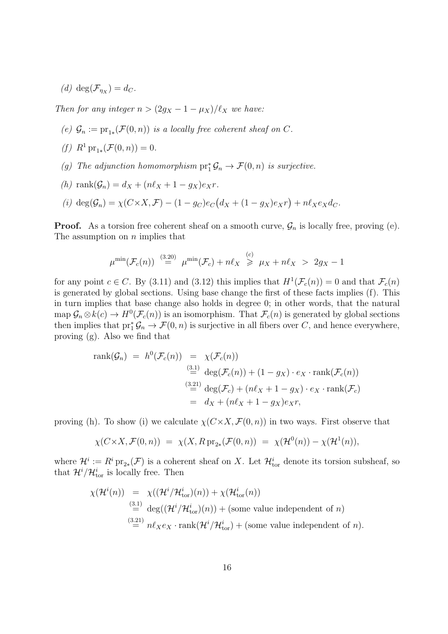(d)  $deg(\mathcal{F}_{\eta_X}) = d_C.$ 

Then for any integer  $n > (2g_X - 1 - \mu_X)/\ell_X$  we have:

- (e)  $\mathcal{G}_n := \mathrm{pr}_{1*}(\mathcal{F}(0,n))$  is a locally free coherent sheaf on C.
- (f)  $R^1 \text{pr}_{1*}(\mathcal{F}(0, n)) = 0.$
- (g) The adjunction homomorphism  $pr_1^* \mathcal{G}_n \to \mathcal{F}(0,n)$  is surjective.
- (h) rank $(\mathcal{G}_n) = d_X + (n\ell_X + 1 g_X)e_X r$ .
- (i)  $\deg(\mathcal{G}_n) = \chi(C \times X, \mathcal{F}) (1 g_C)e_C(d_X + (1 g_X)e_Xr) + n\ell_Xe_Xd_C.$

**Proof.** As a torsion free coherent sheaf on a smooth curve,  $\mathcal{G}_n$  is locally free, proving (e). The assumption on  $n$  implies that

$$
\mu^{\min}(\mathcal{F}_c(n)) \stackrel{(3.20)}{=} \mu^{\min}(\mathcal{F}_c) + n\ell_X \stackrel{(c)}{\geq} \mu_X + n\ell_X > 2g_X - 1
$$

for any point  $c \in C$ . By (3.11) and (3.12) this implies that  $H^1(\mathcal{F}_c(n)) = 0$  and that  $\mathcal{F}_c(n)$ is generated by global sections. Using base change the first of these facts implies (f). This in turn implies that base change also holds in degree 0; in other words, that the natural map  $\mathcal{G}_n \otimes k(c) \to H^0(\mathcal{F}_c(n))$  is an isomorphism. That  $\mathcal{F}_c(n)$  is generated by global sections then implies that  $pr_1^*\mathcal{G}_n \to \mathcal{F}(0,n)$  is surjective in all fibers over C, and hence everywhere, proving (g). Also we find that

rank
$$
(\mathcal{G}_n)
$$
 =  $h^0(\mathcal{F}_c(n))$  =  $\chi(\mathcal{F}_c(n))$   
\n $\stackrel{(3.1)}{=} \deg(\mathcal{F}_c(n)) + (1 - g_X) \cdot e_X \cdot \text{rank}(\mathcal{F}_c(n))$   
\n $\stackrel{(3.21)}{=} \deg(\mathcal{F}_c) + (n\ell_X + 1 - g_X) \cdot e_X \cdot \text{rank}(\mathcal{F}_c)$   
\n=  $d_X + (n\ell_X + 1 - g_X)e_X r$ ,

proving (h). To show (i) we calculate  $\chi(C \times X, \mathcal{F}(0, n))$  in two ways. First observe that

$$
\chi(C \times X, \mathcal{F}(0,n)) = \chi(X, R \operatorname{pr}_{2*}(\mathcal{F}(0,n)) = \chi(\mathcal{H}^0(n)) - \chi(\mathcal{H}^1(n)),
$$

where  $\mathcal{H}^i := R^i \operatorname{pr}_{2*}(\mathcal{F})$  is a coherent sheaf on X. Let  $\mathcal{H}_{\text{tor}}^i$  denote its torsion subsheaf, so that  $\mathcal{H}^i/\mathcal{H}_{\text{tor}}^i$  is locally free. Then

$$
\chi(\mathcal{H}^{i}(n)) = \chi((\mathcal{H}^{i}/\mathcal{H}^{i}_{\text{tor}})(n)) + \chi(\mathcal{H}^{i}_{\text{tor}}(n))
$$
  
\n
$$
\stackrel{(3.1)}{=} \deg((\mathcal{H}^{i}/\mathcal{H}^{i}_{\text{tor}})(n)) + \text{(some value independent of } n)
$$
  
\n
$$
\stackrel{(3.21)}{=} n\ell_{X}e_{X} \cdot \text{rank}(\mathcal{H}^{i}/\mathcal{H}^{i}_{\text{tor}}) + \text{(some value independent of } n).
$$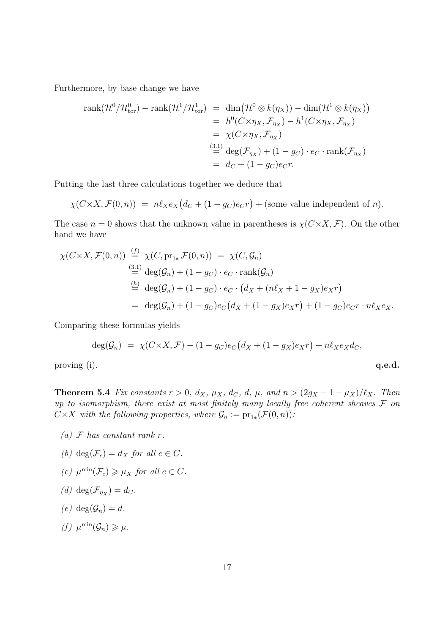Furthermore, by base change we have

rank(H<sup>0</sup> /H<sup>0</sup> tor) − rank(H<sup>1</sup> /H<sup>1</sup> tor) = dim H<sup>0</sup> ⊗ k(ηX)) − dim(H<sup>1</sup> ⊗ k(ηX) = h 0 (C×η<sup>X</sup> , F<sup>η</sup><sup>X</sup> ) − h 1 (C×η<sup>X</sup> , F<sup>η</sup><sup>X</sup> ) = χ(C×ηX, F<sup>η</sup><sup>X</sup> ) (3.1) = deg(F<sup>η</sup><sup>X</sup> ) + (1 − gC) · e<sup>C</sup> · rank(F<sup>η</sup><sup>X</sup> ) = d<sup>C</sup> + (1 − gC)eCr.

Putting the last three calculations together we deduce that

$$
\chi(C \times X, \mathcal{F}(0, n)) = n\ell_X e_X (d_C + (1 - g_C)e_C r) + \text{(some value independent of } n).
$$

The case  $n = 0$  shows that the unknown value in parentheses is  $\chi(C \times X, \mathcal{F})$ . On the other hand we have

$$
\chi(C \times X, \mathcal{F}(0, n)) \stackrel{(f)}{=} \chi(C, \text{pr}_{1*} \mathcal{F}(0, n)) = \chi(C, \mathcal{G}_n)
$$
  
\n
$$
\stackrel{(3.1)}{=} \deg(\mathcal{G}_n) + (1 - g_C) \cdot e_C \cdot \text{rank}(\mathcal{G}_n)
$$
  
\n
$$
\stackrel{(h)}{=} \deg(\mathcal{G}_n) + (1 - g_C) \cdot e_C \cdot (d_X + (n\ell_X + 1 - g_X)e_X r)
$$
  
\n
$$
= \deg(\mathcal{G}_n) + (1 - g_C)e_C(d_X + (1 - g_X)e_X r) + (1 - g_C)e_C r \cdot n\ell_X e_X.
$$

Comparing these formulas yields

$$
\deg(\mathcal{G}_n) = \chi(C \times X, \mathcal{F}) - (1 - g_C)e_C(d_X + (1 - g_X)e_Xr) + n\ell_Xe_Xd_C,
$$

proving  $(i)$ .  $q.e.d.$ 

Theorem 5.4 Fix constants  $r > 0$ ,  $d_X$ ,  $\mu_X$ ,  $d_C$ ,  $d$ ,  $\mu$ , and  $n > (2g_X - 1 - \mu_X)/\ell_X$ . Then up to isomorphism, there exist at most finitely many locally free coherent sheaves  $\mathcal F$  on  $C\times X$  with the following properties, where  $\mathcal{G}_n:=\mathrm{pr}_{1*}(\mathcal{F}(0,n))$ :

(a)  $\mathcal F$  has constant rank r.

(b) 
$$
\deg(\mathcal{F}_c) = d_X
$$
 for all  $c \in C$ .

- (c)  $\mu^{\min}(\mathcal{F}_c) \ge \mu_X$  for all  $c \in C$ .
- (d)  $\deg(\mathcal{F}_{\eta_X}) = d_C.$
- (e) deg( $\mathcal{G}_n$ ) = d.
- (f)  $\mu^{\min}(\mathcal{G}_n) \geq \mu$ .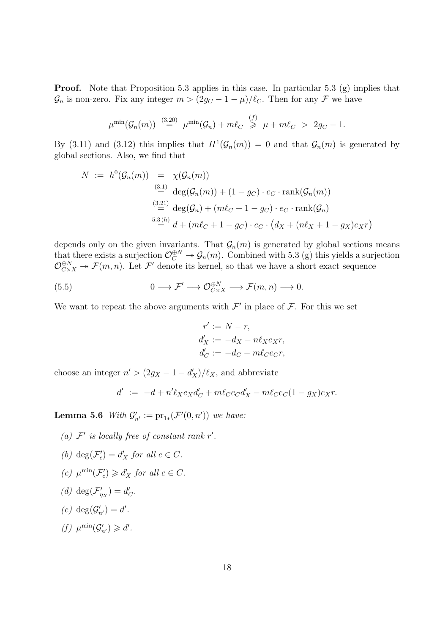**Proof.** Note that Proposition 5.3 applies in this case. In particular 5.3 (g) implies that  $\mathcal{G}_n$  is non-zero. Fix any integer  $m > (2g_C - 1 - \mu)/\ell_C$ . Then for any F we have

$$
\mu^{\min}(\mathcal{G}_n(m)) \stackrel{(3.20)}{=} \mu^{\min}(\mathcal{G}_n) + m\ell_C \stackrel{(f)}{\geq} \mu + m\ell_C > 2g_C - 1.
$$

By (3.11) and (3.12) this implies that  $H^1(\mathcal{G}_n(m)) = 0$  and that  $\mathcal{G}_n(m)$  is generated by global sections. Also, we find that

$$
N := h^{0}(\mathcal{G}_{n}(m)) = \chi(\mathcal{G}_{n}(m))
$$
  
\n
$$
\stackrel{(3.1)}{=} \deg(\mathcal{G}_{n}(m)) + (1 - g_{C}) \cdot e_{C} \cdot \text{rank}(\mathcal{G}_{n}(m))
$$
  
\n
$$
\stackrel{(3.21)}{=} \deg(\mathcal{G}_{n}) + (m\ell_{C} + 1 - g_{C}) \cdot e_{C} \cdot \text{rank}(\mathcal{G}_{n})
$$
  
\n
$$
\stackrel{5.3(h)}{=} d + (m\ell_{C} + 1 - g_{C}) \cdot e_{C} \cdot (d_{X} + (n\ell_{X} + 1 - g_{X})e_{X}r)
$$

depends only on the given invariants. That  $\mathcal{G}_n(m)$  is generated by global sections means that there exists a surjection  $\mathcal{O}_C^{\oplus N} \to \mathcal{G}_n(m)$ . Combined with 5.3 (g) this yields a surjection  $\mathcal{O}_{C\times X}^{\oplus N}$   $\rightarrow$   $\mathcal{F}(m,n)$ . Let  $\mathcal{F}'$  denote its kernel, so that we have a short exact sequence

(5.5) 
$$
0 \longrightarrow \mathcal{F}' \longrightarrow \mathcal{O}_{C \times X}^{\oplus N} \longrightarrow \mathcal{F}(m, n) \longrightarrow 0.
$$

We want to repeat the above arguments with  $\mathcal{F}'$  in place of  $\mathcal{F}$ . For this we set

$$
r' := N - r,
$$
  
\n
$$
d'_{X} := -d_{X} - n\ell_{X}e_{X}r,
$$
  
\n
$$
d'_{C} := -d_{C} - m\ell_{C}e_{C}r,
$$

choose an integer  $n' > (2g_X - 1 - d'_X)/\ell_X$ , and abbreviate

$$
d' \ := \ -d + n'\ell_X e_X d'_C + m\ell_C e_C d'_X - m\ell_C e_C (1-g_X)e_X r.
$$

**Lemma 5.6** With  $\mathcal{G}'_{n'} := \mathrm{pr}_{1*}(\mathcal{F}'(0,n'))$  we have:

- (a)  $\mathcal{F}'$  is locally free of constant rank r'.
- (b) deg( $\mathcal{F}'_c$  $c'_{c}$  =  $d'_{X}$  for all  $c \in C$ .
- (c)  $\mu^{\min}(\mathcal{F}_c')$  $c'$   $\geq d'$  for all  $c \in C$ .
- (d) deg( $\mathcal{F}'_n$  $\binom{d}{\eta_X} = d'_0$  $_C'$
- (e)  $deg(\mathcal{G}'_{n'}) = d'$ .
- (f)  $\mu^{\min}(\mathcal{G}'_{n'}) \geq d'.$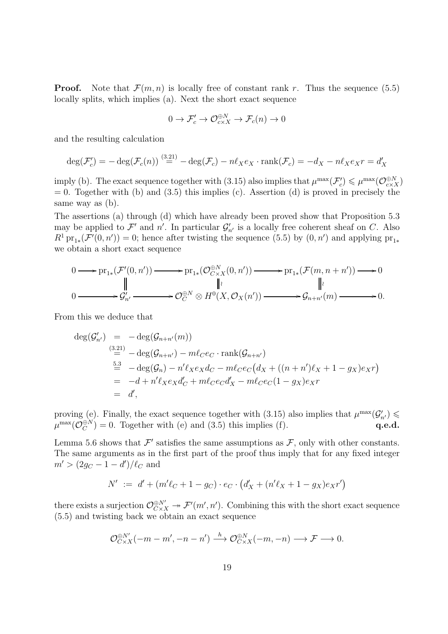**Proof.** Note that  $\mathcal{F}(m, n)$  is locally free of constant rank r. Thus the sequence (5.5) locally splits, which implies (a). Next the short exact sequence

$$
0 \to \mathcal{F}'_c \to \mathcal{O}^{\oplus N}_{c \times X} \to \mathcal{F}_c(n) \to 0
$$

and the resulting calculation

$$
\deg(\mathcal{F}'_c) = -\deg(\mathcal{F}_c(n)) \stackrel{(3.21)}{=} -\deg(\mathcal{F}_c) - n\ell_X e_X \cdot \operatorname{rank}(\mathcal{F}_c) = -d_X - n\ell_X e_X r = d'_X
$$

imply (b). The exact sequence together with (3.15) also implies that  $\mu^{\max}(\mathcal{F}'_c)$  $\mu^{\max}(\mathcal{O}_{c\times X}^{\oplus N})$  $= 0$ . Together with (b) and (3.5) this implies (c). Assertion (d) is proved in precisely the same way as (b).

The assertions (a) through (d) which have already been proved show that Proposition 5.3 may be applied to  $\mathcal{F}'$  and  $n'$ . In particular  $\mathcal{G}'_{n'}$  is a locally free coherent sheaf on C. Also  $R^1 \text{pr}_{1*}(\mathcal{F}'(0,n'))=0$ ; hence after twisting the sequence (5.5) by  $(0,n')$  and applying  $\text{pr}_{1*}$ we obtain a short exact sequence

$$
0 \longrightarrow \mathrm{pr}_{1*}(\mathcal{F}'(0,n')) \longrightarrow \mathrm{pr}_{1*}(\mathcal{O}_{C \times X}^{\oplus N}(0,n')) \longrightarrow \mathrm{pr}_{1*}(\mathcal{F}(m,n+n')) \longrightarrow 0
$$
  
\n
$$
\parallel \qquad \qquad \parallel i \qquad \qquad \parallel i
$$
  
\n
$$
0 \longrightarrow \mathcal{G}'_{n'} \longrightarrow \mathcal{O}_{C}^{\oplus N} \otimes H^{0}(X,\mathcal{O}_{X}(n')) \longrightarrow \mathcal{G}_{n+n'}(m) \longrightarrow 0.
$$

From this we deduce that

$$
\begin{array}{rcl}\n\deg(\mathcal{G}'_{n'}) & = & -\deg(\mathcal{G}_{n+n'}(m)) \\
& & \stackrel{(3.21)}{=} & -\deg(\mathcal{G}_{n+n'}) - m\ell_C e_C \cdot \text{rank}(\mathcal{G}_{n+n'}) \\
& & \stackrel{5.3}{=} & -\deg(\mathcal{G}_n) - n'\ell_X e_X d_C - m\ell_C e_C (d_X + ((n+n')\ell_X + 1 - g_X)e_X r) \\
& & = & -d + n'\ell_X e_X d_C' + m\ell_C e_C d_X' - m\ell_C e_C (1 - g_X)e_X r \\
& & = & d',\n\end{array}
$$

proving (e). Finally, the exact sequence together with (3.15) also implies that  $\mu^{\max}(\mathcal{G}'_{n'}) \leq$  $\mu^{\max}(\mathcal{O}_C^{\oplus N})$  $C^{(\theta,N)}_{C} = 0.$  Together with (e) and (3.5) this implies (f).  $q.e.d.$ 

Lemma 5.6 shows that  $\mathcal{F}'$  satisfies the same assumptions as  $\mathcal{F}$ , only with other constants. The same arguments as in the first part of the proof thus imply that for any fixed integer  $m' > (2g_C - 1 - d')/\ell_C$  and

$$
N' := d' + (m'\ell_C + 1 - g_C) \cdot e_C \cdot (d'_X + (n'\ell_X + 1 - g_X)e_X r')
$$

there exists a surjection  $\mathcal{O}^{\oplus N'}_{C \times X} \twoheadrightarrow \mathcal{F}'(m', n')$ . Combining this with the short exact sequence (5.5) and twisting back we obtain an exact sequence

$$
\mathcal{O}_{C\times X}^{\oplus N'}(-m-m',-n-n') \xrightarrow{h} \mathcal{O}_{C\times X}^{\oplus N}(-m,-n) \longrightarrow \mathcal{F} \longrightarrow 0.
$$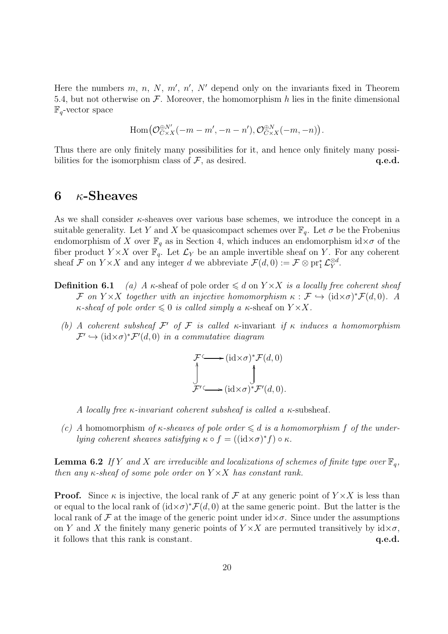Here the numbers  $m, n, N, m', n', N'$  depend only on the invariants fixed in Theorem 5.4, but not otherwise on  $\mathcal F$ . Moreover, the homomorphism h lies in the finite dimensional  $\mathbb{F}_q$ -vector space

$$
\operatorname{Hom}\bigl(\mathcal{O}_{C\times X}^{\oplus N'}(-m-m',-n-n'),\mathcal{O}_{C\times X}^{\oplus N}(-m,-n)\bigr).
$$

Thus there are only finitely many possibilities for it, and hence only finitely many possibilities for the isomorphism class of  $\mathcal F$ , as desired.  $q.e.d.$ 

# 6  $\kappa$ -Sheaves

As we shall consider  $\kappa$ -sheaves over various base schemes, we introduce the concept in a suitable generality. Let Y and X be quasicompact schemes over  $\mathbb{F}_q$ . Let  $\sigma$  be the Frobenius endomorphism of X over  $\mathbb{F}_q$  as in Section 4, which induces an endomorphism  $id \times \sigma$  of the fiber product  $Y \times X$  over  $\mathbb{F}_q$ . Let  $\mathcal{L}_Y$  be an ample invertible sheaf on Y. For any coherent sheaf F on  $Y \times X$  and any integer d we abbreviate  $\mathcal{F}(d, 0) := \mathcal{F} \otimes \text{pr}_1^* \mathcal{L}_Y^{\otimes d}$  $_{Y}^{\otimes d}.$ 

- **Definition 6.1** (a) A  $\kappa$ -sheaf of pole order  $\leq d$  on  $Y \times X$  is a locally free coherent sheaf F on  $Y \times X$  together with an injective homomorphism  $\kappa : \mathcal{F} \hookrightarrow (\mathrm{id} \times \sigma)^* \mathcal{F}(d,0)$ . A  $\kappa$ -sheaf of pole order  $\leq 0$  is called simply a  $\kappa$ -sheaf on  $Y \times X$ .
	- (b) A coherent subsheaf  $\mathcal{F}'$  of  $\mathcal F$  is called κ-invariant if  $\kappa$  induces a homomorphism  $\mathcal{F}' \hookrightarrow (\mathrm{id} \times \sigma)^* \mathcal{F}'(d,0)$  in a commutative diagram

$$
\mathcal{F} \longrightarrow (\mathrm{id} \times \sigma)^* \mathcal{F}(d, 0)
$$
  

$$
\downarrow \qquad \qquad \downarrow
$$
  

$$
\mathcal{F}' \longrightarrow (\mathrm{id} \times \sigma)^* \mathcal{F}'(d, 0).
$$

A locally free  $\kappa$ -invariant coherent subsheaf is called a  $\kappa$ -subsheaf.

(c) A homomorphism of  $\kappa$ -sheaves of pole order  $\leq d$  is a homomorphism f of the underlying coherent sheaves satisfying  $\kappa \circ f = ((id \times \sigma)^* f) \circ \kappa$ .

**Lemma 6.2** If Y and X are irreducible and localizations of schemes of finite type over  $\mathbb{F}_q$ , then any  $\kappa$ -sheaf of some pole order on  $Y \times X$  has constant rank.

**Proof.** Since  $\kappa$  is injective, the local rank of F at any generic point of  $Y \times X$  is less than or equal to the local rank of  $(id \times \sigma)^* \mathcal{F}(d, 0)$  at the same generic point. But the latter is the local rank of F at the image of the generic point under  $\mathrm{id} \times \sigma$ . Since under the assumptions on Y and X the finitely many generic points of  $Y \times X$  are permuted transitively by  $id \times \sigma$ , it follows that this rank is constant.  $q.e.d.$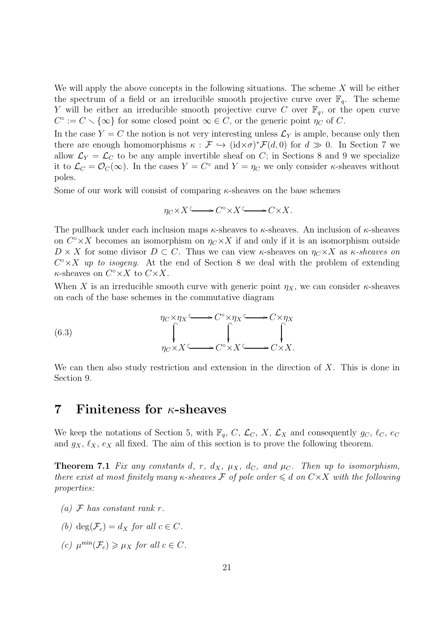We will apply the above concepts in the following situations. The scheme  $X$  will be either the spectrum of a field or an irreducible smooth projective curve over  $\mathbb{F}_q$ . The scheme Y will be either an irreducible smooth projective curve C over  $\mathbb{F}_q$ , or the open curve  $C^{\circ} := C \setminus \{\infty\}$  for some closed point  $\infty \in C$ , or the generic point  $\eta_C$  of C.

In the case  $Y = C$  the notion is not very interesting unless  $\mathcal{L}_Y$  is ample, because only then there are enough homomorphisms  $\kappa : \mathcal{F} \hookrightarrow (\mathrm{id} \times \sigma)^* \mathcal{F}(d,0)$  for  $d \gg 0$ . In Section 7 we allow  $\mathcal{L}_Y = \mathcal{L}_C$  to be any ample invertible sheaf on C; in Sections 8 and 9 we specialize it to  $\mathcal{L}_C = \mathcal{O}_C(\infty)$ . In the cases  $Y = C^{\circ}$  and  $Y = \eta_C$  we only consider  $\kappa$ -sheaves without poles.

Some of our work will consist of comparing  $\kappa$ -sheaves on the base schemes

$$
\eta_C \times X \longrightarrow C^{\circ} \times X \longrightarrow C \times X.
$$

The pullback under each inclusion maps  $\kappa$ -sheaves to  $\kappa$ -sheaves. An inclusion of  $\kappa$ -sheaves on  $C^{\circ}\times X$  becomes an isomorphism on  $\eta_C\times X$  if and only if it is an isomorphism outside  $D \times X$  for some divisor  $D \subset C$ . Thus we can view  $\kappa$ -sheaves on  $\eta_C \times X$  as  $\kappa$ -sheaves on  $C^{\circ}\times X$  up to isogeny. At the end of Section 8 we deal with the problem of extending  $\kappa$ -sheaves on  $C^{\circ} \times X$  to  $C \times X$ .

When X is an irreducible smooth curve with generic point  $\eta_X$ , we can consider  $\kappa$ -sheaves on each of the base schemes in the commutative diagram

(6.3) 
$$
\eta_C \times \eta_X \xrightarrow{\qquad \qquad } C^{\circ} \times \eta_X \xrightarrow{\qquad \qquad } C \times \eta_X
$$

$$
\downarrow \qquad \qquad \downarrow \qquad \qquad \downarrow
$$

$$
\eta_C \times X \xrightarrow{\qquad \qquad } C^{\circ} \times X \xrightarrow{\qquad \qquad } C \times X.
$$

We can then also study restriction and extension in the direction of  $X$ . This is done in Section 9.

#### 7 Finiteness for  $\kappa$ -sheaves

We keep the notations of Section 5, with  $\mathbb{F}_q$ , C,  $\mathcal{L}_C$ , X,  $\mathcal{L}_X$  and consequently  $g_C$ ,  $\ell_C$ ,  $e_C$ and  $g_X$ ,  $\ell_X$ ,  $e_X$  all fixed. The aim of this section is to prove the following theorem.

**Theorem 7.1** Fix any constants d, r,  $d_X$ ,  $\mu_X$ ,  $d_C$ , and  $\mu_C$ . Then up to isomorphism, there exist at most finitely many  $\kappa$ -sheaves  $\mathcal F$  of pole order  $\leq d$  on  $C\times X$  with the following properties:

- (a)  $\mathcal F$  has constant rank r.
- (b) deg( $\mathcal{F}_c$ ) = d<sub>x</sub> for all  $c \in C$ .
- (c)  $\mu^{\min}(\mathcal{F}_c) \ge \mu_X$  for all  $c \in C$ .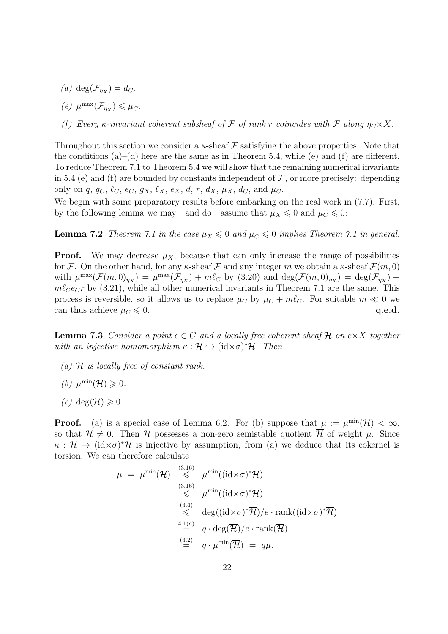- (d)  $deg(\mathcal{F}_{\eta_X}) = d_C.$
- (e)  $\mu^{\max}(\mathcal{F}_{\eta_X}) \leq \mu_C.$
- (f) Every  $\kappa$ -invariant coherent subsheaf of F of rank r coincides with F along  $\eta_C \times X$ .

Throughout this section we consider a  $\kappa$ -sheaf  $\mathcal F$  satisfying the above properties. Note that the conditions  $(a)$ –(d) here are the same as in Theorem 5.4, while (e) and (f) are different. To reduce Theorem 7.1 to Theorem 5.4 we will show that the remaining numerical invariants in 5.4 (e) and (f) are bounded by constants independent of  $\mathcal F$ , or more precisely: depending only on q,  $g_C$ ,  $\ell_C$ ,  $e_C$ ,  $g_X$ ,  $\ell_X$ ,  $e_X$ ,  $d$ ,  $r$ ,  $d_X$ ,  $\mu_X$ ,  $d_C$ , and  $\mu_C$ .

We begin with some preparatory results before embarking on the real work in  $(7.7)$ . First, by the following lemma we may—and do—assume that  $\mu_X \leq 0$  and  $\mu_C \leq 0$ :

**Lemma 7.2** Theorem 7.1 in the case  $\mu_X \leq 0$  and  $\mu_C \leq 0$  implies Theorem 7.1 in general.

**Proof.** We may decrease  $\mu_X$ , because that can only increase the range of possibilities for F. On the other hand, for any  $\kappa$ -sheaf F and any integer m we obtain a  $\kappa$ -sheaf  $\mathcal{F}(m,0)$ with  $\mu^{\max}(\mathcal{F}(m,0)_{\eta_X}) = \mu^{\max}(\mathcal{F}_{\eta_X}) + m\ell_C$  by (3.20) and  $\deg(\mathcal{F}(m,0)_{\eta_X}) = \deg(\mathcal{F}_{\eta_X}) +$  $m\ell_{C}e_{C}r$  by (3.21), while all other numerical invariants in Theorem 7.1 are the same. This process is reversible, so it allows us to replace  $\mu_C$  by  $\mu_C + m\ell_C$ . For suitable  $m \ll 0$  we can thus achieve  $\mu_C \leq 0$ . q.e.d.

**Lemma 7.3** Consider a point  $c \in C$  and a locally free coherent sheaf H on  $c \times X$  together with an injective homomorphism  $\kappa : \mathcal{H} \hookrightarrow (\mathrm{id} \times \sigma)^* \mathcal{H}$ . Then

- (a)  $H$  is locally free of constant rank.
- (b)  $\mu^{\min}(\mathcal{H}) \geqslant 0.$
- (c) deg( $\mathcal{H}$ )  $\geqslant$  0.

**Proof.** (a) is a special case of Lemma 6.2. For (b) suppose that  $\mu := \mu^{\min}(\mathcal{H}) < \infty$ , so that  $\mathcal{H} \neq 0$ . Then H possesses a non-zero semistable quotient  $\overline{\mathcal{H}}$  of weight  $\mu$ . Since  $\kappa : \mathcal{H} \to (\mathrm{id} \times \sigma)^* \mathcal{H}$  is injective by assumption, from (a) we deduce that its cokernel is torsion. We can therefore calculate

$$
\mu = \mu^{\min}(\mathcal{H}) \underset{\leq 3.16}{\overset{(3.16)}{\leq}} \mu^{\min}((id \times \sigma)^* \mathcal{H})
$$
\n
$$
\underset{\leq 3.4}{\overset{(3.16)}{\leq}} \mu^{\min}((id \times \sigma)^* \overline{\mathcal{H}})
$$
\n
$$
\underset{\cong}{\overset{(3.4)}{\leq}} \deg((id \times \sigma)^* \overline{\mathcal{H}})/e \cdot \text{rank}((id \times \sigma)^* \overline{\mathcal{H}})
$$
\n
$$
\overset{4.1(a)}{=} q \cdot \deg(\overline{\mathcal{H}})/e \cdot \text{rank}(\overline{\mathcal{H}})
$$
\n
$$
\overset{(3.2)}{=} q \cdot \mu^{\min}(\overline{\mathcal{H}}) = q\mu.
$$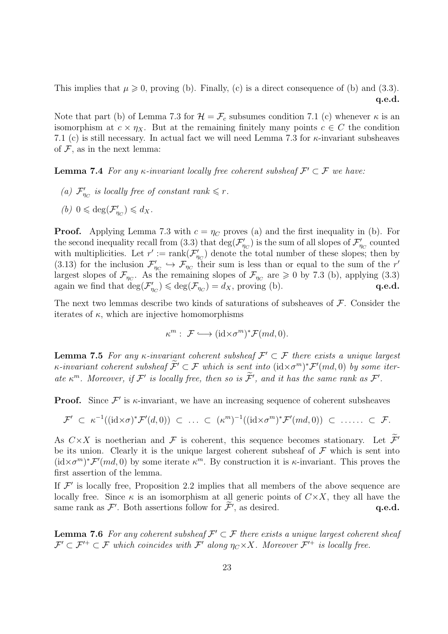This implies that  $\mu \geq 0$ , proving (b). Finally, (c) is a direct consequence of (b) and (3.3). q.e.d.

Note that part (b) of Lemma 7.3 for  $\mathcal{H} = \mathcal{F}_c$  subsumes condition 7.1 (c) whenever  $\kappa$  is an isomorphism at  $c \times \eta_X$ . But at the remaining finitely many points  $c \in C$  the condition 7.1 (c) is still necessary. In actual fact we will need Lemma 7.3 for  $\kappa$ -invariant subsheaves of  $F$ , as in the next lemma:

**Lemma 7.4** For any  $\kappa$ -invariant locally free coherent subsheaf  $\mathcal{F}' \subset \mathcal{F}$  we have:

- (a)  $\mathcal{F}'_n$  $\eta_C'$  is locally free of constant rank  $\leqslant r$ .
- (b)  $0 \leqslant \deg(\mathcal{F}_n')$  $_{\eta_C}^{\prime}$ )  $\leqslant d_X$ .

**Proof.** Applying Lemma 7.3 with  $c = \eta_C$  proves (a) and the first inequality in (b). For the second inequality recall from (3.3) that  $\deg(\mathcal{F}'_n)$  $\mathcal{J}'_{\eta_C}$ ) is the sum of all slopes of  $\mathcal{F}'_{\eta}$  $m_C$  counted with multiplicities. Let  $r' := \text{rank}(\mathcal{F}_r')$  $\eta_C$ ) denote the total number of these slopes; then by  $(3.13)$  for the inclusion  $\mathcal{F}'_n$  $\mathcal{T}_{\eta_C} \hookrightarrow \mathcal{F}_{\eta_C}$  their sum is less than or equal to the sum of the r' largest slopes of  $\mathcal{F}_{\eta_C}$ . As the remaining slopes of  $\mathcal{F}_{\eta_C}$  are  $\geq 0$  by 7.3 (b), applying (3.3) again we find that  $deg(\mathcal{F}'_n)$  $\mathcal{J}_{\eta_C}$   $\leq$  deg( $\mathcal{F}_{\eta_C}$ ) = d<sub>x</sub>, proving (b). **q.e.d.** 

The next two lemmas describe two kinds of saturations of subsheaves of  $\mathcal F$ . Consider the iterates of  $\kappa$ , which are injective homomorphisms

$$
\kappa^m: \ \mathcal{F} \longrightarrow (\mathrm{id} \times \sigma^m)^* \mathcal{F}(md, 0).
$$

**Lemma 7.5** For any  $\kappa$ -invariant coherent subsheaf  $\mathcal{F}' \subset \mathcal{F}$  there exists a unique largest  $\kappa$ -invariant coherent subsheaf  $\widetilde{\mathcal{F}}'\subset \mathcal{F}$  which is sent into  $(\mathrm{id} \times \sigma^m)^* \mathcal{F}'(md,0)$  by some iterate  $\kappa^m$ . Moreover, if  $\mathcal{F}'$  is locally free, then so is  $\widetilde{\mathcal{F}}'$ , and it has the same rank as  $\mathcal{F}'$ .

**Proof.** Since  $\mathcal{F}'$  is  $\kappa$ -invariant, we have an increasing sequence of coherent subsheaves

$$
\mathcal{F}' \subset \kappa^{-1}((\mathrm{id} \times \sigma)^* \mathcal{F}'(d,0)) \subset \ldots \subset (\kappa^m)^{-1}((\mathrm{id} \times \sigma^m)^* \mathcal{F}'(md,0)) \subset \ldots \subset \mathcal{F}.
$$

As  $C \times X$  is noetherian and F is coherent, this sequence becomes stationary. Let  $\tilde{\mathcal{F}}'$ be its union. Clearly it is the unique largest coherent subsheaf of  $\mathcal F$  which is sent into  $(id \times \sigma^m)^* \mathcal{F}'(md, 0)$  by some iterate  $\kappa^m$ . By construction it is  $\kappa$ -invariant. This proves the first assertion of the lemma.

If  $\mathcal{F}'$  is locally free, Proposition 2.2 implies that all members of the above sequence are locally free. Since  $\kappa$  is an isomorphism at all generic points of  $C \times X$ , they all have the same rank as  $\mathcal{F}'$ . Both assertions follow for  $\widetilde{\mathcal{F}}'$ , as desired.  $\qquad \qquad \mathbf{q.e.d.}$ 

**Lemma 7.6** For any coherent subsheaf  $\mathcal{F}' \subset \mathcal{F}$  there exists a unique largest coherent sheaf  $\mathcal{F}' \subset \mathcal{F}'^+ \subset \mathcal{F}$  which coincides with  $\mathcal{F}'$  along  $\eta_C \times X$ . Moreover  $\mathcal{F}'^+$  is locally free.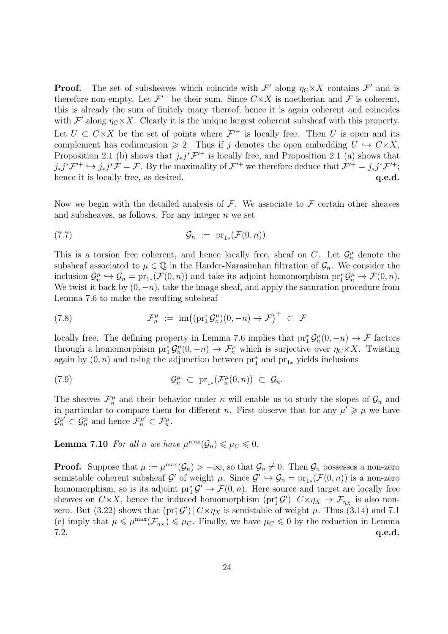**Proof.** The set of subsheaves which coincide with  $\mathcal{F}'$  along  $\eta_C \times X$  contains  $\mathcal{F}'$  and is therefore non-empty. Let  $\mathcal{F}'^+$  be their sum. Since  $C \times X$  is noetherian and  $\mathcal F$  is coherent, this is already the sum of finitely many thereof; hence it is again coherent and coincides with  $\mathcal{F}'$  along  $\eta_C \times X$ . Clearly it is the unique largest coherent subsheaf with this property. Let  $U \subset C \times X$  be the set of points where  $\mathcal{F}'^+$  is locally free. Then U is open and its complement has codimension  $\geq 2$ . Thus if j denotes the open embedding  $U \hookrightarrow C \times X$ , Proposition 2.1 (b) shows that  $j_*j^*{\cal F}^{\prime+}$  is locally free, and Proposition 2.1 (a) shows that  $j_*j^*{\cal F}^{\prime+} \hookrightarrow j_*j^*{\cal F} = {\cal F}$ . By the maximality of  ${\cal F}^{\prime+}$  we therefore deduce that  ${\cal F}^{\prime+} = j_*j^*{\cal F}^{\prime+}$ ; hence it is locally free, as desired.  $q.e.d.$ 

Now we begin with the detailed analysis of  $\mathcal F$ . We associate to  $\mathcal F$  certain other sheaves and subsheaves, as follows. For any integer  $n$  we set

$$
G_n := \mathrm{pr}_{1*}(\mathcal{F}(0,n)).
$$

This is a torsion free coherent, and hence locally free, sheaf on C. Let  $\mathcal{G}_n^{\mu}$  denote the subsheaf associated to  $\mu \in \mathbb{Q}$  in the Harder-Narasimhan filtration of  $\mathcal{G}_n$ . We consider the inclusion  $\mathcal{G}_n^{\mu} \hookrightarrow \mathcal{G}_n = \text{pr}_{1*}(\mathcal{F}(0,n))$  and take its adjoint homomorphism  $\text{pr}_1^*\mathcal{G}_n^{\mu} \to \mathcal{F}(0,n)$ . We twist it back by  $(0, -n)$ , take the image sheaf, and apply the saturation procedure from Lemma 7.6 to make the resulting subsheaf

(7.8) 
$$
\mathcal{F}_n^{\mu} := \operatorname{im}((\operatorname{pr}_1^* \mathcal{G}_n^{\mu})(0, -n) \to \mathcal{F})^+ \subset \mathcal{F}
$$

locally free. The defining property in Lemma 7.6 implies that  $\text{pr}_1^*\mathcal{G}_n^{\mu}(0,-n) \to \mathcal{F}$  factors through a homomorphism  $pr_1^*\mathcal{G}_n^{\mu}(0,-n) \to \mathcal{F}_n^{\mu}$  which is surjective over  $\eta_C \times X$ . Twisting again by  $(0, n)$  and using the adjunction between  $\text{pr}_1^*$  and  $\text{pr}_{1*}$  yields inclusions

(7.9) 
$$
\mathcal{G}_n^{\mu} \subset \mathrm{pr}_{1*}(\mathcal{F}_n^{\mu}(0,n)) \subset \mathcal{G}_n.
$$

The sheaves  $\mathcal{F}_n^{\mu}$  and their behavior under  $\kappa$  will enable us to study the slopes of  $\mathcal{G}_n$  and in particular to compare them for different *n*. First observe that for any  $\mu' \geq \mu$  we have  $\mathcal{G}_n^{\mu'} \subset \mathcal{G}_n^{\mu}$  and hence  $\mathcal{F}_n^{\mu'} \subset \mathcal{F}_n^{\mu}$ .

**Lemma 7.10** For all n we have  $\mu^{\max}(\mathcal{G}_n) \leq \mu_C \leq 0$ .

**Proof.** Suppose that  $\mu := \mu^{\max}(\mathcal{G}_n) > -\infty$ , so that  $\mathcal{G}_n \neq 0$ . Then  $\mathcal{G}_n$  possesses a non-zero semistable coherent subsheaf G' of weight  $\mu$ . Since  $\mathcal{G}' \hookrightarrow \mathcal{G}_n = \text{pr}_{1*}(\mathcal{F}(0,n))$  is a non-zero homomorphism, so is its adjoint  $\text{pr}_1^* \mathcal{G}' \to \mathcal{F}(0,n)$ . Here source and target are locally free sheaves on  $C \times X$ , hence the induced homomorphism  $(\text{pr}_1^* \mathcal{G}') \mid C \times \eta_X \to \mathcal{F}_{\eta_X}$  is also nonzero. But (3.22) shows that  $(pr_1^* \mathcal{G}') | C \times \eta_X$  is semistable of weight  $\mu$ . Thus (3.14) and 7.1 (e) imply that  $\mu \leq \mu^{\max}(\mathcal{F}_{\eta_X}) \leq \mu_C$ . Finally, we have  $\mu_C \leq 0$  by the reduction in Lemma  $7.2.$  q.e.d.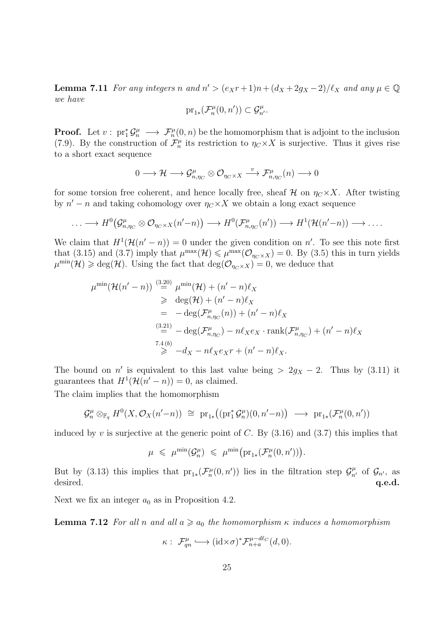**Lemma 7.11** For any integers n and  $n' > (e_Xr+1)n + (d_X+2g_X-2)/\ell_X$  and any  $\mu \in \mathbb{Q}$ we have

$$
\mathrm{pr}_{1*}(\mathcal{F}_n^\mu(0,n'))\subset \mathcal{G}_{n'}^\mu.
$$

**Proof.** Let  $v: \text{pr}_1^* \mathcal{G}_n^{\mu} \longrightarrow \mathcal{F}_n^{\mu}(0,n)$  be the homomorphism that is adjoint to the inclusion (7.9). By the construction of  $\mathcal{F}_n^{\mu}$  its restriction to  $\eta_C \times X$  is surjective. Thus it gives rise to a short exact sequence

$$
0 \longrightarrow \mathcal{H} \longrightarrow \mathcal{G}^{\mu}_{n,\eta_C} \otimes \mathcal{O}_{\eta_C \times X} \stackrel{v}{\longrightarrow} \mathcal{F}^{\mu}_{n,\eta_C}(n) \longrightarrow 0
$$

for some torsion free coherent, and hence locally free, sheaf  $\mathcal{H}$  on  $\eta_C \times X$ . After twisting by  $n' - n$  and taking cohomology over  $\eta_C \times X$  we obtain a long exact sequence

$$
\ldots \longrightarrow H^0(\mathcal{G}_{n,\eta_C}^{\mu} \otimes \mathcal{O}_{\eta_C \times X}(n'-n)) \longrightarrow H^0(\mathcal{F}_{n,\eta_C}^{\mu}(n')) \longrightarrow H^1(\mathcal{H}(n'-n)) \longrightarrow \ldots
$$

We claim that  $H^1(\mathcal{H}(n'-n))=0$  under the given condition on n'. To see this note first that (3.15) and (3.7) imply that  $\mu^{\max}(\mathcal{H}) \leq \mu^{\max}(\mathcal{O}_{\eta_C \times X}) = 0$ . By (3.5) this in turn yields  $\mu^{\min}(\mathcal{H}) \geq \text{deg}(\mathcal{H})$ . Using the fact that  $\text{deg}(\mathcal{O}_{\eta_C \times X}) = 0$ , we deduce that

$$
\mu^{\min}(\mathcal{H}(n'-n)) \stackrel{(3.20)}{=} \mu^{\min}(\mathcal{H}) + (n'-n)\ell_X
$$
  
\n
$$
\geq \deg(\mathcal{H}) + (n'-n)\ell_X
$$
  
\n
$$
= -\deg(\mathcal{F}_{n,\eta_C}^{\mu}(n)) + (n'-n)\ell_X
$$
  
\n
$$
\stackrel{(3.21)}{=} -\deg(\mathcal{F}_{n,\eta_C}^{\mu}) - n\ell_X e_X \cdot \operatorname{rank}(\mathcal{F}_{n,\eta_C}^{\mu}) + (n'-n)\ell_X
$$
  
\n
$$
\stackrel{7.4(b)}{\geq} -d_X - n\ell_X e_X r + (n'-n)\ell_X.
$$

The bound on n' is equivalent to this last value being >  $2g_X - 2$ . Thus by (3.11) it guarantees that  $H^1(\mathcal{H}(n'-n))=0$ , as claimed.

The claim implies that the homomorphism

$$
\mathcal{G}_n^{\mu} \otimes_{\mathbb{F}_q} H^0(X, \mathcal{O}_X(n'-n)) \cong \mathrm{pr}_{1*}((\mathrm{pr}_1^*\mathcal{G}_n^{\mu})(0, n'-n)) \longrightarrow \mathrm{pr}_{1*}(\mathcal{F}_n^{\mu}(0, n'))
$$

induced by v is surjective at the generic point of C. By  $(3.16)$  and  $(3.7)$  this implies that

$$
\mu \;\leqslant\; \mu^{\min}(\mathcal{G}^\mu_n) \;\leqslant\; \mu^{\min}\big(\mathrm{pr}_{1*}(\mathcal{F}^\mu_n(0,n'))\big).
$$

But by (3.13) this implies that  $pr_{1*}(\mathcal{F}_n^{\mu}(0,n'))$  lies in the filtration step  $\mathcal{G}_{n'}^{\mu}$  of  $\mathcal{G}_{n'}$ , as desired.  $q.e.d.$ 

Next we fix an integer  $a_0$  as in Proposition 4.2.

**Lemma 7.12** For all n and all  $a \ge a_0$  the homomorphism  $\kappa$  induces a homomorphism

$$
\kappa: \ \mathcal{F}_{qn}^{\mu} \longleftrightarrow (\mathrm{id} \times \sigma)^* \mathcal{F}_{n+a}^{\mu-d\ell_C}(d,0).
$$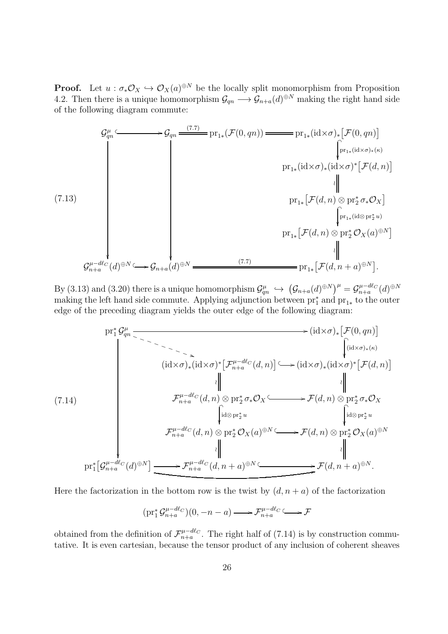**Proof.** Let  $u : \sigma_* \mathcal{O}_X \hookrightarrow \mathcal{O}_X(a)^{\oplus N}$  be the locally split monomorphism from Proposition 4.2. Then there is a unique homomorphism  $\mathcal{G}_{qn} \longrightarrow \mathcal{G}_{n+a}(d)^{\oplus N}$  making the right hand side of the following diagram commute:



By (3.13) and (3.20) there is a unique homomorphism  $\mathcal{G}^{\mu}_{qn} \hookrightarrow (\mathcal{G}_{n+a}(d)^{\oplus N})^{\mu} = \mathcal{G}^{\mu-d\ell}_{n+a}(d)^{\oplus N}$ making the left hand side commute. Applying adjunction between  $\text{pr}_1^*$  and  $\text{pr}_{1*}$  to the outer edge of the preceding diagram yields the outer edge of the following diagram:

$$
\begin{array}{ccc}\n\text{pr}_1^* \mathcal{G}_{qn}^{\mu} & \xrightarrow{\sim} \text{Ric}(d \times \sigma) \text{ for } \mathcal{F}(0, qn) \\
\text{(id} \times \sigma)_*(\text{id} \times \sigma)^* \left[ \mathcal{F}_{n+a}^{\mu-d\ell_C}(d, n) \right] & \text{(id} \times \sigma)_*(\text{id} \times \sigma)^* \left[ \mathcal{F}(d, n) \right] \\
\text{(id} \times \sigma)_*(\text{id} \times \sigma)^* \left[ \mathcal{F}_{n+a}^{\mu-d\ell_C}(d, n) \otimes \text{pr}_2^* \sigma_* \mathcal{O}_X \right] & \text{(id} \times \sigma)_*(\text{id} \times \sigma)^* \left[ \mathcal{F}(d, n) \right] \\
\text{(7.14)} & \mathcal{F}_{n+a}^{\mu-d\ell_C}(d, n) \otimes \text{pr}_2^* \sigma_* \mathcal{O}_X \xrightarrow{\sim} \text{Hom} \left[ \text{id} \otimes \text{pr}_2^* u & \text{(id} \otimes \text{pr}_2^* u & \text{(id} \otimes \text{pr}_2^* u & \text{(id} \otimes \text{pr}_2^* u & \text{(id} \otimes \text{pr}_2^* u & \text{(id} \otimes \text{pr}_2^* u & \text{(id} \otimes \text{pr}_2^* u & \text{(id} \otimes \text{pr}_2^* u & \text{(id} \otimes \text{pr}_2^* u & \text{(id} \otimes \text{pr}_2^* u & \text{(id} \otimes \text{pr}_2^* u & \text{(id} \otimes \text{pr}_2^* u & \text{(id} \otimes \text{pr}_2^* u & \text{(id} \otimes \text{pr}_2^* u & \text{(id} \otimes \text{pr}_2^* u & \text{(id} \otimes \text{pr}_2^* u & \text{(id} \otimes \text{pr}_2^* u & \text{(id} \otimes \text{pr}_2^* u & \text{(id} \otimes \text{pr}_2^* u & \text{(id} \otimes \text{pr}_2^* u & \text{(id} \otimes \text{pr}_2^* u & \text{(id} \otimes
$$

Here the factorization in the bottom row is the twist by  $(d, n + a)$  of the factorization

$$
(\text{pr}_1^* \mathcal{G}^{\mu - d\ell_C}_{n+a})(0, -n - a) \longrightarrow \mathcal{F}^{\mu - d\ell_C}_{n+a} \longrightarrow \mathcal{F}
$$

obtained from the definition of  $\mathcal{F}_{n+a}^{\mu-d\ell_C}$ . The right half of (7.14) is by construction commutative. It is even cartesian, because the tensor product of any inclusion of coherent sheaves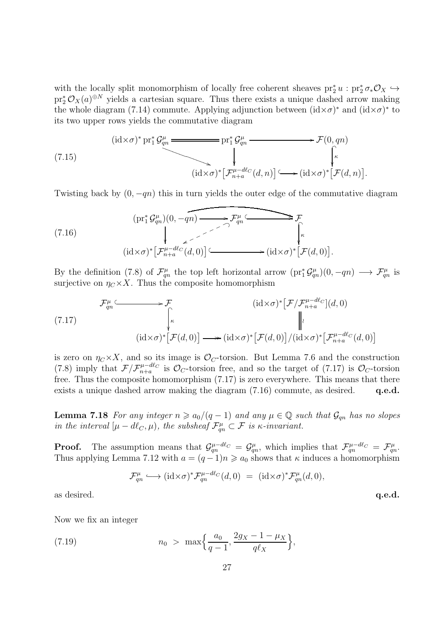with the locally split monomorphism of locally free coherent sheaves  $pr_2^* u : pr_2^* \sigma_* \mathcal{O}_X \hookrightarrow$  $\mathrm{pr}_2^* \mathcal{O}_X(a)^{\oplus N}$  yields a cartesian square. Thus there exists a unique dashed arrow making the whole diagram (7.14) commute. Applying adjunction between  $(id \times \sigma)^*$  and  $(id \times \sigma)^*$  to its two upper rows yields the commutative diagram

(7.15)  
\n
$$
(id \times \sigma)^* \operatorname{pr}_1^* \mathcal{G}_{qn}^{\mu} \longrightarrow \mathcal{F}(0, qn)
$$
\n
$$
(id \times \sigma)^* \left[ \mathcal{F}_{n+a}^{\mu-d\ell_C}(d,n) \right] \longrightarrow (id \times \sigma)^* \left[ \mathcal{F}(d,n) \right].
$$

Twisting back by  $(0, -qn)$  this in turn yields the outer edge of the commutative diagram

(7.16)  
\n
$$
(\text{pr}_1^* \mathcal{G}_{qn}^{\mu})(0, -qn) \longrightarrow \mathcal{F}_{qn}^{\mu} \longrightarrow \mathcal{F}_{\mu}^{\mu}
$$
\n
$$
(\text{id} \times \sigma)^* \left[ \mathcal{F}_{n+a}^{\mu-d\ell_C}(d, 0) \right] \longrightarrow (\text{id} \times \sigma)^* \left[ \mathcal{F}(d, 0) \right].
$$

By the definition (7.8) of  $\mathcal{F}_{qn}^{\mu}$  the top left horizontal arrow  $(pr_1^*\mathcal{G}_{qn}^{\mu})(0,-qn) \longrightarrow \mathcal{F}_{qn}^{\mu}$  is surjective on  $\eta_C \times X$ . Thus the composite homomorphism

$$
\mathcal{F}_{qn}^{\mu} \longleftrightarrow \mathcal{F} \qquad (id \times \sigma)^{*} \left[ \mathcal{F} / \mathcal{F}_{n+a}^{\mu-d\ell_{C}} \right](d,0)
$$
\n
$$
(id \times \sigma)^{*} \left[ \mathcal{F}(d,0) \right] \longrightarrow (id \times \sigma)^{*} \left[ \mathcal{F}(d,0) \right] / (id \times \sigma)^{*} \left[ \mathcal{F}_{n+a}^{\mu-d\ell_{C}}(d,0) \right]
$$

is zero on  $\eta_C \times X$ , and so its image is  $\mathcal{O}_C$ -torsion. But Lemma 7.6 and the construction (7.8) imply that  $\mathcal{F}/\mathcal{F}_{n+a}^{\mu-d\ell_C}$  is  $\mathcal{O}_C$ -torsion free, and so the target of (7.17) is  $\mathcal{O}_C$ -torsion free. Thus the composite homomorphism (7.17) is zero everywhere. This means that there exists a unique dashed arrow making the diagram  $(7.16)$  commute, as desired. q.e.d.

**Lemma 7.18** For any integer  $n \ge a_0/(q-1)$  and any  $\mu \in \mathbb{Q}$  such that  $\mathcal{G}_{qn}$  has no slopes in the interval  $[\mu - d\ell_C, \mu)$ , the subsheaf  $\mathcal{F}_{qn}^{\mu} \subset \mathcal{F}$  is  $\kappa$ -invariant.

**Proof.** The assumption means that  $\mathcal{G}^{\mu-d\ell_C}_{qn} = \mathcal{G}^{\mu}_{qn}$ , which implies that  $\mathcal{F}^{\mu-d\ell_C}_{qn} = \mathcal{F}^{\mu}_{qn}$ . Thus applying Lemma 7.12 with  $a = (q-1)n \geq a_0$  shows that  $\kappa$  induces a homomorphism

$$
\mathcal{F}_{qn}^{\mu} \longrightarrow (id \times \sigma)^* \mathcal{F}_{qn}^{\mu-d\ell_C}(d,0) = (id \times \sigma)^* \mathcal{F}_{qn}^{\mu}(d,0),
$$

as desired.  $q.e.d.$ 

Now we fix an integer

(7.19) 
$$
n_0 > \max\left\{\frac{a_0}{q-1}, \frac{2g_X - 1 - \mu_X}{q\ell_X}\right\},\,
$$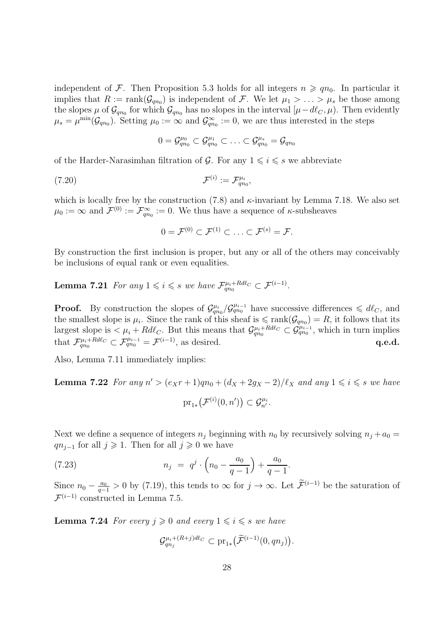independent of F. Then Proposition 5.3 holds for all integers  $n \geqslant qn_0$ . In particular it implies that  $R := \text{rank}(\mathcal{G}_{qn_0})$  is independent of F. We let  $\mu_1 > \ldots > \mu_s$  be those among the slopes  $\mu$  of  $\mathcal{G}_{qn_0}$  for which  $\mathcal{G}_{qn_0}$  has no slopes in the interval  $[\mu-d\ell_{C},\mu)$ . Then evidently  $\mu_s = \mu^{\min}(\mathcal{G}_{qn_0})$ . Setting  $\mu_0 := \infty$  and  $\mathcal{G}_{qn}^{\infty}$  $\gamma_{qn_0}^{\infty} := 0$ , we are thus interested in the steps

$$
0=\mathcal{G}_{qn_0}^{\mu_0}\subset \mathcal{G}_{qn_0}^{\mu_1}\subset \ldots \subset \mathcal{G}_{qn_0}^{\mu_s}=\mathcal{G}_{qn_0}
$$

of the Harder-Narasimhan filtration of G. For any  $1 \leq i \leq s$  we abbreviate

$$
\mathcal{F}^{(i)} := \mathcal{F}_{qn_0}^{\mu_i},
$$

which is locally free by the construction  $(7.8)$  and  $\kappa$ -invariant by Lemma 7.18. We also set  $\mu_0 := \infty$  and  $\mathcal{F}^{(0)} := \mathcal{F}_{qn}^{\infty}$  $\widetilde{\mathcal{C}}_{qn_0}^{\infty} := 0$ . We thus have a sequence of  $\kappa$ -subsheaves

 $0 = \mathcal{F}^{(0)} \subset \mathcal{F}^{(1)} \subset \ldots \subset \mathcal{F}^{(s)} = \mathcal{F}.$ 

By construction the first inclusion is proper, but any or all of the others may conceivably be inclusions of equal rank or even equalities.

**Lemma 7.21** For any  $1 \leq i \leq s$  we have  $\mathcal{F}_{qn_0}^{\mu_i+Rd\ell_c} \subset \mathcal{F}^{(i-1)}$ .

**Proof.** By construction the slopes of  $\mathcal{G}_{qn_0}^{\mu_i}/\mathcal{G}_{qn_0}^{\mu_{i-1}}$  have successive differences  $\leq d\ell_C$ , and the smallest slope is  $\mu_i$ . Since the rank of this sheaf is  $\leq$  rank $(\mathcal{G}_{qn_0}) = R$ , it follows that its largest slope is  $\lt \mu_i + R d\ell_C$ . But this means that  $\mathcal{G}_{qn_0}^{\mu_i + R d\ell_C} \subset \mathcal{G}_{qn_0}^{\mu_{i-1}}$ , which in turn implies that  $\mathcal{F}_{qn_0}^{\mu_i+Rd\ell_C} \subset \mathcal{F}_{qn_0}^{\mu_{i-1}} = \mathcal{F}^{(i-1)}$ , as desired.  $q.e.d.$ 

Also, Lemma 7.11 immediately implies:

**Lemma 7.22** For any  $n' > (e_Xr + 1)qn_0 + (d_X + 2g_X - 2)/\ell_X$  and any  $1 \leq i \leq s$  we have  $\mathrm{pr}_{1*}(\mathcal{F}^{(i)}(0,n')) \subset \mathcal{G}_{n'}^{\mu_i}.$ 

Next we define a sequence of integers  $n_j$  beginning with  $n_0$  by recursively solving  $n_j + a_0 =$  $qn_{i-1}$  for all  $j \geqslant 1$ . Then for all  $j \geqslant 0$  we have

(7.23) 
$$
n_j = q^j \cdot \left(n_0 - \frac{a_0}{q-1}\right) + \frac{a_0}{q-1}.
$$

Since  $n_0 - \frac{a_0}{q-1} > 0$  by (7.19), this tends to  $\infty$  for  $j \to \infty$ . Let  $\widetilde{\mathcal{F}}^{(i-1)}$  be the saturation of  $\mathcal{F}^{(i-1)}$  constructed in Lemma 7.5.

**Lemma 7.24** For every  $j \geq 0$  and every  $1 \leq i \leq s$  we have

$$
\mathcal{G}^{\mu_i + (R+j)d\ell_C}_{qn_j} \subset \text{pr}_{1*}\big(\widetilde{\mathcal{F}}^{(i-1)}(0, qn_j)\big).
$$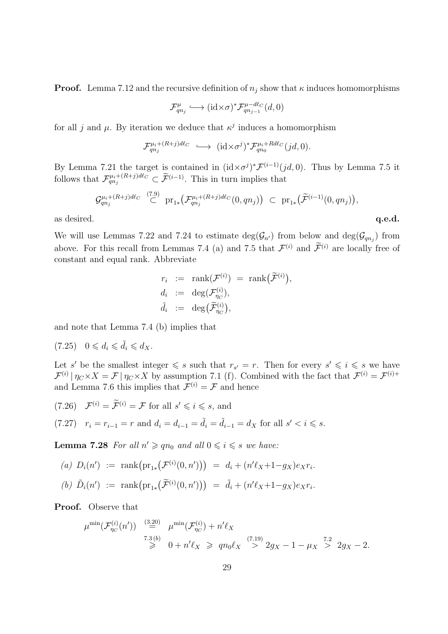**Proof.** Lemma 7.12 and the recursive definition of  $n_j$  show that  $\kappa$  induces homomorphisms

$$
\mathcal{F}_{qn_j}^{\mu} \longleftrightarrow (\mathrm{id} \times \sigma)^* \mathcal{F}_{qn_{j-1}}^{\mu-d\ell_C}(d,0)
$$

for all j and  $\mu$ . By iteration we deduce that  $\kappa^j$  induces a homomorphism

$$
\mathcal{F}_{qn_j}^{\mu_i + (R+j)d\ell_C} \longleftrightarrow (\mathrm{id} \times \sigma^j)^* \mathcal{F}_{qn_0}^{\mu_i + Rd\ell_C}(jd, 0).
$$

By Lemma 7.21 the target is contained in  $(id \times \sigma^j)^* \mathcal{F}^{(i-1)}(jd, 0)$ . Thus by Lemma 7.5 it follows that  $\mathcal{F}_{qn_j}^{\mu_i+(R+j)d\ell_C} \subset \widetilde{\mathcal{F}}^{(i-1)}$ . This in turn implies that

$$
\mathcal{G}_{qn_j}^{\mu_i + (R+j)d\ell_C} \overset{(7.9)}{\subset} \text{pr}_{1*} \big( \mathcal{F}_{qn_j}^{\mu_i + (R+j)d\ell_C}(0, qn_j) \big) \subset \text{pr}_{1*} \big( \widetilde{\mathcal{F}}^{(i-1)}(0, qn_j) \big),
$$

as desired.  $q.e.d.$ 

We will use Lemmas 7.22 and 7.24 to estimate  $deg(\mathcal{G}_{n'})$  from below and  $deg(\mathcal{G}_{qn_j})$  from above. For this recall from Lemmas 7.4 (a) and 7.5 that  $\mathcal{F}^{(i)}$  and  $\mathcal{F}^{(i)}$  are locally free of constant and equal rank. Abbreviate

$$
r_i := \operatorname{rank}(\mathcal{F}^{(i)}) = \operatorname{rank}(\widetilde{\mathcal{F}}^{(i)}),
$$
  
\n
$$
d_i := \deg(\mathcal{F}_{\eta_C}^{(i)}),
$$
  
\n
$$
\tilde{d}_i := \deg(\widetilde{\mathcal{F}}_{\eta_C}^{(i)}),
$$

and note that Lemma 7.4 (b) implies that

 $(7.25)$   $0 \leq d_i \leq \tilde{d}_i \leq d_X$ .

Let s' be the smallest integer  $\leqslant s$  such that  $r_{s'} = r$ . Then for every  $s' \leqslant i \leqslant s$  we have  $\mathcal{F}^{(i)} | \eta_C \times X = \mathcal{F} | \eta_C \times X$  by assumption 7.1 (f). Combined with the fact that  $\mathcal{F}^{(i)} = \mathcal{F}^{(i)+}$ and Lemma 7.6 this implies that  $\mathcal{F}^{(i)} = \mathcal{F}$  and hence

(7.26)  $\mathcal{F}^{(i)} = \widetilde{\mathcal{F}}^{(i)} = \mathcal{F}$  for all  $s' \leqslant i \leqslant s$ , and

$$
(7.27) \quad r_i = r_{i-1} = r \text{ and } d_i = d_{i-1} = \tilde{d}_i = \tilde{d}_{i-1} = d_X \text{ for all } s' < i \leq s.
$$

**Lemma 7.28** For all  $n' \geq qn_0$  and all  $0 \leq i \leq s$  we have:

(a) 
$$
D_i(n') := \text{rank}(\text{pr}_{1*}(\mathcal{F}^{(i)}(0,n'))) = d_i + (n'\ell_X + 1 - g_X)e_Xr_i.
$$

(b)  $\tilde{D}_i(n') := \text{rank}(\text{pr}_{1*}(\tilde{\mathcal{F}}^{(i)}(0,n'))) = \tilde{d}_i + (n'\ell_X + 1 - g_X)e_Xr_i.$ 

Proof. Observe that

$$
\mu^{\min}(\mathcal{F}_{\eta_C}^{(i)}(n')) \stackrel{(3.20)}{=} \mu^{\min}(\mathcal{F}_{\eta_C}^{(i)}) + n'\ell_X
$$
  
\n
$$
\stackrel{7.3}{\geq} 0 + n'\ell_X \geq qn_0\ell_X \stackrel{(7.19)}{>} 2g_X - 1 - \mu_X \stackrel{7.2}{>} 2g_X - 2.
$$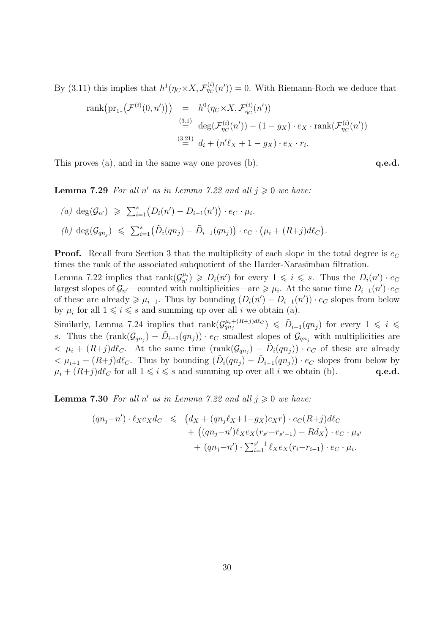By (3.11) this implies that  $h^1(\eta_C \times X, \mathcal{F}_{\eta_C}^{(i)}(n')) = 0$ . With Riemann-Roch we deduce that

rank
$$
(pr_{1*}(\mathcal{F}^{(i)}(0, n')))
$$
 =  $h^0(\eta_C \times X, \mathcal{F}^{(i)}_{\eta_C}(n'))$   
\n $\stackrel{(3.1)}{=} \deg(\mathcal{F}^{(i)}_{\eta_C}(n')) + (1 - g_X) \cdot e_X \cdot rank(\mathcal{F}^{(i)}_{\eta_C}(n'))$   
\n $\stackrel{(3.21)}{=} d_i + (n'\ell_X + 1 - g_X) \cdot e_X \cdot r_i.$ 

This proves  $(a)$ , and in the same way one proves  $(b)$ .

**Lemma 7.29** For all n' as in Lemma 7.22 and all  $j \geq 0$  we have:

$$
(a) \deg(\mathcal{G}_{n'}) \geqslant \sum_{i=1}^s (D_i(n') - D_{i-1}(n')) \cdot e_C \cdot \mu_i.
$$
  

$$
(b) \deg(\mathcal{G}_{qn_j}) \leqslant \sum_{i=1}^s (\tilde{D}_i(qn_j) - \tilde{D}_{i-1}(qn_j)) \cdot e_C \cdot (\mu_i + (R+j)d\ell_C).
$$

**Proof.** Recall from Section 3 that the multiplicity of each slope in the total degree is  $e_C$ times the rank of the associated subquotient of the Harder-Narasimhan filtration.

Lemma 7.22 implies that  $rank(\mathcal{G}_{n'}^{\mu_i}) \geqslant D_i(n')$  for every  $1 \leqslant i \leqslant s$ . Thus the  $D_i(n') \cdot e_C$ largest slopes of  $\mathcal{G}_{n'}$ —counted with multiplicities—are  $\geq \mu_i$ . At the same time  $D_{i-1}(n') \cdot e_C$ of these are already  $\geq \mu_{i-1}$ . Thus by bounding  $(D_i(n') - D_{i-1}(n')) \cdot e_C$  slopes from below by  $\mu_i$  for all  $1 \leq i \leq s$  and summing up over all *i* we obtain (a).

Similarly, Lemma 7.24 implies that  $rank(\mathcal{G}_{qn_j}^{\mu_i+(R+j)d\ell_C}) \leq \tilde{D}_{i-1}(qn_j)$  for every  $1 \leq i \leq$ s. Thus the  $(\text{rank}(\mathcal{G}_{qn_j}) - \tilde{D}_{i-1}(qn_j)) \cdot e_C$  smallest slopes of  $\mathcal{G}_{qn_j}$  with multiplicities are  $< \mu_i + (R+j)d\ell_C$ . At the same time  $(\text{rank}(\mathcal{G}_{qn_j}) - \tilde{D}_i(qn_j)) \cdot e_C$  of these are already  $<\mu_{i+1} + (R+j)d\ell_c$ . Thus by bounding  $(\tilde{D}_i(qn_j) - \tilde{D}_{i-1}(qn_j)) \cdot e_C$  slopes from below by  $\mu_i + (R+j)d\ell_C$  for all  $1 \leq i \leq s$  and summing up over all i we obtain (b). **q.e.d.** 

**Lemma 7.30** For all n' as in Lemma 7.22 and all  $j \geq 0$  we have:

$$
(qn_j - n') \cdot \ell_X e_X d_C \leq (d_X + (qn_j \ell_X + 1 - g_X) e_X r) \cdot e_C (R + j) d_C + ((qn_j - n') \ell_X e_X (r_{s'} - r_{s'-1}) - Rd_X) \cdot e_C \cdot \mu_{s'} + (qn_j - n') \cdot \sum_{i=1}^{s'-1} \ell_X e_X (r_i - r_{i-1}) \cdot e_C \cdot \mu_i.
$$

$$
\mathbf{q.e.d.}
$$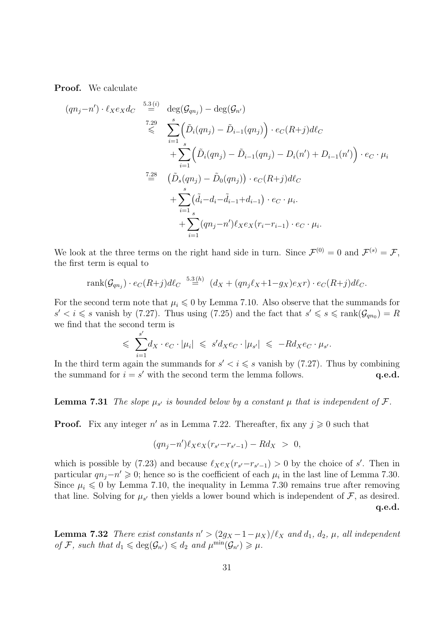Proof. We calculate

$$
(qn_j - n') \cdot \ell_X e_X d_C \stackrel{5.3(i)}{=} \deg(\mathcal{G}_{qn_j}) - \deg(\mathcal{G}_{n'})
$$
  

$$
\stackrel{7.29}{\leq} \sum_{i=1}^s \left( \tilde{D}_i(qn_j) - \tilde{D}_{i-1}(qn_j) \right) \cdot e_C(R+j) d\ell_C
$$
  

$$
+ \sum_{i=1}^s \left( \tilde{D}_i(qn_j) - \tilde{D}_{i-1}(qn_j) - D_i(n') + D_{i-1}(n') \right) \cdot e_C \cdot \mu_i
$$
  

$$
\stackrel{7.28}{=} \left( \tilde{D}_s(qn_j) - \tilde{D}_0(qn_j) \right) \cdot e_C(R+j) d\ell_C
$$
  

$$
+ \sum_{i=1}^s (\tilde{d}_i - d_i - \tilde{d}_{i-1} + d_{i-1}) \cdot e_C \cdot \mu_i.
$$
  

$$
+ \sum_{i=1}^s (qn_j - n') \ell_X e_X(r_i - r_{i-1}) \cdot e_C \cdot \mu_i.
$$

We look at the three terms on the right hand side in turn. Since  $\mathcal{F}^{(0)} = 0$  and  $\mathcal{F}^{(s)} = \mathcal{F}$ , the first term is equal to

$$
rank(\mathcal{G}_{qn_j}) \cdot e_C(R+j)d\ell_C \stackrel{5.3(h)}{=} (d_X + (qn_j\ell_X+1-g_X)e_Xr) \cdot e_C(R+j)d\ell_C.
$$

For the second term note that  $\mu_i \leq 0$  by Lemma 7.10. Also observe that the summands for  $s' < i \leq s$  vanish by (7.27). Thus using (7.25) and the fact that  $s' \leq s \leq \text{rank}(\mathcal{G}_{qn_0}) = R$ we find that the second term is

$$
\leqslant \sum_{i=1}^{s'} d_X \cdot e_C \cdot |\mu_i| \leqslant s'd_X e_C \cdot |\mu_{s'}| \leqslant -R d_X e_C \cdot \mu_{s'}.
$$

In the third term again the summands for  $s' < i \leqslant s$  vanish by (7.27). Thus by combining the summand for  $i = s'$  with the second term the lemma follows.  $q.e.d.$ 

**Lemma 7.31** The slope  $\mu_{s'}$  is bounded below by a constant  $\mu$  that is independent of  $\mathcal{F}$ .

**Proof.** Fix any integer  $n'$  as in Lemma 7.22. Thereafter, fix any  $j \geq 0$  such that

$$
(qn_j - n')\ell_X e_X(r_{s'} - r_{s'-1}) - Rd_X > 0,
$$

which is possible by (7.23) and because  $\ell_X e_X(r_{s'}-r_{s'-1})>0$  by the choice of s'. Then in particular  $qn_j - n' \geq 0$ ; hence so is the coefficient of each  $\mu_i$  in the last line of Lemma 7.30. Since  $\mu_i \leq 0$  by Lemma 7.10, the inequality in Lemma 7.30 remains true after removing that line. Solving for  $\mu_{s'}$  then yields a lower bound which is independent of  $\mathcal{F}$ , as desired. q.e.d.

**Lemma 7.32** There exist constants  $n' > (2g_X - 1 - \mu_X)/\ell_X$  and  $d_1, d_2, \mu$ , all independent of F, such that  $d_1 \leqslant \deg(\mathcal{G}_{n'}) \leqslant d_2$  and  $\mu^{\min}(\mathcal{G}_{n'}) \geqslant \mu$ .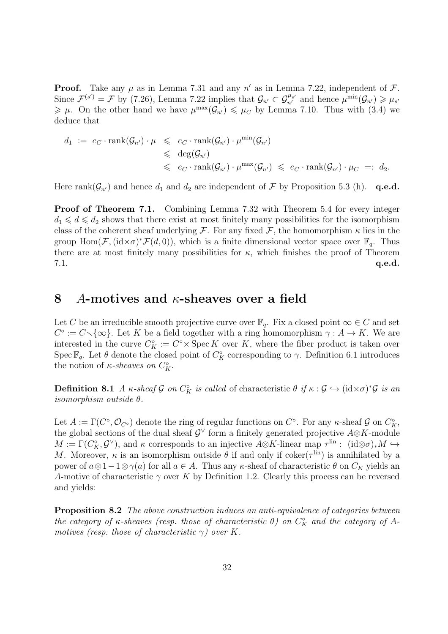**Proof.** Take any  $\mu$  as in Lemma 7.31 and any  $n'$  as in Lemma 7.22, independent of  $\mathcal{F}$ . Since  $\mathcal{F}^{(s')} = \mathcal{F}$  by (7.26), Lemma 7.22 implies that  $\mathcal{G}_{n'} \subset \mathcal{G}_{n'}^{\mu_{s'}}$  and hence  $\mu^{\min}(\mathcal{G}_{n'}) \geq \mu_{s'}$  $\geq \mu$ . On the other hand we have  $\mu^{\max}(\mathcal{G}_{n'}) \leq \mu_C$  by Lemma 7.10. Thus with (3.4) we deduce that

$$
d_1 := e_C \cdot \operatorname{rank}(\mathcal{G}_{n'}) \cdot \mu \leqslant e_C \cdot \operatorname{rank}(\mathcal{G}_{n'}) \cdot \mu^{\min}(\mathcal{G}_{n'})
$$
  
\$\leqslant \deg(\mathcal{G}\_{n'})\$  
\$\leqslant e\_C \cdot \operatorname{rank}(\mathcal{G}\_{n'}) \cdot \mu^{\max}(\mathcal{G}\_{n'}) \leqslant e\_C \cdot \operatorname{rank}(\mathcal{G}\_{n'}) \cdot \mu\_C =: d\_2\$.

Here rank $(\mathcal{G}_{n'})$  and hence  $d_1$  and  $d_2$  are independent of  $\mathcal F$  by Proposition 5.3 (h). q.e.d.

Proof of Theorem 7.1. Combining Lemma 7.32 with Theorem 5.4 for every integer  $d_1 \leq d \leq d_2$  shows that there exist at most finitely many possibilities for the isomorphism class of the coherent sheaf underlying F. For any fixed F, the homomorphism  $\kappa$  lies in the group  $\text{Hom}(\mathcal{F},(\text{id}\times\sigma)^*\mathcal{F}(d,0))$ , which is a finite dimensional vector space over  $\mathbb{F}_q$ . Thus there are at most finitely many possibilities for  $\kappa$ , which finishes the proof of Theorem  $7.1.$  q.e.d.

#### 8 A-motives and  $\kappa$ -sheaves over a field

Let C be an irreducible smooth projective curve over  $\mathbb{F}_q$ . Fix a closed point  $\infty \in C$  and set  $C^{\circ} := C \setminus \{\infty\}$ . Let K be a field together with a ring homomorphism  $\gamma : A \to K$ . We are interested in the curve  $C_K^{\circ} := C^{\circ} \times \operatorname{Spec} K$  over K, where the fiber product is taken over Spec  $\mathbb{F}_q$ . Let  $\theta$  denote the closed point of  $C_K^{\circ}$  corresponding to  $\gamma$ . Definition 6.1 introduces the notion of  $\kappa$ -sheaves on  $C_K^{\circ}$ .

**Definition 8.1** A  $\kappa$ -sheaf G on  $C_K^{\circ}$  is called of characteristic  $\theta$  if  $\kappa$  :  $\mathcal{G} \hookrightarrow (\mathrm{id} \times \sigma)^* \mathcal{G}$  is an isomorphism outside θ.

Let  $A := \Gamma(C^{\circ}, \mathcal{O}_{C^{\circ}})$  denote the ring of regular functions on  $C^{\circ}$ . For any  $\kappa$ -sheaf  $\mathcal{G}$  on  $C^{\circ}_{K}$ , the global sections of the dual sheaf  $\mathcal{G}^{\vee}$  form a finitely generated projective  $A\otimes K$ -module  $M := \Gamma(C_K^{\circ}, \mathcal{G}^{\vee})$ , and  $\kappa$  corresponds to an injective  $A \otimes K$ -linear map  $\tau^{\text{lin}}$ :  $(id \otimes \sigma)_* M \hookrightarrow$ M. Moreover,  $\kappa$  is an isomorphism outside  $\theta$  if and only if coker( $\tau^{\text{lin}}$ ) is annihilated by a power of  $a \otimes 1-1 \otimes \gamma(a)$  for all  $a \in A$ . Thus any  $\kappa$ -sheaf of characteristic  $\theta$  on  $C_K$  yields an A-motive of characteristic  $\gamma$  over K by Definition 1.2. Clearly this process can be reversed and yields:

**Proposition 8.2** The above construction induces an anti-equivalence of categories between the category of  $\kappa$ -sheaves (resp. those of characteristic  $\theta$ ) on  $C_K^{\circ}$  and the category of Amotives (resp. those of characteristic  $\gamma$ ) over K.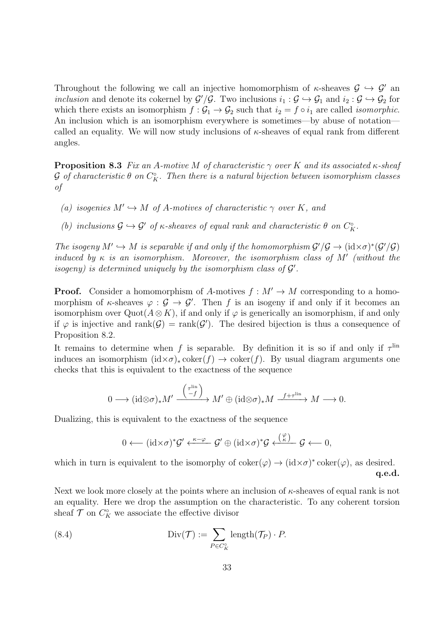Throughout the following we call an injective homomorphism of  $\kappa$ -sheaves  $\mathcal{G} \hookrightarrow \mathcal{G}'$  and inclusion and denote its cokernel by  $G'/\mathcal{G}$ . Two inclusions  $i_1 : \mathcal{G} \hookrightarrow \mathcal{G}_1$  and  $i_2 : \mathcal{G} \hookrightarrow \mathcal{G}_2$  for which there exists an isomorphism  $f : \mathcal{G}_1 \to \mathcal{G}_2$  such that  $i_2 = f \circ i_1$  are called *isomorphic*. An inclusion which is an isomorphism everywhere is sometimes—by abuse of notation called an equality. We will now study inclusions of  $\kappa$ -sheaves of equal rank from different angles.

**Proposition 8.3** Fix an A-motive M of characteristic  $\gamma$  over K and its associated  $\kappa$ -sheaf  $\mathcal G$  of characteristic  $\theta$  on  $C_K^\circ$ . Then there is a natural bijection between isomorphism classes of

- (a) isogenies  $M' \hookrightarrow M$  of A-motives of characteristic  $\gamma$  over K, and
- (b) inclusions  $\mathcal{G} \hookrightarrow \mathcal{G}'$  of  $\kappa$ -sheaves of equal rank and characteristic  $\theta$  on  $C_{\kappa}^{\circ}$ .

The isogeny  $M' \hookrightarrow M$  is separable if and only if the homomorphism  $\mathcal{G}'/\mathcal{G} \to (\mathrm{id} \times \sigma)^*(\mathcal{G}'/\mathcal{G})$ induced by  $\kappa$  is an isomorphism. Moreover, the isomorphism class of  $M'$  (without the isogeny) is determined uniquely by the isomorphism class of  $\mathcal{G}'$ .

**Proof.** Consider a homomorphism of A-motives  $f : M' \to M$  corresponding to a homomorphism of  $\kappa$ -sheaves  $\varphi : \mathcal{G} \to \mathcal{G}'$ . Then f is an isogeny if and only if it becomes an isomorphism over Quot( $A \otimes K$ ), if and only if  $\varphi$  is generically an isomorphism, if and only if  $\varphi$  is injective and rank $(\mathcal{G}) = \text{rank}(\mathcal{G}')$ . The desired bijection is thus a consequence of Proposition 8.2.

It remains to determine when f is separable. By definition it is so if and only if  $\tau^{\text{lin}}$ induces an isomorphism  $(id \times \sigma)_* \text{coker}(f) \to \text{coker}(f)$ . By usual diagram arguments one checks that this is equivalent to the exactness of the sequence

$$
0 \longrightarrow (\mathrm{id} \otimes \sigma)_* M' \xrightarrow{\binom{\tau^{\mathrm{lin}}}{-f}} M' \oplus (\mathrm{id} \otimes \sigma)_* M \xrightarrow{f + \tau^{\mathrm{lin}}} M \longrightarrow 0.
$$

Dualizing, this is equivalent to the exactness of the sequence

$$
0 \longleftarrow (id \times \sigma)^* \mathcal{G}' \xleftarrow{\kappa - \varphi} \mathcal{G}' \oplus (id \times \sigma)^* \mathcal{G} \xleftarrow{(\frac{\varphi}{\kappa})} \mathcal{G} \longleftarrow 0,
$$

which in turn is equivalent to the isomorphy of  $\operatorname{coker}(\varphi) \to (\operatorname{id} \times \sigma)^* \operatorname{coker}(\varphi)$ , as desired. q.e.d.

Next we look more closely at the points where an inclusion of  $\kappa$ -sheaves of equal rank is not an equality. Here we drop the assumption on the characteristic. To any coherent torsion sheaf  $\mathcal T$  on  $C_K^{\circ}$  we associate the effective divisor

(8.4) 
$$
\text{Div}(\mathcal{T}) := \sum_{P \in C_K^{\circ}} \text{length}(\mathcal{T}_P) \cdot P.
$$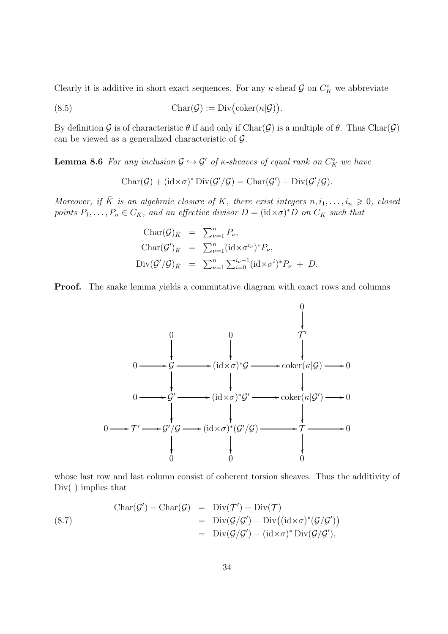Clearly it is additive in short exact sequences. For any  $\kappa$ -sheaf  $\mathcal G$  on  $C_K^{\circ}$  we abbreviate

(8.5) 
$$
Char(\mathcal{G}) := Div(\mathrm{coker}(\kappa|\mathcal{G})).
$$

By definition G is of characteristic  $\theta$  if and only if  $Char(\mathcal{G})$  is a multiple of  $\theta$ . Thus  $Char(\mathcal{G})$ can be viewed as a generalized characteristic of G.

**Lemma 8.6** For any inclusion  $\mathcal{G} \hookrightarrow \mathcal{G}'$  of  $\kappa$ -sheaves of equal rank on  $C_K^{\circ}$  we have

 $\text{Char}(\mathcal{G}) + (\text{id} \times \sigma)^* \text{Div}(\mathcal{G}'/\mathcal{G}) = \text{Char}(\mathcal{G}') + \text{Div}(\mathcal{G}'/\mathcal{G}).$ 

Moreover, if  $\overline{K}$  is an algebraic closure of K, there exist integers  $n, i_1, \ldots, i_n \geq 0$ , closed points  $P_1, \ldots, P_n \in C_{\bar{K}}$ , and an effective divisor  $D = (\text{id} \times \sigma)^* D$  on  $C_{\bar{K}}$  such that

$$
\begin{array}{rcl}\n\text{Char}(\mathcal{G})_{\bar{K}} & = & \sum_{\nu=1}^{n} P_{\nu}, \\
\text{Char}(\mathcal{G}')_{\bar{K}} & = & \sum_{\nu=1}^{n} (\text{id} \times \sigma^{i_{\nu}})^* P_{\nu}, \\
\text{Div}(\mathcal{G}'/\mathcal{G})_{\bar{K}} & = & \sum_{\nu=1}^{n} \sum_{i=0}^{i_{\nu}-1} (\text{id} \times \sigma^{i})^* P_{\nu} + D.\n\end{array}
$$

Proof. The snake lemma yields a commutative diagram with exact rows and columns



whose last row and last column consist of coherent torsion sheaves. Thus the additivity of Div() implies that

(8.7)  
\n
$$
\begin{array}{rcl}\n\text{Char}(\mathcal{G}') - \text{Char}(\mathcal{G}) & = & \text{Div}(\mathcal{T}') - \text{Div}(\mathcal{T}) \\
& = & \text{Div}(\mathcal{G}/\mathcal{G}') - \text{Div}((\text{id} \times \sigma)^*(\mathcal{G}/\mathcal{G}')) \\
& = & \text{Div}(\mathcal{G}/\mathcal{G}') - (\text{id} \times \sigma)^* \text{Div}(\mathcal{G}/\mathcal{G}'),\n\end{array}
$$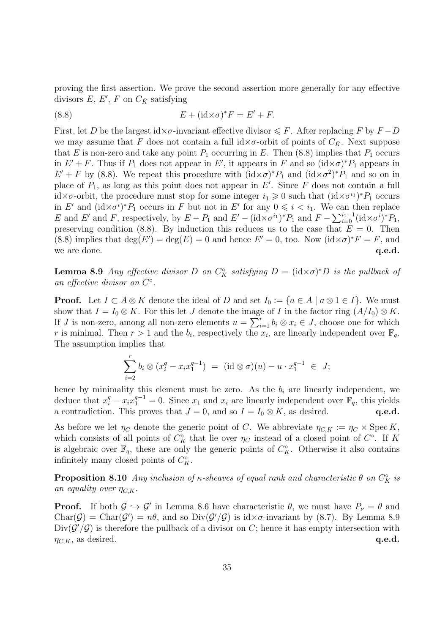proving the first assertion. We prove the second assertion more generally for any effective divisors  $E, E', F$  on  $C_{\bar{K}}$  satisfying

(8.8) 
$$
E + (\mathrm{id} \times \sigma)^* F = E' + F.
$$

First, let D be the largest id× $\sigma$ -invariant effective divisor  $\leq F$ . After replacing F by  $F - D$ we may assume that F does not contain a full  $\mathrm{id} \times \sigma$ -orbit of points of  $C_{\bar{K}}$ . Next suppose that E is non-zero and take any point  $P_1$  occurring in E. Then (8.8) implies that  $P_1$  occurs in  $E' + F$ . Thus if  $P_1$  does not appear in  $E'$ , it appears in F and so  $(\mathrm{id} \times \sigma)^* P_1$  appears in  $E' + F$  by (8.8). We repeat this procedure with  $(id \times \sigma)^* P_1$  and  $(id \times \sigma^2)^* P_1$  and so on in place of  $P_1$ , as long as this point does not appear in  $E'$ . Since F does not contain a full id× $\sigma$ -orbit, the procedure must stop for some integer  $i_1 \geqslant 0$  such that  $(\mathrm{id} \times \sigma^{i_1})^* P_1$  occurs in E' and  $(id \times \sigma^i)^*P_1$  occurs in F but not in E' for any  $0 \leq i \leq i_1$ . We can then replace E and E' and F, respectively, by  $E - P_1$  and  $E' - (\mathrm{id} \times \sigma^{i_1})^* P_1$  and  $F - \sum_{i=0}^{i_1-1} (\mathrm{id} \times \sigma^{i})^* P_1$ , preserving condition (8.8). By induction this reduces us to the case that  $E = 0$ . Then (8.8) implies that  $deg(E') = deg(E) = 0$  and hence  $E' = 0$ , too. Now  $(id \times \sigma)^* F = F$ , and we are done. **q.e.d.** q.e.d.

**Lemma 8.9** Any effective divisor D on  $C_K^{\circ}$  satisfying  $D = (\text{id} \times \sigma)^* D$  is the pullback of an effective divisor on  $C^{\circ}$ .

**Proof.** Let  $I \subset A \otimes K$  denote the ideal of D and set  $I_0 := \{a \in A \mid a \otimes 1 \in I\}$ . We must show that  $I = I_0 \otimes K$ . For this let J denote the image of I in the factor ring  $(A/I_0) \otimes K$ . If J is non-zero, among all non-zero elements  $u = \sum_{i=1}^{r} b_i \otimes x_i \in J$ , choose one for which r is minimal. Then  $r > 1$  and the  $b_i$ , respectively the  $x_i$ , are linearly independent over  $\mathbb{F}_q$ . The assumption implies that

$$
\sum_{i=2}^{r} b_i \otimes (x_i^{q} - x_i x_1^{q-1}) = (\mathrm{id} \otimes \sigma)(u) - u \cdot x_1^{q-1} \in J;
$$

hence by minimality this element must be zero. As the  $b_i$  are linearly independent, we deduce that  $x_i^q - x_i x_1^{q-1} = 0$ . Since  $x_1$  and  $x_i$  are linearly independent over  $\mathbb{F}_q$ , this yields a contradiction. This proves that  $J = 0$ , and so  $I = I_0 \otimes K$ , as desired. q.e.d.

As before we let  $\eta_C$  denote the generic point of C. We abbreviate  $\eta_{C,K} := \eta_C \times \operatorname{Spec} K$ , which consists of all points of  $C_K^{\circ}$  that lie over  $\eta_C$  instead of a closed point of  $C^{\circ}$ . If K is algebraic over  $\mathbb{F}_q$ , these are only the generic points of  $C_K^{\circ}$ . Otherwise it also contains infinitely many closed points of  $C_K^{\circ}$ .

**Proposition 8.10** Any inclusion of  $\kappa$ -sheaves of equal rank and characteristic  $\theta$  on  $C_K^{\circ}$  is an equality over  $\eta_{C,K}$ .

**Proof.** If both  $\mathcal{G} \hookrightarrow \mathcal{G}'$  in Lemma 8.6 have characteristic  $\theta$ , we must have  $P_{\nu} = \theta$  and Char( $G$ ) = Char( $G'$ ) =  $n\theta$ , and so Div( $G'/G$ ) is id× $\sigma$ -invariant by (8.7). By Lemma 8.9  $Div(\mathcal{G}'/\mathcal{G})$  is therefore the pullback of a divisor on C; hence it has empty intersection with  $\eta_{C,K}$ , as desired. q.e.d.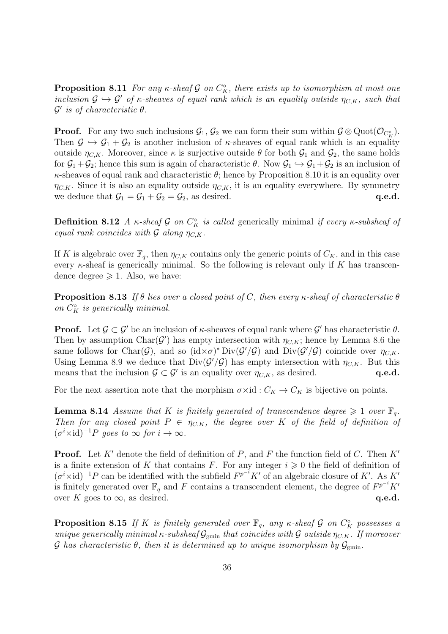**Proposition 8.11** For any  $\kappa$ -sheaf  $\mathcal{G}$  on  $C_K^{\circ}$ , there exists up to isomorphism at most one inclusion  $\mathcal{G} \hookrightarrow \mathcal{G}'$  of  $\kappa$ -sheaves of equal rank which is an equality outside  $\eta_{C,K}$ , such that  $\mathcal{G}'$  is of characteristic  $\theta$ .

**Proof.** For any two such inclusions  $\mathcal{G}_1$ ,  $\mathcal{G}_2$  we can form their sum within  $\mathcal{G} \otimes \text{Quot}(\mathcal{O}_{C_K^{\circ}})$ . Then  $\mathcal{G} \hookrightarrow \mathcal{G}_1 + \mathcal{G}_2$  is another inclusion of  $\kappa$ -sheaves of equal rank which is an equality outside  $\eta_{C,K}$ . Moreover, since  $\kappa$  is surjective outside  $\theta$  for both  $\mathcal{G}_1$  and  $\mathcal{G}_2$ , the same holds for  $\mathcal{G}_1 + \mathcal{G}_2$ ; hence this sum is again of characteristic  $\theta$ . Now  $\mathcal{G}_1 \hookrightarrow \mathcal{G}_1 + \mathcal{G}_2$  is an inclusion of  $\kappa$ -sheaves of equal rank and characteristic  $\theta$ ; hence by Proposition 8.10 it is an equality over  $\eta_{C,K}$ . Since it is also an equality outside  $\eta_{C,K}$ , it is an equality everywhere. By symmetry we deduce that  $G_1 = G_1 + G_2 = G_2$ , as desired. q.e.d.

**Definition 8.12** A  $\kappa$ -sheaf G on  $C_K^{\circ}$  is called generically minimal if every  $\kappa$ -subsheaf of equal rank coincides with  $\mathcal G$  along  $\eta_{C,K}$ .

If K is algebraic over  $\mathbb{F}_q$ , then  $\eta_{C,K}$  contains only the generic points of  $C_K$ , and in this case every  $\kappa$ -sheaf is generically minimal. So the following is relevant only if K has transcendence degree  $\geq 1$ . Also, we have:

**Proposition 8.13** If  $\theta$  lies over a closed point of C, then every  $\kappa$ -sheaf of characteristic  $\theta$ on  $C_K^{\circ}$  is generically minimal.

**Proof.** Let  $\mathcal{G} \subset \mathcal{G}'$  be an inclusion of  $\kappa$ -sheaves of equal rank where  $\mathcal{G}'$  has characteristic  $\theta$ . Then by assumption Char( $\mathcal{G}'$ ) has empty intersection with  $\eta_{C,K}$ ; hence by Lemma 8.6 the same follows for Char( $\mathcal{G}$ ), and so (id $\times \sigma$ )\* Div( $\mathcal{G}'/\mathcal{G}$ ) and Div( $\mathcal{G}'/\mathcal{G}$ ) coincide over  $\eta_{C,K}$ . Using Lemma 8.9 we deduce that  $Div(\mathcal{G}'/\mathcal{G})$  has empty intersection with  $\eta_{C,K}$ . But this means that the inclusion  $\mathcal{G} \subset \mathcal{G}'$  is an equality over  $\eta_{C,K}$ , as desired.  $q.e.d.$ 

For the next assertion note that the morphism  $\sigma \times id : C_K \to C_K$  is bijective on points.

**Lemma 8.14** Assume that K is finitely generated of transcendence degree  $\geq 1$  over  $\mathbb{F}_q$ . Then for any closed point  $P \in \eta_{C,K}$ , the degree over K of the field of definition of  $(\sigma^i \times id)^{-1}P$  goes to  $\infty$  for  $i \to \infty$ .

**Proof.** Let K' denote the field of definition of P, and F the function field of C. Then  $K'$ is a finite extension of K that contains F. For any integer  $i \geq 0$  the field of definition of  $(\sigma^i \times id)^{-1} P$  can be identified with the subfield  $F^{p^{-i}} K'$  of an algebraic closure of K'. As K' is finitely generated over  $\mathbb{F}_q$  and F contains a transcendent element, the degree of  $F^{p^{-i}}K'$ over K goes to  $\infty$ , as desired. q.e.d.

**Proposition 8.15** If K is finitely generated over  $\mathbb{F}_q$ , any  $\kappa$ -sheaf G on  $C_K^{\circ}$  possesses a unique generically minimal  $\kappa$ -subsheaf  $\mathcal{G}_{gmin}$  that coincides with  $\mathcal G$  outside  $\eta_{C,K}$ . If moreover G has characteristic  $\theta$ , then it is determined up to unique isomorphism by  $\mathcal{G}_{\text{gmin}}$ .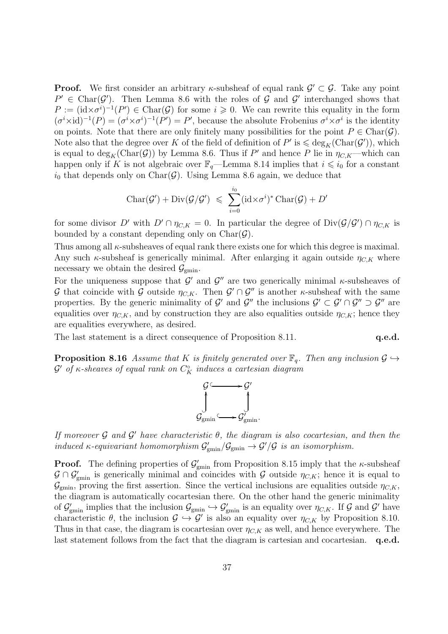**Proof.** We first consider an arbitrary  $\kappa$ -subsheaf of equal rank  $\mathcal{G}' \subset \mathcal{G}$ . Take any point  $P' \in \text{Char}(\mathcal{G}')$ . Then Lemma 8.6 with the roles of  $\mathcal{G}$  and  $\mathcal{G}'$  interchanged shows that  $P := (\mathrm{id} \times \sigma^{i-1}(P') \in \mathrm{Char}(\mathcal{G})$  for some  $i \geq 0$ . We can rewrite this equality in the form  $(\sigma^i \times id)^{-1}(P) = (\sigma^i \times \sigma^i)^{-1}(P') = P'$ , because the absolute Frobenius  $\sigma^i \times \sigma^i$  is the identity on points. Note that there are only finitely many possibilities for the point  $P \in \text{Char}(\mathcal{G})$ . Note also that the degree over K of the field of definition of  $P'$  is  $\leqslant \deg_K(\mathrm{Char}(\mathcal{G}'))$ , which is equal to  $\deg_K(\text{Char}(\mathcal{G}))$  by Lemma 8.6. Thus if  $P'$  and hence P lie in  $\eta_{C,K}$ —which can happen only if K is not algebraic over  $\mathbb{F}_q$ —Lemma 8.14 implies that  $i \leq i_0$  for a constant  $i_0$  that depends only on Char( $\mathcal{G}$ ). Using Lemma 8.6 again, we deduce that

$$
Char(\mathcal{G}') + Div(\mathcal{G}/\mathcal{G}') \leqslant \sum_{i=0}^{i_0} (id \times \sigma^i)^* Char(\mathcal{G}) + D'
$$

for some divisor D' with  $D' \cap \eta_{C,K} = 0$ . In particular the degree of  $Div(\mathcal{G}/\mathcal{G}') \cap \eta_{C,K}$  is bounded by a constant depending only on  $Char(\mathcal{G})$ .

Thus among all  $\kappa$ -subsheaves of equal rank there exists one for which this degree is maximal. Any such  $\kappa$ -subsheaf is generically minimal. After enlarging it again outside  $\eta_{C,K}$  where necessary we obtain the desired  $\mathcal{G}_{\text{emin}}$ .

For the uniqueness suppose that  $\mathcal{G}'$  and  $\mathcal{G}''$  are two generically minimal  $\kappa$ -subsheaves of G that coincide with G outside  $\eta_{C,K}$ . Then  $\mathcal{G}' \cap \mathcal{G}''$  is another  $\kappa$ -subsheaf with the same properties. By the generic minimality of G' and G'' the inclusions  $\mathcal{G}' \subset \mathcal{G}' \cap \mathcal{G}'' \supset \mathcal{G}''$  are equalities over  $\eta_{C,K}$ , and by construction they are also equalities outside  $\eta_{C,K}$ ; hence they are equalities everywhere, as desired.

The last statement is a direct consequence of Proposition 8.11. **q.e.d.** 

**Proposition 8.16** Assume that K is finitely generated over  $\mathbb{F}_q$ . Then any inclusion  $\mathcal{G} \hookrightarrow$  $\mathcal{G}'$  of  $\kappa$ -sheaves of equal rank on  $C_K^\circ$  induces a cartesian diagram



If moreover  $\mathcal G$  and  $\mathcal G'$  have characteristic  $\theta$ , the diagram is also cocartesian, and then the induced  $\kappa$ -equivariant homomorphism  $\mathcal{G}'_{\text{gmin}}/\mathcal{G}_{\text{gmin}} \to \mathcal{G}'/\mathcal{G}$  is an isomorphism.

**Proof.** The defining properties of  $\mathcal{G}'_{gmin}$  from Proposition 8.15 imply that the  $\kappa$ -subsheaf  $\mathcal{G} \cap \mathcal{G}'_{\text{gmin}}$  is generically minimal and coincides with  $\mathcal{G}$  outside  $\eta_{C,K}$ ; hence it is equal to  $\mathcal{G}_{\text{gmin}}$ , proving the first assertion. Since the vertical inclusions are equalities outside  $\eta_{C,K}$ , the diagram is automatically cocartesian there. On the other hand the generic minimality of  $\mathcal{G}'_{\text{gmin}}$  implies that the inclusion  $\mathcal{G}_{\text{gmin}} \hookrightarrow \mathcal{G}'_{\text{gmin}}$  is an equality over  $\eta_{C,K}$ . If  $\mathcal{G}$  and  $\mathcal{G}'$  have characteristic  $\theta$ , the inclusion  $\mathcal{G} \hookrightarrow \mathcal{G}'$  is also an equality over  $\eta_{C,K}$  by Proposition 8.10. Thus in that case, the diagram is cocartesian over  $\eta_{CK}$  as well, and hence everywhere. The last statement follows from the fact that the diagram is cartesian and cocartesian. q.e.d.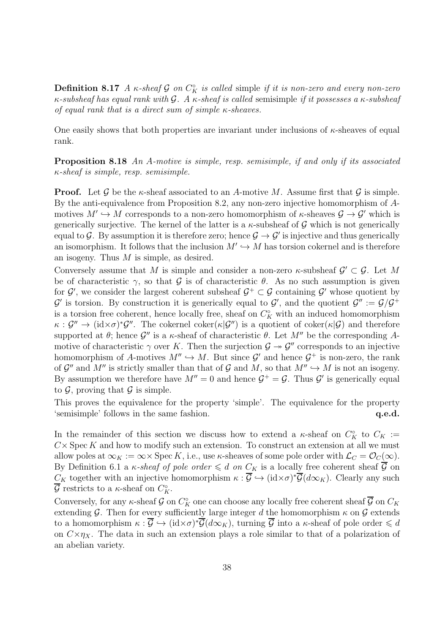**Definition 8.17** A  $\kappa$ -sheaf G on  $C_K^{\circ}$  is called simple if it is non-zero and every non-zero κ-subsheaf has equal rank with  $\mathcal G$ . A κ-sheaf is called semisimple if it possesses a κ-subsheaf of equal rank that is a direct sum of simple  $\kappa$ -sheaves.

One easily shows that both properties are invariant under inclusions of  $\kappa$ -sheaves of equal rank.

Proposition 8.18 An A-motive is simple, resp. semisimple, if and only if its associated  $\kappa$ -sheaf is simple, resp. semisimple.

**Proof.** Let G be the  $\kappa$ -sheaf associated to an A-motive M. Assume first that G is simple. By the anti-equivalence from Proposition 8.2, any non-zero injective homomorphism of Amotives  $M' \hookrightarrow M$  corresponds to a non-zero homomorphism of  $\kappa$ -sheaves  $\mathcal{G} \to \mathcal{G}'$  which is generically surjective. The kernel of the latter is a  $\kappa$ -subsheaf of  $\mathcal G$  which is not generically equal to G. By assumption it is therefore zero; hence  $\mathcal{G} \to \mathcal{G}'$  is injective and thus generically an isomorphism. It follows that the inclusion  $M' \hookrightarrow M$  has torsion cokernel and is therefore an isogeny. Thus M is simple, as desired.

Conversely assume that M is simple and consider a non-zero  $\kappa$ -subsheaf  $\mathcal{G}' \subset \mathcal{G}$ . Let M be of characteristic  $\gamma$ , so that G is of characteristic  $\theta$ . As no such assumption is given for  $\mathcal{G}'$ , we consider the largest coherent subsheaf  $\mathcal{G}^+ \subset \mathcal{G}$  containing  $\mathcal{G}'$  whose quotient by  $\mathcal{G}'$  is torsion. By construction it is generically equal to  $\mathcal{G}'$ , and the quotient  $\mathcal{G}'' := \mathcal{G}/\mathcal{G}^+$ is a torsion free coherent, hence locally free, sheaf on  $C_K^{\circ}$  with an induced homomorphism  $\kappa$ :  $\mathcal{G}'' \to (\mathrm{id} \times \sigma)^* \mathcal{G}''$ . The cokernel coker $(\kappa | \mathcal{G}'')$  is a quotient of coker $(\kappa | \mathcal{G})$  and therefore supported at  $\theta$ ; hence  $\mathcal{G}''$  is a  $\kappa$ -sheaf of characteristic  $\theta$ . Let  $M''$  be the corresponding Amotive of characteristic  $\gamma$  over K. Then the surjection  $\mathcal{G} \to \mathcal{G}''$  corresponds to an injective homomorphism of A-motives  $M'' \hookrightarrow M$ . But since  $\mathcal{G}'$  and hence  $\mathcal{G}^+$  is non-zero, the rank of  $\mathcal{G}''$  and  $M''$  is strictly smaller than that of  $\mathcal{G}$  and  $M$ , so that  $M'' \hookrightarrow M$  is not an isogeny. By assumption we therefore have  $M'' = 0$  and hence  $\mathcal{G}^+ = \mathcal{G}$ . Thus  $\mathcal{G}'$  is generically equal to  $\mathcal{G}$ , proving that  $\mathcal{G}$  is simple.

This proves the equivalence for the property 'simple'. The equivalence for the property 's emisimple' follows in the same fashion.  $q.e.d.$ 

In the remainder of this section we discuss how to extend a  $\kappa$ -sheaf on  $C_K^{\circ}$  to  $C_K :=$  $C \times \operatorname{Spec} K$  and how to modify such an extension. To construct an extension at all we must allow poles at  $\infty_K := \infty \times \text{Spec } K$ , i.e., use  $\kappa$ -sheaves of some pole order with  $\mathcal{L}_C = \mathcal{O}_C(\infty)$ . By Definition 6.1 a *κ-sheaf of pole order*  $\leq d$  *on*  $C_K$  is a locally free coherent sheaf  $\overline{G}$  on  $C_K$  together with an injective homomorphism  $\kappa : \overline{\mathcal{G}} \hookrightarrow (\text{id} \times \sigma)^* \overline{\mathcal{G}}(d\infty_K)$ . Clearly any such  $\overline{\mathcal{G}}$  restricts to a  $\kappa$ -sheaf on  $C_K^{\circ}$ .

Conversely, for any  $\kappa$ -sheaf  $\mathcal G$  on  $C_K^{\circ}$  one can choose any locally free coherent sheaf  $\overline{\mathcal G}$  on  $C_K$ extending G. Then for every sufficiently large integer d the homomorphism  $\kappa$  on G extends to a homomorphism  $\kappa : \overline{\mathcal{G}} \hookrightarrow (\mathrm{id} \times \sigma)^* \overline{\mathcal{G}}(d \infty_K)$ , turning  $\overline{\mathcal{G}}$  into a  $\kappa$ -sheaf of pole order  $\leqslant d$ on  $C \times \eta_X$ . The data in such an extension plays a role similar to that of a polarization of an abelian variety.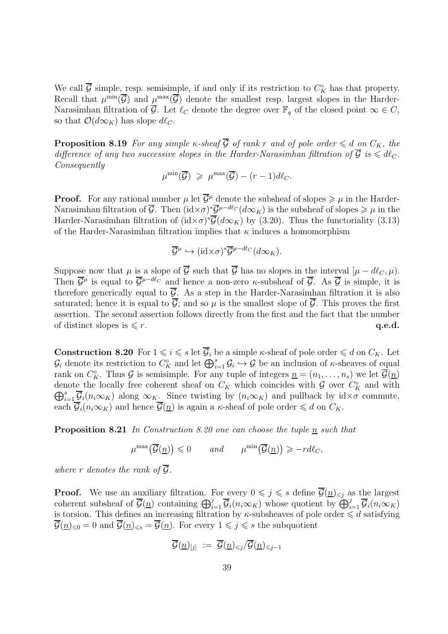We call  $\overline{G}$  simple, resp. semisimple, if and only if its restriction to  $C_K^{\circ}$  has that property. Recall that  $\mu^{\min}(\overline{\mathcal{G}})$  and  $\mu^{\max}(\overline{\mathcal{G}})$  denote the smallest resp. largest slopes in the Harder-Narasimhan filtration of  $\overline{\mathcal{G}}$ . Let  $\ell_C$  denote the degree over  $\mathbb{F}_q$  of the closed point  $\infty \in C$ , so that  $\mathcal{O}(d\infty_K)$  has slope  $d\ell_C$ .

**Proposition 8.19** For any simple  $\kappa$ -sheaf  $\overline{G}$  of rank r and of pole order  $\leq d$  on  $C_K$ , the difference of any two successive slopes in the Harder-Narasimhan filtration of  $\overline{G}$  is  $\leq d\ell_C$ . Consequently

$$
\mu^{\min}(\overline{\mathcal{G}}) \geqslant \mu^{\max}(\overline{\mathcal{G}}) - (r-1)d\ell_C.
$$

**Proof.** For any rational number  $\mu$  let  $\overline{\mathcal{G}}^{\mu}$  denote the subsheaf of slopes  $\geqslant \mu$  in the Harder-Narasimhan filtration of  $\overline{G}$ . Then  $(id \times \sigma)^* \overline{G}^{\mu-d\ell_C}(d\infty_K)$  is the subsheaf of slopes  $\geqslant \mu$  in the Harder-Narasimhan filtration of  $(id \times \sigma)^* \overline{\mathcal{G}}(d \infty_K)$  by (3.20). Thus the functoriality (3.13) of the Harder-Narasimhan filtration implies that  $\kappa$  induces a homomorphism

$$
\overline{\mathcal{G}}^{\mu} \hookrightarrow (\mathrm{id} \times \sigma)^* \overline{\mathcal{G}}^{\mu-d\ell_C}(d\infty_K).
$$

Suppose now that  $\mu$  is a slope of  $\overline{\mathcal{G}}$  such that  $\overline{\mathcal{G}}$  has no slopes in the interval  $[\mu - d\ell_C, \mu]$ . Then  $\overline{\mathcal{G}}^{\mu}$  is equal to  $\overline{\mathcal{G}}^{\mu-d\ell_C}$  and hence a non-zero  $\kappa$ -subsheaf of  $\overline{\mathcal{G}}$ . As  $\overline{\mathcal{G}}$  is simple, it is therefore generically equal to  $\overline{G}$ . As a step in the Harder-Narasimhan filtration it is also saturated; hence it is equal to  $\overline{G}$ ; and so  $\mu$  is the smallest slope of  $\overline{G}$ . This proves the first assertion. The second assertion follows directly from the first and the fact that the number of distinct slopes is  $\leq r$ . q.e.d.

**Construction 8.20** For  $1 \leq i \leq s$  let  $\overline{\mathcal{G}}_i$  be a simple *κ*-sheaf of pole order  $\leq d$  on  $C_K$ . Let  $\mathcal{G}_i$  denote its restriction to  $C_K^{\circ}$  and let  $\bigoplus_{i=1}^s \mathcal{G}_i \hookrightarrow \mathcal{G}$  be an inclusion of  $\kappa$ -sheaves of equal rank on  $C_K^{\circ}$ . Thus  $\mathcal G$  is semisimple. For any tuple of integers  $\underline{n} = (n_1, \ldots, n_s)$  we let  $\overline{\mathcal G}(\underline{n})$ denote the locally free coherent sheaf on  $C_K$  which coincides with  $G$  over  $C_K^{\circ}$  and with  $\bigoplus_{i=1}^s \overline{\mathcal{G}}_i(n_i\infty_K)$  along  $\infty_{K}$ . Since twisting by  $(n_i\infty_K)$  and pullback by  $id \times \sigma$  commute, each  $\overline{\mathcal{G}}_i(n_i\infty_K)$  and hence  $\overline{\mathcal{G}}(\underline{n})$  is again a  $\kappa$ -sheaf of pole order  $\leq d$  on  $C_K$ .

**Proposition 8.21** In Construction 8.20 one can choose the tuple  $\underline{n}$  such that

$$
\mu^{\max}(\overline{\mathcal{G}}(\underline{n})) \leq 0 \quad \text{and} \quad \mu^{\min}(\overline{\mathcal{G}}(\underline{n})) \geq -r d\ell_C,
$$

where r denotes the rank of  $\overline{G}$ .

**Proof.** We use an auxiliary filtration. For every  $0 \leq j \leq s$  define  $\overline{\mathcal{G}}(n)_{\leq j}$  as the largest coherent subsheaf of  $\overline{\mathcal{G}}(\underline{n})$  containing  $\bigoplus_{i=1}^j \overline{\mathcal{G}}_i(n_i\infty_K)$  whose quotient by  $\bigoplus_{i=1}^j \overline{\mathcal{G}}_i(n_i\infty_K)$ is torsion. This defines an increasing filtration by  $\kappa$ -subsheaves of pole order  $\leq d$  satisfying  $\overline{\mathcal{G}}(n)_{\leq 0} = 0$  and  $\overline{\mathcal{G}}(n)_{\leq s} = \overline{\mathcal{G}}(n)$ . For every  $1 \leq j \leq s$  the subquotient

$$
\overline{\mathcal{G}}(\underline{n})_{[j]} \,\, := \,\, \overline{\mathcal{G}}(\underline{n})_{\leqslant j}/\overline{\mathcal{G}}(\underline{n})_{\leqslant j-1}
$$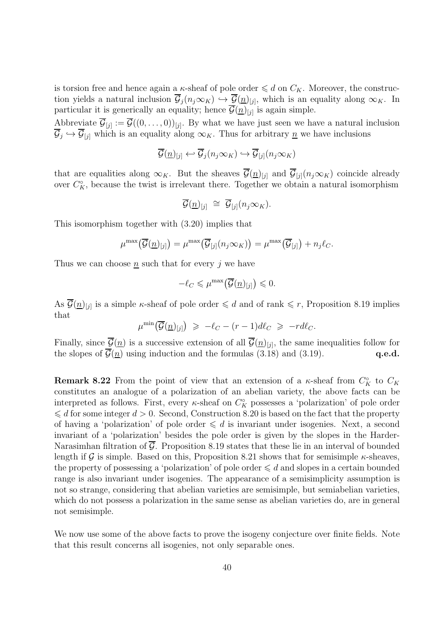is torsion free and hence again a  $\kappa$ -sheaf of pole order  $\leq d$  on  $C_K$ . Moreover, the construction yields a natural inclusion  $\mathcal{G}_j(n_j\infty_K) \hookrightarrow \mathcal{G}(\underline{n})_{[j]},$  which is an equality along  $\infty_K$ . In particular it is generically an equality; hence  $\mathcal{G}(\underline{n})_{[j]}$  is again simple.

Abbreviate  $\mathcal{G}_{[j]} := \mathcal{G}((0,\ldots,0))_{[j]}$ . By what we have just seen we have a natural inclusion  $\mathcal{G}_j \hookrightarrow \mathcal{G}_{[j]}$  which is an equality along  $\infty_K$ . Thus for arbitrary  $\underline{n}$  we have inclusions

$$
\overline{\mathcal{G}}(\underline{n})_{[j]} \leftarrow \overline{\mathcal{G}}_j(n_j \infty_K) \hookrightarrow \overline{\mathcal{G}}_{[j]}(n_j \infty_K)
$$

that are equalities along  $\infty_K$ . But the sheaves  $\overline{\mathcal{G}}(\underline{n})_{[j]}$  and  $\overline{\mathcal{G}}_{[j]}(n_j\infty_K)$  coincide already over  $C_K^{\circ}$ , because the twist is irrelevant there. Together we obtain a natural isomorphism

$$
\overline{\mathcal{G}}(\underline{n})_{[j]} \; \cong \; \overline{\mathcal{G}}_{[j]}(n_j \infty_K).
$$

This isomorphism together with (3.20) implies that

$$
\mu^{\max}(\overline{\mathcal{G}}(\underline{n})_{[j]}) = \mu^{\max}(\overline{\mathcal{G}}_{[j]}(n_j \infty_K)) = \mu^{\max}(\overline{\mathcal{G}}_{[j]}) + n_j \ell_C.
$$

Thus we can choose  $n$  such that for every  $j$  we have

$$
-\ell_C \leqslant \mu^{\max}\big(\overline{\mathcal{G}}(\underline{n})_{[j]}\big) \leqslant 0.
$$

As  $\overline{\mathcal{G}}(\underline{n})_{[j]}$  is a simple *κ*-sheaf of pole order  $\leq d$  and of rank  $\leq r$ , Proposition 8.19 implies that

$$
\mu^{\min}\big(\overline{\mathcal{G}}(\underline{n})_{[j]}\big) \geqslant -\ell_C - (r-1)d\ell_C \geqslant -r d\ell_C.
$$

Finally, since  $\mathcal{G}(n)$  is a successive extension of all  $\mathcal{G}(n)_{[j]}$ , the same inequalities follow for the slopes of  $\overline{\mathcal{G}(n)}$  using induction and the formulas (3.18) and (3.19). q.e.d.

**Remark 8.22** From the point of view that an extension of a  $\kappa$ -sheaf from  $C_K^{\circ}$  to  $C_K$ constitutes an analogue of a polarization of an abelian variety, the above facts can be interpreted as follows. First, every  $\kappa$ -sheaf on  $C_K^{\circ}$  possesses a 'polarization' of pole order  $\leq d$  for some integer  $d > 0$ . Second, Construction 8.20 is based on the fact that the property of having a 'polarization' of pole order  $\leq d$  is invariant under isogenies. Next, a second invariant of a 'polarization' besides the pole order is given by the slopes in the Harder-Narasimhan filtration of  $\overline{G}$ . Proposition 8.19 states that these lie in an interval of bounded length if G is simple. Based on this, Proposition 8.21 shows that for semisimple  $\kappa$ -sheaves, the property of possessing a 'polarization' of pole order  $\leq d$  and slopes in a certain bounded range is also invariant under isogenies. The appearance of a semisimplicity assumption is not so strange, considering that abelian varieties are semisimple, but semiabelian varieties, which do not possess a polarization in the same sense as abelian varieties do, are in general not semisimple.

We now use some of the above facts to prove the isogeny conjecture over finite fields. Note that this result concerns all isogenies, not only separable ones.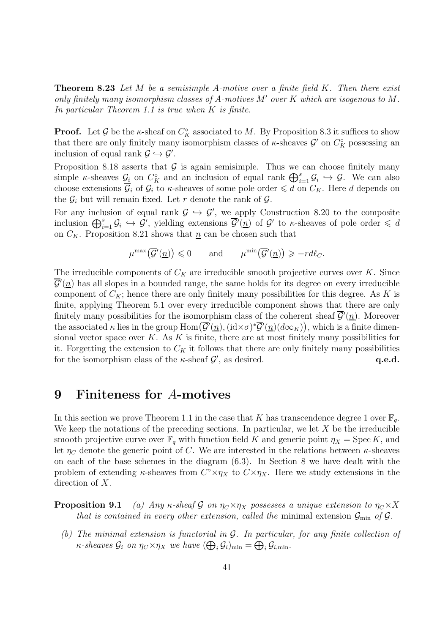**Theorem 8.23** Let M be a semisimple A-motive over a finite field K. Then there exist only finitely many isomorphism classes of A-motives  $M'$  over K which are isogenous to M. In particular Theorem 1.1 is true when K is finite.

**Proof.** Let  $\mathcal{G}$  be the  $\kappa$ -sheaf on  $C_K^{\circ}$  associated to M. By Proposition 8.3 it suffices to show that there are only finitely many isomorphism classes of  $\kappa$ -sheaves  $\mathcal{G}'$  on  $C_K^{\circ}$  possessing an inclusion of equal rank  $\mathcal{G} \hookrightarrow \mathcal{G}'$ .

Proposition 8.18 asserts that  $G$  is again semisimple. Thus we can choose finitely many simple *κ*-sheaves  $\mathcal{G}_i$  on  $C_K^{\circ}$  and an inclusion of equal rank  $\bigoplus_{i=1}^s \mathcal{G}_i \hookrightarrow \mathcal{G}$ . We can also choose extensions  $\overline{\mathcal{G}}_i$  of  $\mathcal{G}_i$  to  $\kappa$ -sheaves of some pole order  $\leq d$  on  $C_K$ . Here d depends on the  $\mathcal{G}_i$  but will remain fixed. Let r denote the rank of  $\mathcal{G}$ .

For any inclusion of equal rank  $\mathcal{G} \hookrightarrow \mathcal{G}'$ , we apply Construction 8.20 to the composite inclusion  $\bigoplus_{i=1}^s \mathcal{G}_i \hookrightarrow \mathcal{G}'$ , yielding extensions  $\overline{\mathcal{G}'}(n)$  of  $\mathcal{G}'$  to  $\kappa$ -sheaves of pole order  $\leqslant d$ on  $C_K$ . Proposition 8.21 shows that  $\underline{n}$  can be chosen such that

$$
\mu^{\max}(\overline{\mathcal{G}}'(\underline{n})) \leq 0 \quad \text{and} \quad \mu^{\min}(\overline{\mathcal{G}}'(\underline{n})) \geq -r d\ell_{C}.
$$

The irreducible components of  $C_K$  are irreducible smooth projective curves over K. Since  $\overline{\mathcal{G}}'(n)$  has all slopes in a bounded range, the same holds for its degree on every irreducible component of  $C_K$ ; hence there are only finitely many possibilities for this degree. As K is finite, applying Theorem 5.1 over every irreducible component shows that there are only finitely many possibilities for the isomorphism class of the coherent sheaf  $\overline{\mathcal{G}}'(n)$ . Moreover the associated  $\kappa$  lies in the group  $\text{Hom}\big(\overline{\mathcal{G}}'(n),(\text{id}\times\sigma)^*\overline{\mathcal{G}}'(n)(d\infty_K)\big)$ , which is a finite dimensional vector space over  $K$ . As  $K$  is finite, there are at most finitely many possibilities for it. Forgetting the extension to  $C_K$  it follows that there are only finitely many possibilities for the isomorphism class of the  $\kappa$ -sheaf  $\mathcal{G}'$ , as desired.  $q.e.d.$ 

### 9 Finiteness for A-motives

In this section we prove Theorem 1.1 in the case that K has transcendence degree 1 over  $\mathbb{F}_q$ . We keep the notations of the preceding sections. In particular, we let  $X$  be the irreducible smooth projective curve over  $\mathbb{F}_q$  with function field K and generic point  $\eta_X = \text{Spec } K$ , and let  $\eta_C$  denote the generic point of C. We are interested in the relations between  $\kappa$ -sheaves on each of the base schemes in the diagram (6.3). In Section 8 we have dealt with the problem of extending  $\kappa$ -sheaves from  $C^{\circ} \times \eta_X$  to  $C \times \eta_X$ . Here we study extensions in the direction of X.

**Proposition 9.1** (a) Any κ-sheaf G on  $\eta_C \times \eta_X$  possesses a unique extension to  $\eta_C \times X$ that is contained in every other extension, called the minimal extension  $\mathcal{G}_{\text{min}}$  of  $\mathcal{G}$ .

(b) The minimal extension is functorial in G. In particular, for any finite collection of  $\kappa$ -sheaves  $\mathcal{G}_i$  on  $\eta_C \times \eta_X$  we have  $(\bigoplus_i \mathcal{G}_i)_{\text{min}} = \bigoplus_i \mathcal{G}_{i,\text{min}}$ .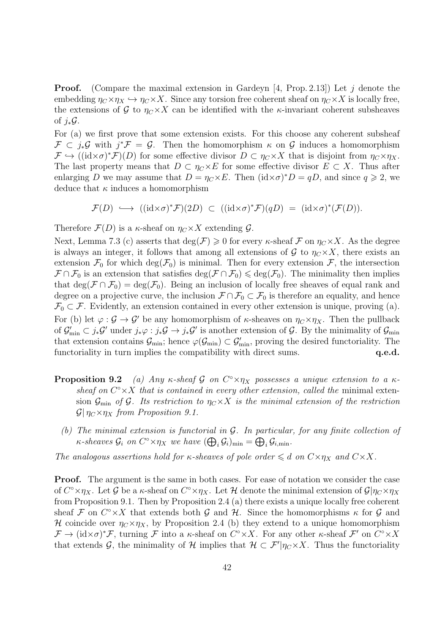**Proof.** (Compare the maximal extension in Gardeyn [4, Prop. 2.13]) Let j denote the embedding  $\eta_C \times \eta_X \hookrightarrow \eta_C \times X$ . Since any torsion free coherent sheaf on  $\eta_C \times X$  is locally free, the extensions of G to  $\eta_C \times X$  can be identified with the *κ*-invariant coherent subsheaves of  $j_*\mathcal{G}$ .

For (a) we first prove that some extension exists. For this choose any coherent subsheaf  $\mathcal{F} \subset j_*\mathcal{G}$  with  $j^*\mathcal{F} = \mathcal{G}$ . Then the homomorphism  $\kappa$  on  $\mathcal{G}$  induces a homomorphism  $\mathcal{F} \hookrightarrow ((\mathrm{id} \times \sigma)^* \mathcal{F})(D)$  for some effective divisor  $D \subset \eta_C \times X$  that is disjoint from  $\eta_C \times \eta_X$ . The last property means that  $D \subset \eta_C \times E$  for some effective divisor  $E \subset X$ . Thus after enlarging D we may assume that  $D = \eta_C \times E$ . Then  $(\mathrm{id} \times \sigma)^* D = qD$ , and since  $q \geq 2$ , we deduce that  $\kappa$  induces a homomorphism

$$
\mathcal{F}(D) \longrightarrow ((id \times \sigma)^* \mathcal{F})(2D) \subset ((id \times \sigma)^* \mathcal{F})(qD) = (id \times \sigma)^* (\mathcal{F}(D)).
$$

Therefore  $\mathcal{F}(D)$  is a  $\kappa$ -sheaf on  $\eta_C \times X$  extending  $\mathcal{G}$ .

Next, Lemma 7.3 (c) asserts that  $deg(\mathcal{F}) \geq 0$  for every  $\kappa$ -sheaf  $\mathcal{F}$  on  $\eta_C \times X$ . As the degree is always an integer, it follows that among all extensions of  $\mathcal G$  to  $\eta_C \times X$ , there exists an extension  $\mathcal{F}_0$  for which deg( $\mathcal{F}_0$ ) is minimal. Then for every extension  $\mathcal{F}_1$ , the intersection  $\mathcal{F} \cap \mathcal{F}_0$  is an extension that satisfies  $\deg(\mathcal{F} \cap \mathcal{F}_0) \leq \deg(\mathcal{F}_0)$ . The minimality then implies that deg( $\mathcal{F} \cap \mathcal{F}_0$ ) = deg( $\mathcal{F}_0$ ). Being an inclusion of locally free sheaves of equal rank and degree on a projective curve, the inclusion  $\mathcal{F} \cap \mathcal{F}_0 \subset \mathcal{F}_0$  is therefore an equality, and hence  $\mathcal{F}_0 \subset \mathcal{F}$ . Evidently, an extension contained in every other extension is unique, proving (a). For (b) let  $\varphi : \mathcal{G} \to \mathcal{G}'$  be any homomorphism of  $\kappa$ -sheaves on  $\eta_C \times \eta_X$ . Then the pullback of  $\mathcal{G}'_{\min} \subset j_*\mathcal{G}'$  under  $j_*\varphi : j_*\mathcal{G} \to j_*\mathcal{G}'$  is another extension of  $\mathcal{G}$ . By the minimality of  $\mathcal{G}_{\min}$ that extension contains  $\mathcal{G}_{\text{min}}$ ; hence  $\varphi(\mathcal{G}_{\text{min}}) \subset \mathcal{G}'_{\text{min}}$ , proving the desired functoriality. The functoriality in turn implies the compatibility with direct sums.  $q.e.d.$ 

- **Proposition 9.2** (a) Any  $\kappa$ -sheaf G on  $C^{\circ} \times \eta_X$  possesses a unique extension to a  $\kappa$ sheaf on  $C^{\circ}\times X$  that is contained in every other extension, called the minimal extension  $\mathcal{G}_{\text{min}}$  of  $\mathcal{G}$ . Its restriction to  $\eta_C \times X$  is the minimal extension of the restriction  $\mathcal{G}|\eta_C\times\eta_X$  from Proposition 9.1.
	- (b) The minimal extension is functorial in G. In particular, for any finite collection of  $\kappa$ -sheaves  $\mathcal{G}_i$  on  $C^{\circ} \times \eta_X$  we have  $(\bigoplus_i \mathcal{G}_i)_{\min} = \bigoplus_i \mathcal{G}_{i,\min}$ .

The analogous assertions hold for  $\kappa$ -sheaves of pole order  $\leq d$  on  $C\times \eta_X$  and  $C\times X$ .

Proof. The argument is the same in both cases. For ease of notation we consider the case of  $C^{\circ} \times \eta_X$ . Let G be a  $\kappa$ -sheaf on  $C^{\circ} \times \eta_X$ . Let H denote the minimal extension of  $\mathcal{G}|\eta_C \times \eta_X$ from Proposition 9.1. Then by Proposition 2.4 (a) there exists a unique locally free coherent sheaf F on  $C^{\circ}\times X$  that extends both G and H. Since the homomorphisms  $\kappa$  for G and H coincide over  $\eta_C \times \eta_X$ , by Proposition 2.4 (b) they extend to a unique homomorphism  $\mathcal{F} \to (\mathrm{id} \times \sigma)^* \mathcal{F}$ , turning  $\mathcal{F}$  into a  $\kappa$ -sheaf on  $C^{\circ} \times X$ . For any other  $\kappa$ -sheaf  $\mathcal{F}'$  on  $C^{\circ} \times X$ that extends  $\mathcal{G}$ , the minimality of  $\mathcal{H}$  implies that  $\mathcal{H} \subset \mathcal{F}'/\eta_C \times X$ . Thus the functoriality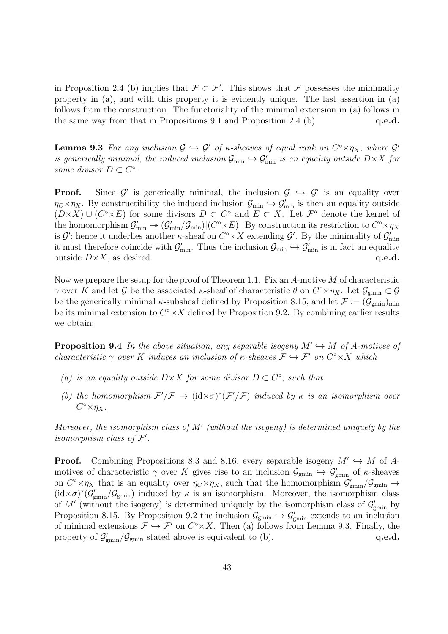in Proposition 2.4 (b) implies that  $\mathcal{F} \subset \mathcal{F}'$ . This shows that  $\mathcal{F}$  possesses the minimality property in (a), and with this property it is evidently unique. The last assertion in (a) follows from the construction. The functoriality of the minimal extension in (a) follows in the same way from that in Propositions 9.1 and Proposition 2.4 (b)  $q.e.d.$ 

**Lemma 9.3** For any inclusion  $G \hookrightarrow G'$  of  $\kappa$ -sheaves of equal rank on  $C^{\circ} \times \eta_X$ , where  $G'$ is generically minimal, the induced inclusion  $\mathcal{G}_{\min} \hookrightarrow \mathcal{G}'_{\min}$  is an equality outside  $D\times X$  for some divisor  $D \subset C^{\circ}$ .

**Proof.** Since  $\mathcal{G}'$  is generically minimal, the inclusion  $\mathcal{G} \hookrightarrow \mathcal{G}'$  is an equality over  $\eta_C \times \eta_X$ . By constructibility the induced inclusion  $\mathcal{G}_{\min} \hookrightarrow \mathcal{G}'_{\min}$  is then an equality outside  $(D \times X) \cup (C \times E)$  for some divisors  $D \subset C$ <sup>o</sup> and  $E \subset X$ . Let  $\mathcal{F}''$  denote the kernel of the homomorphism  $\mathcal{G}'_{\min} \to (\mathcal{G}'_{\min}/\mathcal{G}_{\min})|(C^{\circ} \times E)$ . By construction its restriction to  $C^{\circ} \times \eta_X$ is  $\mathcal{G}'$ ; hence it underlies another  $\kappa$ -sheaf on  $C^{\circ} \times X$  extending  $\mathcal{G}'$ . By the minimality of  $\mathcal{G}'$ min it must therefore coincide with  $\mathcal{G}'_{\min}$ . Thus the inclusion  $\mathcal{G}_{\min} \hookrightarrow \mathcal{G}'_{\min}$  is in fact an equality outside  $D \times X$ , as desired.  $q.e.d.$ 

Now we prepare the setup for the proof of Theorem 1.1. Fix an  $A$ -motive  $M$  of characteristic  $\gamma$  over K and let G be the associated  $\kappa$ -sheaf of characteristic  $\theta$  on  $C^{\circ} \times \eta_X$ . Let  $\mathcal{G}_{\text{gmin}} \subset \mathcal{G}$ be the generically minimal  $\kappa$ -subsheaf defined by Proposition 8.15, and let  $\mathcal{F} := (\mathcal{G}_{gmin})_{min}$ be its minimal extension to  $C^{\circ} \times X$  defined by Proposition 9.2. By combining earlier results we obtain:

**Proposition 9.4** In the above situation, any separable isogeny  $M' \hookrightarrow M$  of A-motives of characteristic  $\gamma$  over K induces an inclusion of  $\kappa$ -sheaves  $\mathcal{F} \hookrightarrow \mathcal{F}'$  on  $C^{\circ} \times X$  which

- (a) is an equality outside  $D \times X$  for some divisor  $D \subset C^{\circ}$ , such that
- (b) the homomorphism  $\mathcal{F}'/\mathcal{F} \to (\mathrm{id} \times \sigma)^*(\mathcal{F}'/\mathcal{F})$  induced by  $\kappa$  is an isomorphism over  $C^{\circ} \times \eta_X$ .

Moreover, the isomorphism class of M' (without the isogeny) is determined uniquely by the isomorphism class of  $\mathcal{F}'$ .

**Proof.** Combining Propositions 8.3 and 8.16, every separable isogeny  $M' \hookrightarrow M$  of Amotives of characteristic  $\gamma$  over K gives rise to an inclusion  $\mathcal{G}_{\text{gmin}} \hookrightarrow \mathcal{G}'_{\text{gmin}}$  of  $\kappa$ -sheaves on  $C^{\circ} \times \eta_X$  that is an equality over  $\eta_C \times \eta_X$ , such that the homomorphism  $\mathcal{G}'_{\text{gmin}}/\mathcal{G}_{\text{gmin}} \to$  $(id \times \sigma)^*(\mathcal{G}'_{gmin}/\mathcal{G}_{gmin})$  induced by  $\kappa$  is an isomorphism. Moreover, the isomorphism class of M' (without the isogeny) is determined uniquely by the isomorphism class of  $\mathcal{G}'_{\text{gmin}}$  by Proposition 8.15. By Proposition 9.2 the inclusion  $\mathcal{G}_{\text{gmin}} \hookrightarrow \mathcal{G}'_{\text{gmin}}$  extends to an inclusion of minimal extensions  $\mathcal{F} \hookrightarrow \mathcal{F}'$  on  $C^{\circ} \times X$ . Then (a) follows from Lemma 9.3. Finally, the property of  $\mathcal{G}'_{gmin}/\mathcal{G}_{gmin}$  stated above is equivalent to (b).  $q.e.d.$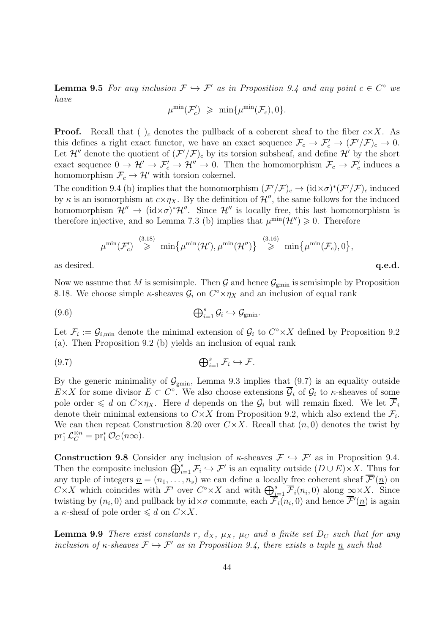**Lemma 9.5** For any inclusion  $\mathcal{F} \hookrightarrow \mathcal{F}'$  as in Proposition 9.4 and any point  $c \in C^{\circ}$  we have

$$
\mu^{\min}(\mathcal{F}'_c) \geqslant \min\{\mu^{\min}(\mathcal{F}_c), 0\}.
$$

**Proof.** Recall that  $\left( \right)$  denotes the pullback of a coherent sheaf to the fiber  $c \times X$ . As this defines a right exact functor, we have an exact sequence  $\mathcal{F}_c \to \mathcal{F}'_c \to (\mathcal{F}'/\mathcal{F})_c \to 0$ . Let  $\mathcal{H}''$  denote the quotient of  $(\mathcal{F}'/\mathcal{F})_c$  by its torsion subsheaf, and define  $\mathcal{H}'$  by the short exact sequence  $0 \to \mathcal{H}' \to \mathcal{F}'_c \to \mathcal{H}'' \to 0$ . Then the homomorphism  $\mathcal{F}_c \to \mathcal{F}'_c$  induces a homomorphism  $\mathcal{F}_c \to \mathcal{H}'$  with torsion cokernel.

The condition 9.4 (b) implies that the homomorphism  $(\mathcal{F}'/\mathcal{F})_c \to (\mathrm{id} \times \sigma)^*(\mathcal{F}'/\mathcal{F})_c$  induced by  $\kappa$  is an isomorphism at  $c \times \eta_X$ . By the definition of  $\mathcal{H}''$ , the same follows for the induced homomorphism  $\mathcal{H}'' \to (\mathrm{id} \times \sigma)^* \mathcal{H}''$ . Since  $\mathcal{H}''$  is locally free, this last homomorphism is therefore injective, and so Lemma 7.3 (b) implies that  $\mu^{\min}(\mathcal{H}'') \geq 0$ . Therefore

$$
\mu^{\min}(\mathcal{F}'_c)\overset{(3.18)}{\geqslant}\min\bigl\{\mu^{\min}(\mathcal{H}'),\mu^{\min}(\mathcal{H}'')\bigr\}\overset{(3.16)}{\geqslant} \min\bigl\{\mu^{\min}(\mathcal{F}_c),0\bigr\},
$$

as desired.  $q.e.d.$ 

Now we assume that M is semisimple. Then G and hence  $\mathcal{G}_{gmin}$  is semisimple by Proposition 8.18. We choose simple  $\kappa$ -sheaves  $\mathcal{G}_i$  on  $C^{\circ} \times \eta_X$  and an inclusion of equal rank

(9.6) 
$$
\bigoplus_{i=1}^{s} \mathcal{G}_i \hookrightarrow \mathcal{G}_{\text{gmin}}.
$$

Let  $\mathcal{F}_i := \mathcal{G}_{i,\text{min}}$  denote the minimal extension of  $\mathcal{G}_i$  to  $C^{\circ} \times X$  defined by Proposition 9.2 (a). Then Proposition 9.2 (b) yields an inclusion of equal rank

$$
(9.7) \t\t\t\t\t\oplus_{i=1}^s \mathcal{F}_i \hookrightarrow \mathcal{F}.
$$

By the generic minimality of  $\mathcal{G}_{\text{gmin}}$ , Lemma 9.3 implies that  $(9.7)$  is an equality outside  $E \times X$  for some divisor  $E \subset C^{\circ}$ . We also choose extensions  $\overline{\mathcal{G}}_i$  of  $\mathcal{G}_i$  to  $\kappa$ -sheaves of some pole order  $\leq d$  on  $C\times \eta_X$ . Here d depends on the  $\mathcal{G}_i$  but will remain fixed. We let  $\overline{\mathcal{F}}_i$ denote their minimal extensions to  $C \times X$  from Proposition 9.2, which also extend the  $\mathcal{F}_i$ . We can then repeat Construction 8.20 over  $C \times X$ . Recall that  $(n, 0)$  denotes the twist by  $\operatorname{pr}_1^* \mathcal{L}_C^{\otimes n} = \operatorname{pr}_1^* \mathcal{O}_C(n\infty).$ 

**Construction 9.8** Consider any inclusion of  $\kappa$ -sheaves  $\mathcal{F} \hookrightarrow \mathcal{F}'$  as in Proposition 9.4. Then the composite inclusion  $\bigoplus_{i=1}^s \mathcal{F}_i \hookrightarrow \mathcal{F}'$  is an equality outside  $(D \cup E) \times X$ . Thus for any tuple of integers  $\underline{n} = (n_1, \ldots, n_s)$  we can define a locally free coherent sheaf  $\overline{\mathcal{F}}'(n)$  on  $C \times X$  which coincides with  $\mathcal{F}'$  over  $C^{\circ} \times X$  and with  $\bigoplus_{i=1}^{s} \overline{\mathcal{F}}_i(n_i,0)$  along  $\infty \times X$ . Since twisting by  $(n_i, 0)$  and pullback by  $id \times \sigma$  commute, each  $\overline{\mathcal{F}}_i(n_i, 0)$  and hence  $\overline{\mathcal{F}}'(n)$  is again a  $\kappa$ -sheaf of pole order  $\leq d$  on  $C \times X$ .

**Lemma 9.9** There exist constants r,  $d_X$ ,  $\mu_X$ ,  $\mu_C$  and a finite set  $D_C$  such that for any inclusion of  $\kappa$ -sheaves  $\mathcal{F} \hookrightarrow \mathcal{F}'$  as in Proposition 9.4, there exists a tuple  $\underline{n}$  such that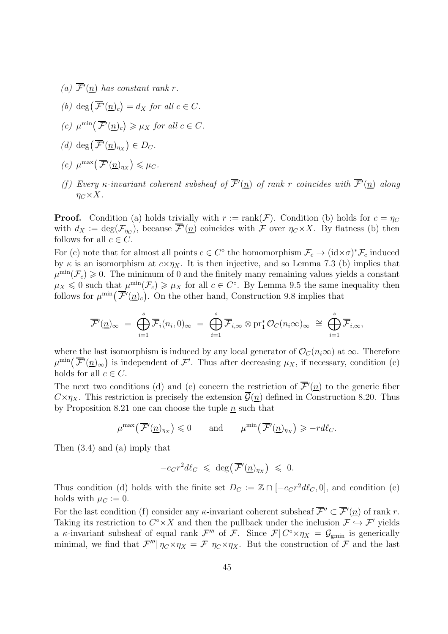- (a)  $\overline{\mathcal{F}}'(n)$  has constant rank r.
- (b) deg $(\overline{\mathcal{F}}'(n)_c) = d_X$  for all  $c \in C$ .
- (c)  $\mu^{\min}(\overline{\mathcal{F}}'(n)_c) \geq \mu_X$  for all  $c \in C$ .
- (d) deg $(\overline{\mathcal{F}}'(n)_{\eta_X}) \in D_C.$
- (e)  $\mu^{\max}(\overline{\mathcal{F}}'(n)_{\eta_X}) \leq \mu_C.$
- (f) Every  $\kappa$ -invariant coherent subsheaf of  $\overline{\mathcal{F}}'(n)$  of rank r coincides with  $\overline{\mathcal{F}}'(n)$  along  $\eta_C \times X$ .

**Proof.** Condition (a) holds trivially with  $r := \text{rank}(\mathcal{F})$ . Condition (b) holds for  $c = \eta_C$ with  $d_X := \deg(\mathcal{F}_{\eta_C})$ , because  $\overline{\mathcal{F}}'(n)$  coincides with  $\mathcal F$  over  $\eta_C \times X$ . By flatness (b) then follows for all  $c \in C$ .

For (c) note that for almost all points  $c \in C^{\circ}$  the homomorphism  $\mathcal{F}_c \to (\mathrm{id} \times \sigma)^* \mathcal{F}_c$  induced by  $\kappa$  is an isomorphism at  $c \times \eta_X$ . It is then injective, and so Lemma 7.3 (b) implies that  $\mu^{\min}(\mathcal{F}_c) \geq 0$ . The minimum of 0 and the finitely many remaining values yields a constant  $\mu_X \leq 0$  such that  $\mu^{\min}(\mathcal{F}_c) \geq \mu_X$  for all  $c \in C^{\circ}$ . By Lemma 9.5 the same inequality then follows for  $\mu^{\min}(\overline{\mathcal{F}}'(n_c))$ . On the other hand, Construction 9.8 implies that

$$
\overline{\mathcal{F}}'( \underline{n})_{\infty} = \bigoplus_{i=1}^{s} \overline{\mathcal{F}}_{i}(n_{i}, 0)_{\infty} = \bigoplus_{i=1}^{s} \overline{\mathcal{F}}_{i, \infty} \otimes \mathrm{pr}_{1}^{*} \mathcal{O}_{C}(n_{i} \infty)_{\infty} \cong \bigoplus_{i=1}^{s} \overline{\mathcal{F}}_{i, \infty},
$$

where the last isomorphism is induced by any local generator of  $\mathcal{O}_C(n_i\infty)$  at  $\infty$ . Therefore  $\mu^{\min}(\overline{\mathcal{F}}'(n)_{\infty})$  is independent of  $\mathcal{F}'$ . Thus after decreasing  $\mu_X$ , if necessary, condition (c) holds for all  $c \in C$ .

The next two conditions (d) and (e) concern the restriction of  $\overline{\mathcal{F}}'(n)$  to the generic fiber  $C \times \eta_X$ . This restriction is precisely the extension  $\overline{\mathcal{G}}(n)$  defined in Construction 8.20. Thus by Proposition 8.21 one can choose the tuple  $n$  such that

$$
\mu^{\max}(\overline{\mathcal{F}}'(n)_{\eta_X}) \leq 0
$$
 and  $\mu^{\min}(\overline{\mathcal{F}}'(n)_{\eta_X}) \geq -r d\ell_C.$ 

Then (3.4) and (a) imply that

$$
-e_C r^2 d\ell_C \leqslant \deg(\overline{\mathcal{F}}'(n)_{\eta_X}) \leqslant 0.
$$

Thus condition (d) holds with the finite set  $D_C := \mathbb{Z} \cap [-e_C r^2 d\ell_C, 0]$ , and condition (e) holds with  $\mu_C := 0$ .

For the last condition (f) consider any  $\kappa$ -invariant coherent subsheaf  $\overline{\mathcal{F}}'' \subset \overline{\mathcal{F}}'(\underline{n})$  of rank r. Taking its restriction to  $C^{\circ} \times X$  and then the pullback under the inclusion  $\mathcal{F} \hookrightarrow \mathcal{F}'$  yields a  $\kappa$ -invariant subsheaf of equal rank  $\mathcal{F}'''$  of  $\mathcal{F}$ . Since  $\mathcal{F}|C^{\circ} \times \eta_X = \mathcal{G}_{\text{gmin}}$  is generically minimal, we find that  $\mathcal{F}'''|\eta_C \times \eta_X = \mathcal{F}|\eta_C \times \eta_X$ . But the construction of  $\mathcal F$  and the last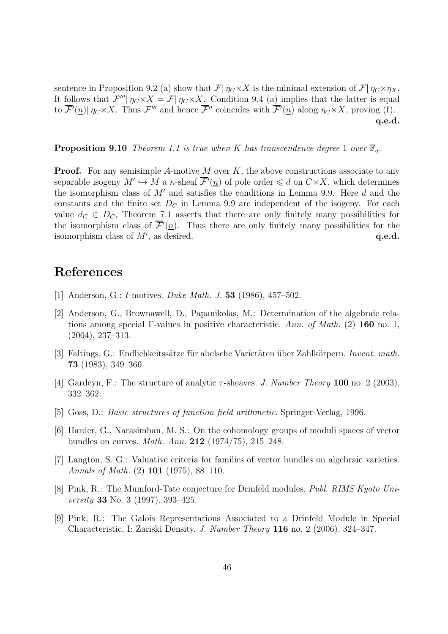sentence in Proposition 9.2 (a) show that  $\mathcal{F}| \eta_C \times X$  is the minimal extension of  $\mathcal{F}| \eta_C \times \eta_X$ . It follows that  $\mathcal{F}'''|\eta_C\times X = \mathcal{F}|\eta_C\times X$ . Condition 9.4 (a) implies that the latter is equal to  $\overline{\mathcal{F}}'(n) \mid \eta_C \times X$ . Thus  $\mathcal{F}'''$  and hence  $\overline{\mathcal{F}}''$  coincides with  $\overline{\mathcal{F}}'(n)$  along  $\eta_C \times X$ , proving (f). q.e.d.

**Proposition 9.10** Theorem 1.1 is true when K has transcendence degree 1 over  $\mathbb{F}_q$ .

**Proof.** For any semisimple A-motive M over K, the above constructions associate to any separable isogeny  $M' \hookrightarrow M$  a  $\kappa$ -sheaf  $\overline{\mathcal{F}}'(n)$  of pole order  $\leq d$  on  $C \times X$ , which determines the isomorphism class of  $M'$  and satisfies the conditions in Lemma 9.9. Here  $d$  and the constants and the finite set  $D<sub>C</sub>$  in Lemma 9.9 are independent of the isogeny. For each value  $d_C \in D_C$ , Theorem 7.1 asserts that there are only finitely many possibilities for the isomorphism class of  $\overline{\mathcal{F}}'(n)$ . Thus there are only finitely many possibilities for the isomorphism class of  $M'$ , as desired.  $q.e.d.$ 

# References

- [1] Anderson, G.: t-motives. Duke Math. J. 53 (1986), 457–502.
- [2] Anderson, G., Brownawell, D., Papanikolas, M.: Determination of the algebraic relations among special Γ-values in positive characteristic. Ann. of Math. (2) 160 no. 1, (2004), 237–313.
- [3] Faltings, G.: Endlichkeitssätze für abelsche Varietäten über Zahlkörpern. Invent. math. 73 (1983), 349–366.
- [4] Gardeyn, F.: The structure of analytic  $\tau$ -sheaves. J. Number Theory 100 no. 2 (2003), 332–362.
- [5] Goss, D.: Basic structures of function field arithmetic. Springer-Verlag, 1996.
- [6] Harder, G., Narasimhan, M. S.: On the cohomology groups of moduli spaces of vector bundles on curves. Math. Ann. 212 (1974/75), 215–248.
- [7] Langton, S. G.: Valuative criteria for families of vector bundles on algebraic varieties. Annals of Math. (2) 101 (1975), 88–110.
- [8] Pink, R,: The Mumford-Tate conjecture for Drinfeld modules. Publ. RIMS Kyoto University 33 No. 3 (1997), 393–425.
- [9] Pink, R.: The Galois Representations Associated to a Drinfeld Module in Special Characteristic, I: Zariski Density. J. Number Theory 116 no. 2 (2006), 324–347.